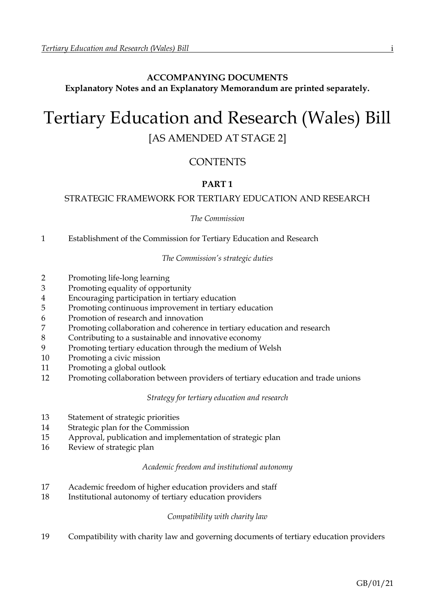# **ACCOMPANYING DOCUMENTS Explanatory Notes and an Explanatory Memorandum are printed separately.**

# Tertiary Education and Research (Wales) Bill [AS AMENDED AT STAGE 2]

# CONTENTS

# **PART 1**

# STRATEGIC FRAMEWORK FOR TERTIARY EDUCATION AND RESEARCH

*The Commission*

1 Establishment of the Commission for Tertiary Education and Research

*The Commission's strategic duties*

- 2 Promoting life-long learning
- 3 Promoting equality of opportunity
- 4 Encouraging participation in tertiary education
- 5 Promoting continuous improvement in tertiary education
- 6 Promotion of research and innovation
- 7 Promoting collaboration and coherence in tertiary education and research
- 8 Contributing to a sustainable and innovative economy
- 9 Promoting tertiary education through the medium of Welsh
- 10 Promoting a civic mission
- 11 Promoting a global outlook
- 12 Promoting collaboration between providers of tertiary education and trade unions

*Strategy for tertiary education and research*

- 13 Statement of strategic priorities
- 14 Strategic plan for the Commission
- 15 Approval, publication and implementation of strategic plan
- 16 Review of strategic plan

# *Academic freedom and institutional autonomy*

- 17 Academic freedom of higher education providers and staff
- 18 Institutional autonomy of tertiary education providers

# *Compatibility with charity law*

19 Compatibility with charity law and governing documents of tertiary education providers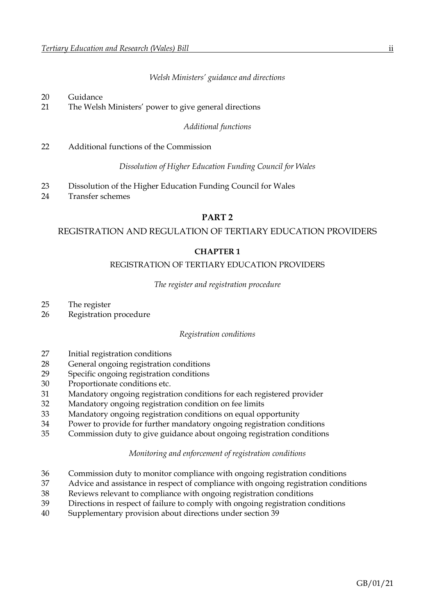*Welsh Ministers' guidance and directions*

# Guidance

The Welsh Ministers' power to give general directions

*Additional functions*

Additional functions of the Commission

*Dissolution of Higher Education Funding Council for Wales*

- Dissolution of the Higher Education Funding Council for Wales
- Transfer schemes

# **PART 2**

# REGISTRATION AND REGULATION OF TERTIARY EDUCATION PROVIDERS

# **CHAPTER 1**

#### REGISTRATION OF TERTIARY EDUCATION PROVIDERS

#### *The register and registration procedure*

- The register
- Registration procedure

#### *Registration conditions*

- Initial registration conditions
- General ongoing registration conditions
- Specific ongoing registration conditions
- Proportionate conditions etc.
- Mandatory ongoing registration conditions for each registered provider
- Mandatory ongoing registration condition on fee limits
- Mandatory ongoing registration conditions on equal opportunity
- Power to provide for further mandatory ongoing registration conditions
- Commission duty to give guidance about ongoing registration conditions

#### *Monitoring and enforcement of registration conditions*

- Commission duty to monitor compliance with ongoing registration conditions
- Advice and assistance in respect of compliance with ongoing registration conditions
- Reviews relevant to compliance with ongoing registration conditions
- Directions in respect of failure to comply with ongoing registration conditions
- Supplementary provision about directions under section 39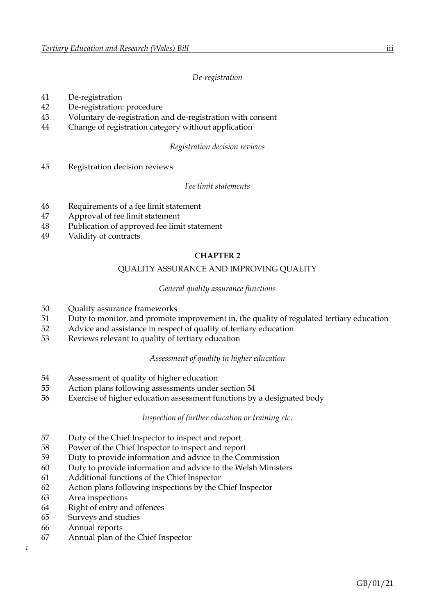# *De-registration*

- De-registration
- De-registration: procedure
- Voluntary de-registration and de-registration with consent
- Change of registration category without application

#### *Registration decision reviews*

Registration decision reviews

#### *Fee limit statements*

- Requirements of a fee limit statement
- Approval of fee limit statement
- Publication of approved fee limit statement
- Validity of contracts

#### **CHAPTER 2**

# QUALITY ASSURANCE AND IMPROVING QUALITY

#### *General quality assurance functions*

- Quality assurance frameworks
- Duty to monitor, and promote improvement in, the quality of regulated tertiary education
- Advice and assistance in respect of quality of tertiary education
- Reviews relevant to quality of tertiary education

#### *Assessment of quality in higher education*

- Assessment of quality of higher education
- Action plans following assessments under section 54
- Exercise of higher education assessment functions by a designated body

*Inspection of further education or training etc.*

- Duty of the Chief Inspector to inspect and report
- Power of the Chief Inspector to inspect and report
- Duty to provide information and advice to the Commission
- Duty to provide information and advice to the Welsh Ministers
- Additional functions of the Chief Inspector
- Action plans following inspections by the Chief Inspector
- Area inspections
- Right of entry and offences
- Surveys and studies
- Annual reports
- Annual plan of the Chief Inspector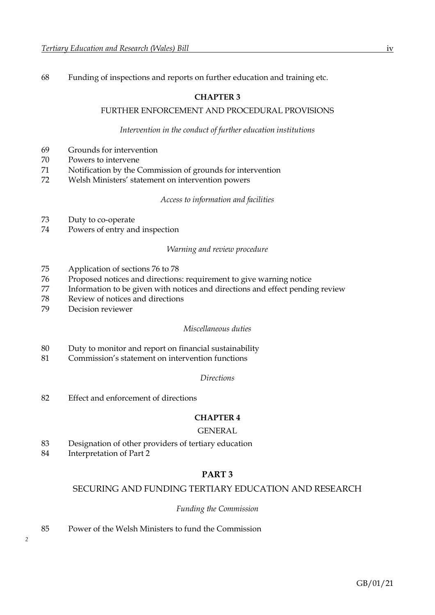68 Funding of inspections and reports on further education and training etc.

# **CHAPTER 3**

# FURTHER ENFORCEMENT AND PROCEDURAL PROVISIONS

#### *Intervention in the conduct of further education institutions*

- 69 Grounds for intervention
- 70 Powers to intervene
- 71 Notification by the Commission of grounds for intervention
- 72 Welsh Ministers' statement on intervention powers

#### *Access to information and facilities*

- 73 Duty to co-operate
- 74 Powers of entry and inspection

#### *Warning and review procedure*

- 75 Application of sections 76 to 78
- 76 Proposed notices and directions: requirement to give warning notice
- 77 Information to be given with notices and directions and effect pending review
- 78 Review of notices and directions
- 79 Decision reviewer

#### *Miscellaneous duties*

- 80 Duty to monitor and report on financial sustainability
- 81 Commission's statement on intervention functions
	- *Directions*
- 82 Effect and enforcement of directions

#### **CHAPTER 4**

# GENERAL

- 83 Designation of other providers of tertiary education
- 84 Interpretation of Part 2

# **PART 3**

#### SECURING AND FUNDING TERTIARY EDUCATION AND RESEARCH

#### *Funding the Commission*

85 Power of the Welsh Ministers to fund the Commission

*2*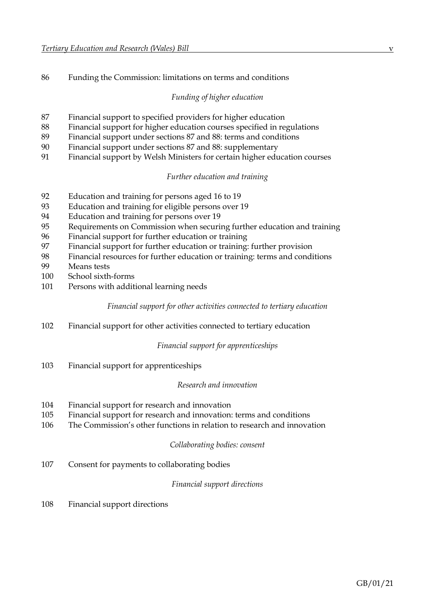Funding the Commission: limitations on terms and conditions

# *Funding of higher education*

- Financial support to specified providers for higher education
- Financial support for higher education courses specified in regulations
- Financial support under sections 87 and 88: terms and conditions
- Financial support under sections 87 and 88: supplementary
- Financial support by Welsh Ministers for certain higher education courses

# *Further education and training*

- Education and training for persons aged 16 to 19
- Education and training for eligible persons over 19
- Education and training for persons over 19
- Requirements on Commission when securing further education and training
- Financial support for further education or training
- Financial support for further education or training: further provision
- Financial resources for further education or training: terms and conditions
- Means tests
- School sixth-forms
- Persons with additional learning needs

# *Financial support for other activities connected to tertiary education*

Financial support for other activities connected to tertiary education

# *Financial support for apprenticeships*

Financial support for apprenticeships

#### *Research and innovation*

- Financial support for research and innovation
- Financial support for research and innovation: terms and conditions
- The Commission's other functions in relation to research and innovation

#### *Collaborating bodies: consent*

Consent for payments to collaborating bodies

# *Financial support directions*

Financial support directions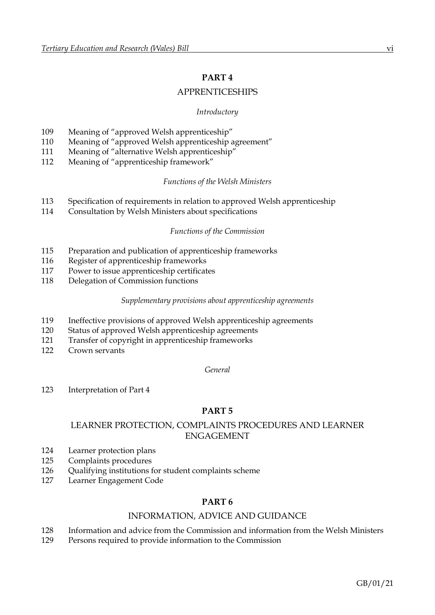# **PART 4**

# APPRENTICESHIPS

# *Introductory*

- 109 Meaning of "approved Welsh apprenticeship"
- 110 Meaning of "approved Welsh apprenticeship agreement"
- 111 Meaning of "alternative Welsh apprenticeship"
- 112 Meaning of "apprenticeship framework"

# *Functions of the Welsh Ministers*

- 113 Specification of requirements in relation to approved Welsh apprenticeship
- 114 Consultation by Welsh Ministers about specifications

# *Functions of the Commission*

- 115 Preparation and publication of apprenticeship frameworks
- 116 Register of apprenticeship frameworks
- 117 Power to issue apprenticeship certificates
- 118 Delegation of Commission functions

#### *Supplementary provisions about apprenticeship agreements*

- 119 Ineffective provisions of approved Welsh apprenticeship agreements
- 120 Status of approved Welsh apprenticeship agreements
- 121 Transfer of copyright in apprenticeship frameworks
- 122 Crown servants

# *General*

123 Interpretation of Part 4

# **PART 5**

# LEARNER PROTECTION, COMPLAINTS PROCEDURES AND LEARNER ENGAGEMENT

- 124 Learner protection plans
- 125 Complaints procedures
- 126 Qualifying institutions for student complaints scheme
- 127 Learner Engagement Code

# **PART 6**

# INFORMATION, ADVICE AND GUIDANCE

- 128 Information and advice from the Commission and information from the Welsh Ministers
- 129 Persons required to provide information to the Commission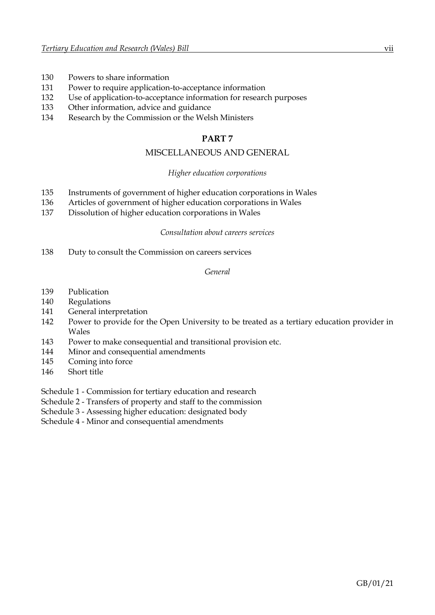- 130 Powers to share information
- 131 Power to require application-to-acceptance information
- 132 Use of application-to-acceptance information for research purposes
- 133 Other information, advice and guidance
- 134 Research by the Commission or the Welsh Ministers

# **PART 7**

# MISCELLANEOUS AND GENERAL

#### *Higher education corporations*

- 135 Instruments of government of higher education corporations in Wales
- 136 Articles of government of higher education corporations in Wales
- 137 Dissolution of higher education corporations in Wales

#### *Consultation about careers services*

138 Duty to consult the Commission on careers services

#### *General*

- 139 Publication
- 140 Regulations
- 141 General interpretation
- 142 Power to provide for the Open University to be treated as a tertiary education provider in Wales
- 143 Power to make consequential and transitional provision etc.
- 144 Minor and consequential amendments
- 145 Coming into force
- 146 Short title
- Schedule 1 Commission for tertiary education and research
- Schedule 2 Transfers of property and staff to the commission
- Schedule 3 Assessing higher education: designated body
- Schedule 4 Minor and consequential amendments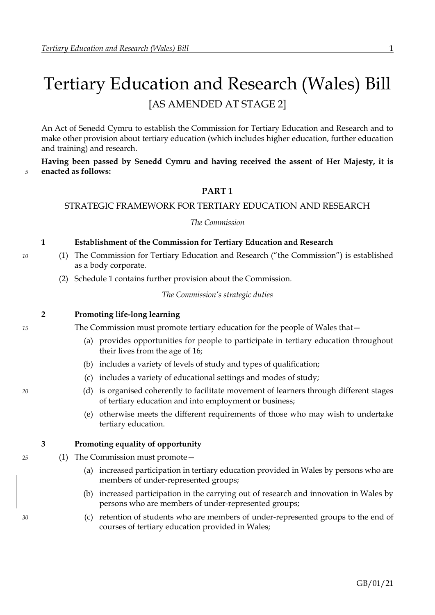# <span id="page-7-0"></span>Tertiary Education and Research (Wales) Bill [AS AMENDED AT STAGE 2]

An Act of Senedd Cymru to establish the Commission for Tertiary Education and Research and to make other provision about tertiary education (which includes higher education, further education and training) and research.

**Having been passed by Senedd Cymru and having received the assent of Her Majesty, it is** *5* **enacted as follows:**

# **PART 1**

#### STRATEGIC FRAMEWORK FOR TERTIARY EDUCATION AND RESEARCH

#### *The Commission*

#### **1 Establishment of the Commission for Tertiary Education and Research**

- *10* (1) The Commission for Tertiary Education and Research ("the Commission") is established as a body corporate.
	- (2) Schedule [1](#page-89-0) contains further provision about the Commission.

*The Commission's strategic duties*

#### **2 Promoting life-long learning**

*15* The Commission must promote tertiary education for the people of Wales that—

- (a) provides opportunities for people to participate in tertiary education throughout their lives from the age of 16;
- (b) includes a variety of levels of study and types of qualification;
- (c) includes a variety of educational settings and modes of study;
- *20* (d) is organised coherently to facilitate movement of learners through different stages of tertiary education and into employment or business;
	- (e) otherwise meets the different requirements of those who may wish to undertake tertiary education.

#### **3 Promoting equality of opportunity**

- *25* (1) The Commission must promote—
	- (a) increased participation in tertiary education provided in Wales by persons who are members of under-represented groups;
	- (b) increased participation in the carrying out of research and innovation in Wales by persons who are members of under-represented groups;
- *30* (c) retention of students who are members of under-represented groups to the end of courses of tertiary education provided in Wales;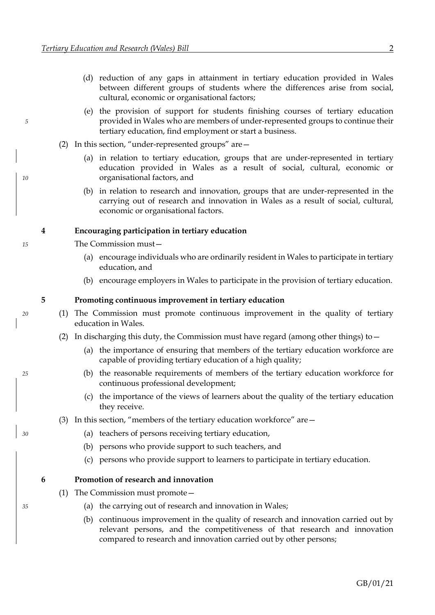- (d) reduction of any gaps in attainment in tertiary education provided in Wales between different groups of students where the differences arise from social, cultural, economic or organisational factors;
- <span id="page-8-0"></span>(e) the provision of support for students finishing courses of tertiary education *5* provided in Wales who are members of under-represented groups to continue their tertiary education, find employment or start a business.
	- (2) In this section, "under-represented groups" are—
- (a) in relation to tertiary education, groups that are under-represented in tertiary education provided in Wales as a result of social, cultural, economic or *10* organisational factors, and
	- (b) in relation to research and innovation, groups that are under-represented in the carrying out of research and innovation in Wales as a result of social, cultural, economic or organisational factors.

#### **4 Encouraging participation in tertiary education**

- *15* The Commission must—
	- (a) encourage individuals who are ordinarily resident in Wales to participate in tertiary education, and
	- (b) encourage employers in Wales to participate in the provision of tertiary education.

#### **5 Promoting continuous improvement in tertiary education**

- *20* (1) The Commission must promote continuous improvement in the quality of tertiary education in Wales.
	- (2) In discharging this duty, the Commission must have regard (among other things) to  $-$ 
		- (a) the importance of ensuring that members of the tertiary education workforce are capable of providing tertiary education of a high quality;
- *25* (b) the reasonable requirements of members of the tertiary education workforce for continuous professional development;
	- (c) the importance of the views of learners about the quality of the tertiary education they receive.
	- (3) In this section, "members of the tertiary education workforce" are  $-$
- *30* (a) teachers of persons receiving tertiary education,
	- (b) persons who provide support to such teachers, and
	- (c) persons who provide support to learners to participate in tertiary education.

#### **6 Promotion of research and innovation**

- (1) The Commission must promote—
- *35* (a) the carrying out of research and innovation in Wales;
	- (b) continuous improvement in the quality of research and innovation carried out by relevant persons, and the competitiveness of that research and innovation compared to research and innovation carried out by other persons;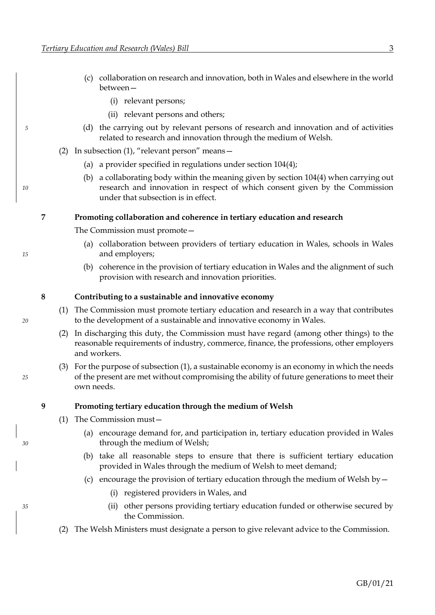- (c) collaboration on research and innovation, both in Wales and elsewhere in the world between—
	- (i) relevant persons;
	- (ii) relevant persons and others;
- *5* (d) the carrying out by relevant persons of research and innovation and of activities related to research and innovation through the medium of Welsh.
	- (2) In subsection (1), "relevant person" means—
		- (a) a provider specified in regulations under section [104](#page-63-0)[\(4\);](#page-64-0)
- (b) a collaborating body within the meaning given by section [104](#page-63-0)[\(4\)](#page-64-0) when carrying out *10* research and innovation in respect of which consent given by the Commission under that subsection is in effect.

#### **7 Promoting collaboration and coherence in tertiary education and research**

- The Commission must promote—
- (a) collaboration between providers of tertiary education in Wales, schools in Wales *15* and employers;
	- (b) coherence in the provision of tertiary education in Wales and the alignment of such provision with research and innovation priorities.

#### <span id="page-9-0"></span>**8 Contributing to a sustainable and innovative economy**

- (1) The Commission must promote tertiary education and research in a way that contributes *20* to the development of a sustainable and innovative economy in Wales.
	- (2) In discharging this duty, the Commission must have regard (among other things) to the reasonable requirements of industry, commerce, finance, the professions, other employers and workers.
- (3) For the purpose of subsection [\(1\),](#page-9-0) a sustainable economy is an economy in which the needs *25* of the present are met without compromising the ability of future generations to meet their own needs.

#### **9 Promoting tertiary education through the medium of Welsh**

- <span id="page-9-1"></span>(1) The Commission must—
- (a) encourage demand for, and participation in, tertiary education provided in Wales *30* through the medium of Welsh;
	- (b) take all reasonable steps to ensure that there is sufficient tertiary education provided in Wales through the medium of Welsh to meet demand;
	- (c) encourage the provision of tertiary education through the medium of Welsh by  $-$ 
		- (i) registered providers in Wales, and
- <span id="page-9-2"></span>*35* (ii) other persons providing tertiary education funded or otherwise secured by the Commission.
	- (2) The Welsh Ministers must designate a person to give relevant advice to the Commission.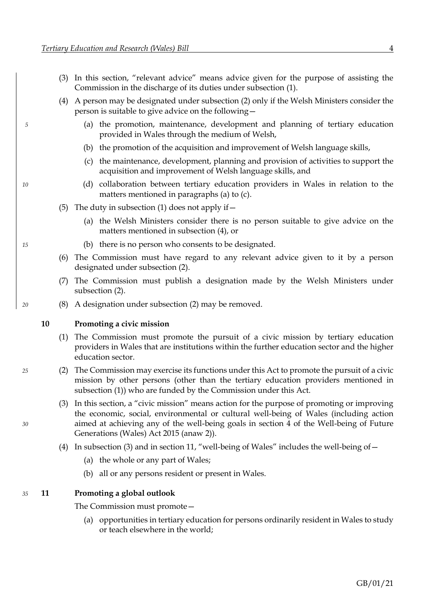- <span id="page-10-3"></span>(3) In this section, "relevant advice" means advice given for the purpose of assisting the Commission in the discharge of its duties under subsection [\(1\).](#page-9-1)
- <span id="page-10-0"></span>(4) A person may be designated under subsection [\(2\)](#page-9-2) only if the Welsh Ministers consider the person is suitable to give advice on the following—
- *5* (a) the promotion, maintenance, development and planning of tertiary education provided in Wales through the medium of Welsh,
	- (b) the promotion of the acquisition and improvement of Welsh language skills,
	- (c) the maintenance, development, planning and provision of activities to support the acquisition and improvement of Welsh language skills, and
- *10* (d) collaboration between tertiary education providers in Wales in relation to the matters mentioned in paragraphs (a) to (c).
	- (5) The duty in subsection [\(1\)](#page-9-1) does not apply if  $-$ 
		- (a) the Welsh Ministers consider there is no person suitable to give advice on the matters mentioned in subsection [\(4\),](#page-10-0) or
- *15* (b) there is no person who consents to be designated.
	- (6) The Commission must have regard to any relevant advice given to it by a person designated under subsection [\(2\).](#page-9-2)
	- (7) The Commission must publish a designation made by the Welsh Ministers under subsection [\(2\).](#page-9-2)
- *20* (8) A designation under subsection [\(2\)](#page-9-2) may be removed.

#### **10 Promoting a civic mission**

- <span id="page-10-1"></span>(1) The Commission must promote the pursuit of a civic mission by tertiary education providers in Wales that are institutions within the further education sector and the higher education sector.
- *25* (2) The Commission may exercise its functions under this Act to promote the pursuit of a civic mission by other persons (other than the tertiary education providers mentioned in subsection [\(1\)\)](#page-10-1) who are funded by the Commission under this Act.
- <span id="page-10-2"></span>(3) In this section, a "civic mission" means action for the purpose of promoting or improving the economic, social, environmental or cultural well-being of Wales (including action *30* aimed at achieving any of the well-being goals in section 4 of the Well-being of Future Generations (Wales) Act 2015 (anaw 2)).
	- (4) In subsection [\(3\)](#page-10-2) and in section [11](#page-10-3), "well-being of Wales" includes the well-being of  $-$ 
		- (a) the whole or any part of Wales;
		- (b) all or any persons resident or present in Wales.

#### *35* **11 Promoting a global outlook**

The Commission must promote—

<span id="page-10-4"></span>(a) opportunities in tertiary education for persons ordinarily resident in Wales to study or teach elsewhere in the world;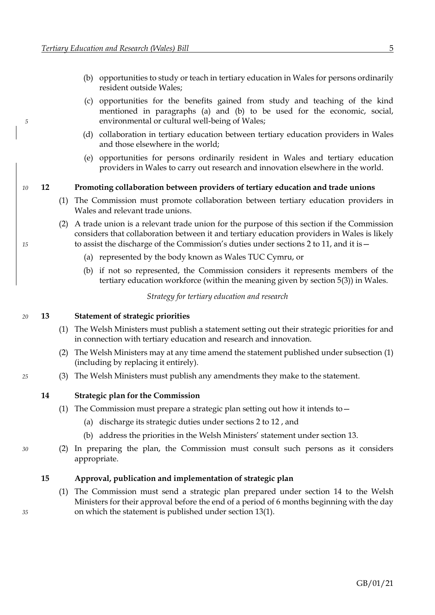- <span id="page-11-0"></span>(b) opportunities to study or teach in tertiary education in Wales for persons ordinarily resident outside Wales;
- <span id="page-11-2"></span>(c) opportunities for the benefits gained from study and teaching of the kind mentioned in paragraphs [\(a\)](#page-10-4) and [\(b\)](#page-11-0) to be used for the economic, social, *5* environmental or cultural well-being of Wales;
	- (d) collaboration in tertiary education between tertiary education providers in Wales and those elsewhere in the world;
	- (e) opportunities for persons ordinarily resident in Wales and tertiary education providers in Wales to carry out research and innovation elsewhere in the world.

#### *10* **12 Promoting collaboration between providers of tertiary education and trade unions**

- (1) The Commission must promote collaboration between tertiary education providers in Wales and relevant trade unions.
- (2) A trade union is a relevant trade union for the purpose of this section if the Commission considers that collaboration between it and tertiary education providers in Wales is likely *15* to assist the discharge of the Commission's duties under sections 2 to [11,](#page-10-3) and it is—
	- (a) represented by the body known as Wales TUC Cymru, or
	- (b) if not so represented, the Commission considers it represents members of the tertiary education workforce (within the meaning given by section 5(3)) in Wales.

*Strategy for tertiary education and research*

# *20* **13 Statement of strategic priorities**

- <span id="page-11-1"></span>(1) The Welsh Ministers must publish a statement setting out their strategic priorities for and in connection with tertiary education and research and innovation.
- <span id="page-11-3"></span>(2) The Welsh Ministers may at any time amend the statement published under subsection [\(1\)](#page-11-1) (including by replacing it entirely).
- *25* (3) The Welsh Ministers must publish any amendments they make to the statement.

#### **14 Strategic plan for the Commission**

- (1) The Commission must prepare a strategic plan setting out how it intends to—
	- (a) discharge its strategic duties under sections [2](#page-7-0) to [12](#page-11-2) , and
	- (b) address the priorities in the Welsh Ministers' statement under section [13.](#page-11-2)
- *30* (2) In preparing the plan, the Commission must consult such persons as it considers appropriate.

#### **15 Approval, publication and implementation of strategic plan**

(1) The Commission must send a strategic plan prepared under section [14](#page-11-2) to the Welsh Ministers for their approval before the end of a period of 6 months beginning with the day *35* on which the statement is published under section [13](#page-11-2)[\(1\).](#page-11-1)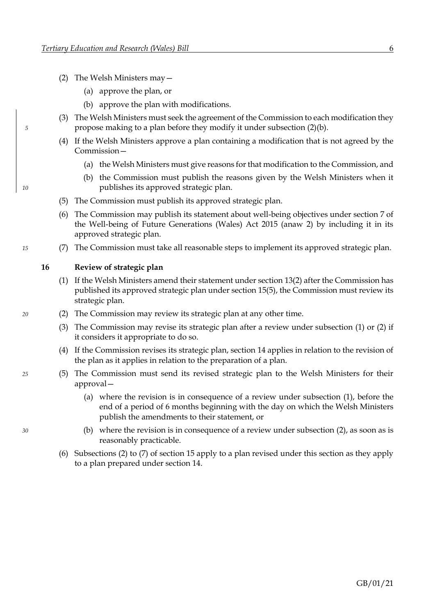- <span id="page-12-1"></span><span id="page-12-0"></span>(2) The Welsh Ministers may—
	- (a) approve the plan, or
	- (b) approve the plan with modifications.
- (3) The Welsh Ministers must seek the agreement of the Commission to each modification they *5* propose making to a plan before they modify it under subsection [\(2\)](#page-12-0)[\(b\).](#page-12-1)
	- (4) If the Welsh Ministers approve a plan containing a modification that is not agreed by the Commission—
		- (a) the Welsh Ministers must give reasons for that modification to the Commission, and
- <span id="page-12-2"></span>(b) the Commission must publish the reasons given by the Welsh Ministers when it *10* publishes its approved strategic plan.
	- (5) The Commission must publish its approved strategic plan.
	- (6) The Commission may publish its statement about well-being objectives under section 7 of the Well-being of Future Generations (Wales) Act 2015 (anaw 2) by including it in its approved strategic plan.
- *15* (7) The Commission must take all reasonable steps to implement its approved strategic plan.

# <span id="page-12-5"></span>**16 Review of strategic plan**

- <span id="page-12-4"></span><span id="page-12-3"></span>(1) If the Welsh Ministers amend their statement under sectio[n 13](#page-11-2)[\(2\)](#page-11-3) after the Commission has published its approved strategic plan under section [15](#page-11-2)[\(5\),](#page-12-2) the Commission must review its strategic plan.
- *20* (2) The Commission may review its strategic plan at any other time.
	- (3) The Commission may revise its strategic plan after a review under subsection [\(1\)](#page-12-3) or [\(2\)](#page-12-4) if it considers it appropriate to do so.
	- (4) If the Commission revises its strategic plan, section [14](#page-11-2) applies in relation to the revision of the plan as it applies in relation to the preparation of a plan.
- *25* (5) The Commission must send its revised strategic plan to the Welsh Ministers for their approval—
	- (a) where the revision is in consequence of a review under subsection [\(1\),](#page-12-3) before the end of a period of 6 months beginning with the day on which the Welsh Ministers publish the amendments to their statement, or
- *30* (b) where the revision is in consequence of a review under subsection [\(2\),](#page-12-4) as soon as is reasonably practicable.
	- (6) Subsections [\(2\)](#page-12-0) to [\(7\)](#page-12-5) of section [15](#page-11-2) apply to a plan revised under this section as they apply to a plan prepared under section [14.](#page-11-2)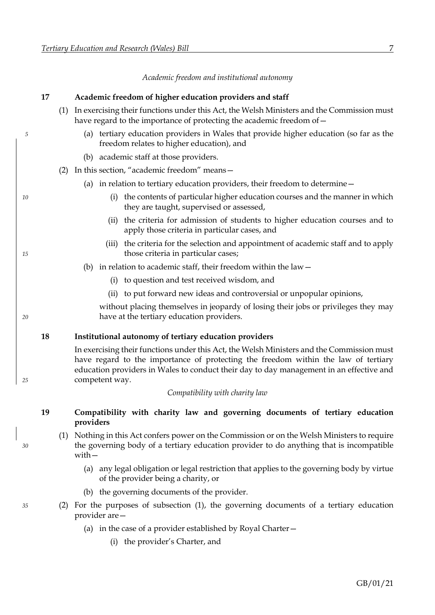*Academic freedom and institutional autonomy*

<span id="page-13-0"></span>

|    | 17 |     | Academic freedom of higher education providers and staff                                                                                                                                                                                                                                     |
|----|----|-----|----------------------------------------------------------------------------------------------------------------------------------------------------------------------------------------------------------------------------------------------------------------------------------------------|
|    |    | (1) | In exercising their functions under this Act, the Welsh Ministers and the Commission must<br>have regard to the importance of protecting the academic freedom of -                                                                                                                           |
| 5  |    |     | (a) tertiary education providers in Wales that provide higher education (so far as the<br>freedom relates to higher education), and                                                                                                                                                          |
|    |    |     | (b) academic staff at those providers.                                                                                                                                                                                                                                                       |
|    |    | (2) | In this section, "academic freedom" means-                                                                                                                                                                                                                                                   |
|    |    |     | (a) in relation to tertiary education providers, their freedom to determine $-$                                                                                                                                                                                                              |
| 10 |    |     | the contents of particular higher education courses and the manner in which<br>(i)<br>they are taught, supervised or assessed,                                                                                                                                                               |
|    |    |     | (ii) the criteria for admission of students to higher education courses and to<br>apply those criteria in particular cases, and                                                                                                                                                              |
| 15 |    |     | (iii) the criteria for the selection and appointment of academic staff and to apply<br>those criteria in particular cases;                                                                                                                                                                   |
|    |    |     | (b) in relation to academic staff, their freedom within the law $-$                                                                                                                                                                                                                          |
|    |    |     | (i) to question and test received wisdom, and                                                                                                                                                                                                                                                |
|    |    |     | (ii) to put forward new ideas and controversial or unpopular opinions,                                                                                                                                                                                                                       |
| 20 |    |     | without placing themselves in jeopardy of losing their jobs or privileges they may<br>have at the tertiary education providers.                                                                                                                                                              |
|    | 18 |     | Institutional autonomy of tertiary education providers                                                                                                                                                                                                                                       |
| 25 |    |     | In exercising their functions under this Act, the Welsh Ministers and the Commission must<br>have regard to the importance of protecting the freedom within the law of tertiary<br>education providers in Wales to conduct their day to day management in an effective and<br>competent way. |
|    |    |     | Compatibility with charity law                                                                                                                                                                                                                                                               |
|    | 19 |     | Compatibility with charity law and governing documents of tertiary education<br>providers                                                                                                                                                                                                    |
| 30 |    | (1) | Nothing in this Act confers power on the Commission or on the Welsh Ministers to require<br>the governing body of a tertiary education provider to do anything that is incompatible<br>with $-$                                                                                              |
|    |    |     | (a) any legal obligation or legal restriction that applies to the governing body by virtue<br>of the provider being a charity, or                                                                                                                                                            |
|    |    |     | (b) the governing documents of the provider.                                                                                                                                                                                                                                                 |
| 35 |    | (2) | For the purposes of subsection (1), the governing documents of a tertiary education<br>provider are -                                                                                                                                                                                        |
|    |    |     | (a) in the case of a provider established by Royal Charter $-$                                                                                                                                                                                                                               |
|    |    |     | (i) the provider's Charter, and                                                                                                                                                                                                                                                              |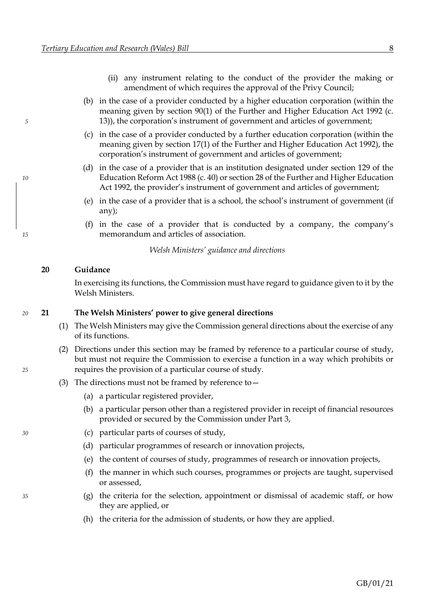- (ii) any instrument relating to the conduct of the provider the making or amendment of which requires the approval of the Privy Council;
- (b) in the case of a provider conducted by a higher education corporation (within the meaning given by section 90(1) of the Further and Higher Education Act 1992 (c. *5* 13)), the corporation's instrument of government and articles of government;
	- (c) in the case of a provider conducted by a further education corporation (within the meaning given by section 17(1) of the Further and Higher Education Act 1992), the corporation's instrument of government and articles of government;
- (d) in the case of a provider that is an institution designated under section 129 of the *10* Education Reform Act 1988 (c. 40) or section 28 of the Further and Higher Education Act 1992, the provider's instrument of government and articles of government;
	- (e) in the case of a provider that is a school, the school's instrument of government (if any);
- (f) in the case of a provider that is conducted by a company, the company's *15* memorandum and articles of association.

*Welsh Ministers' guidance and directions*

#### **20 Guidance**

In exercising its functions, the Commission must have regard to guidance given to it by the Welsh Ministers.

#### *20* **21 The Welsh Ministers' power to give general directions**

- <span id="page-14-0"></span>(1) The Welsh Ministers may give the Commission general directions about the exercise of any of its functions.
- <span id="page-14-1"></span>(2) Directions under this section may be framed by reference to a particular course of study, but must not require the Commission to exercise a function in a way which prohibits or *25* requires the provision of a particular course of study.
	- (3) The directions must not be framed by reference to—
		- (a) a particular registered provider,
		- (b) a particular person other than a registered provider in receipt of financial resources provided or secured by the Commission under Part [3,](#page-50-0)
- *30* (c) particular parts of courses of study,
	- (d) particular programmes of research or innovation projects,
	- (e) the content of courses of study, programmes of research or innovation projects,
	- (f) the manner in which such courses, programmes or projects are taught, supervised or assessed,
- *35* (g) the criteria for the selection, appointment or dismissal of academic staff, or how they are applied, or
	- (h) the criteria for the admission of students, or how they are applied.

GB/01/21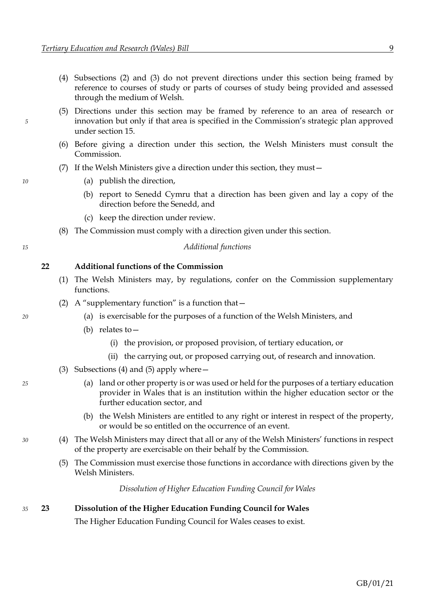- (4) Subsections [\(2\)](#page-14-0) and [\(3\)](#page-14-1) do not prevent directions under this section being framed by reference to courses of study or parts of courses of study being provided and assessed through the medium of Welsh.
- (5) Directions under this section may be framed by reference to an area of research or *5* innovation but only if that area is specified in the Commission's strategic plan approved under section [15.](#page-11-2)
	- (6) Before giving a direction under this section, the Welsh Ministers must consult the Commission.
	- (7) If the Welsh Ministers give a direction under this section, they must—
- *10* (a) publish the direction,
	- (b) report to Senedd Cymru that a direction has been given and lay a copy of the direction before the Senedd, and
	- (c) keep the direction under review.
	- (8) The Commission must comply with a direction given under this section.

*15 Additional functions*

**22 Additional functions of the Commission**

- (1) The Welsh Ministers may, by regulations, confer on the Commission supplementary functions.
- (2) A "supplementary function" is a function that  $-$
- *20* (a) is exercisable for the purposes of a function of the Welsh Ministers, and
	- (b) relates to—
		- (i) the provision, or proposed provision, of tertiary education, or
		- (ii) the carrying out, or proposed carrying out, of research and innovation.
	- (3) Subsections [\(4\)](#page-15-0) and [\(5\)](#page-15-1) apply where—
- *25* (a) land or other property is or was used or held for the purposes of a tertiary education provider in Wales that is an institution within the higher education sector or the further education sector, and
	- (b) the Welsh Ministers are entitled to any right or interest in respect of the property, or would be so entitled on the occurrence of an event.
- <span id="page-15-1"></span><span id="page-15-0"></span>*30* (4) The Welsh Ministers may direct that all or any of the Welsh Ministers' functions in respect of the property are exercisable on their behalf by the Commission.
	- (5) The Commission must exercise those functions in accordance with directions given by the Welsh Ministers.

*Dissolution of Higher Education Funding Council for Wales*

#### *35* **23 Dissolution of the Higher Education Funding Council for Wales**

The Higher Education Funding Council for Wales ceases to exist.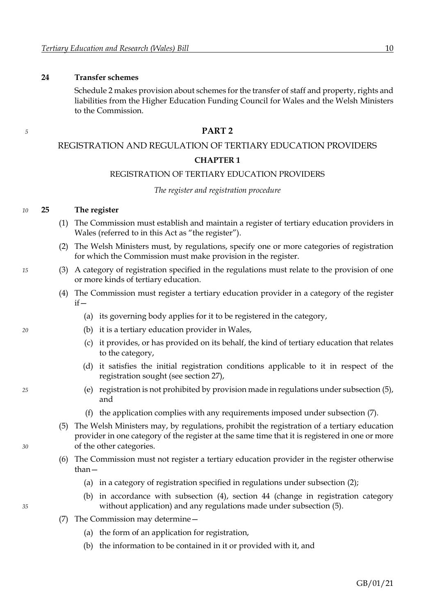#### <span id="page-16-4"></span>**24 Transfer schemes**

Schedul[e 2](#page-100-0) makes provision about schemes for the transfer of staff and property, rights and liabilities from the Higher Education Funding Council for Wales and the Welsh Ministers to the Commission.

# *<sup>5</sup>* **PART 2**

#### REGISTRATION AND REGULATION OF TERTIARY EDUCATION PROVIDERS

#### **CHAPTER 1**

#### REGISTRATION OF TERTIARY EDUCATION PROVIDERS

#### *The register and registration procedure*

#### *10* **25 The register**

- (1) The Commission must establish and maintain a register of tertiary education providers in Wales (referred to in this Act as "the register").
- <span id="page-16-3"></span><span id="page-16-2"></span>(2) The Welsh Ministers must, by regulations, specify one or more categories of registration for which the Commission must make provision in the register.
- *15* (3) A category of registration specified in the regulations must relate to the provision of one or more kinds of tertiary education.
	- (4) The Commission must register a tertiary education provider in a category of the register  $if -$ 
		- (a) its governing body applies for it to be registered in the category,
- <span id="page-16-5"></span>*20* (b) it is a tertiary education provider in Wales,
	- (c) it provides, or has provided on its behalf, the kind of tertiary education that relates to the category,
	- (d) it satisfies the initial registration conditions applicable to it in respect of the registration sought (see section [27\)](#page-18-0),
- <span id="page-16-6"></span>*25* (e) registration is not prohibited by provision made in regulations under subsection [\(5\),](#page-16-0) and
	- (f) the application complies with any requirements imposed under subsection [\(7\).](#page-16-1)
- <span id="page-16-0"></span>(5) The Welsh Ministers may, by regulations, prohibit the registration of a tertiary education provider in one category of the register at the same time that it is registered in one or more *30* of the other categories.
	- (6) The Commission must not register a tertiary education provider in the register otherwise than—
		- (a) in a category of registration specified in regulations under subsection [\(2\);](#page-16-2)
- (b) in accordance with subsection [\(4\),](#page-16-3) section [44](#page-28-0) (change in registration category *35* without application) and any regulations made under subsection [\(5\).](#page-16-0)
	- (7) The Commission may determine—
		- (a) the form of an application for registration,
		- (b) the information to be contained in it or provided with it, and

<span id="page-16-1"></span>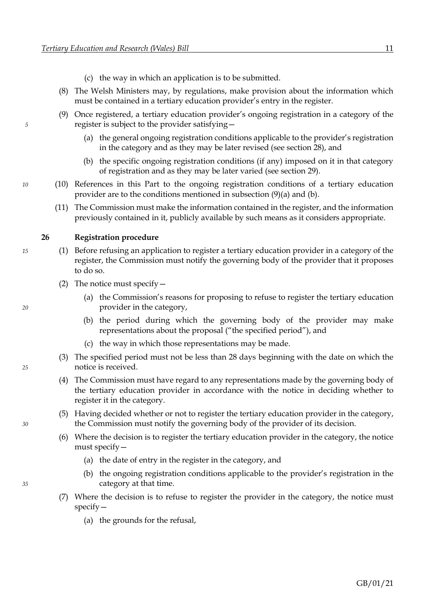- (c) the way in which an application is to be submitted.
- <span id="page-17-1"></span><span id="page-17-0"></span>(8) The Welsh Ministers may, by regulations, make provision about the information which must be contained in a tertiary education provider's entry in the register.
- (9) Once registered, a tertiary education provider's ongoing registration in a category of the *5* register is subject to the provider satisfying—
	- (a) the general ongoing registration conditions applicable to the provider's registration in the category and as they may be later revised (see section [28\)](#page-19-0), and
	- (b) the specific ongoing registration conditions (if any) imposed on it in that category of registration and as they may be later varied (see section [29\)](#page-19-0).
- <span id="page-17-2"></span>*10* (10) References in this Part to the ongoing registration conditions of a tertiary education provider are to the conditions mentioned in subsection [\(9\)](#page-17-0)[\(a\)](#page-17-1) and [\(b\).](#page-17-2)
	- (11) The Commission must make the information contained in the register, and the information previously contained in it, publicly available by such means as it considers appropriate.

#### **26 Registration procedure**

- *15* (1) Before refusing an application to register a tertiary education provider in a category of the register, the Commission must notify the governing body of the provider that it proposes to do so.
	- (2) The notice must specify—
- (a) the Commission's reasons for proposing to refuse to register the tertiary education *20* provider in the category,
	- (b) the period during which the governing body of the provider may make representations about the proposal ("the specified period"), and
	- (c) the way in which those representations may be made.
- (3) The specified period must not be less than 28 days beginning with the date on which the *25* notice is received.
	- (4) The Commission must have regard to any representations made by the governing body of the tertiary education provider in accordance with the notice in deciding whether to register it in the category.
- (5) Having decided whether or not to register the tertiary education provider in the category, *30* the Commission must notify the governing body of the provider of its decision.
	- (6) Where the decision is to register the tertiary education provider in the category, the notice must specify—
		- (a) the date of entry in the register in the category, and
- (b) the ongoing registration conditions applicable to the provider's registration in the *35* category at that time.
	- (7) Where the decision is to refuse to register the provider in the category, the notice must specify—
		- (a) the grounds for the refusal,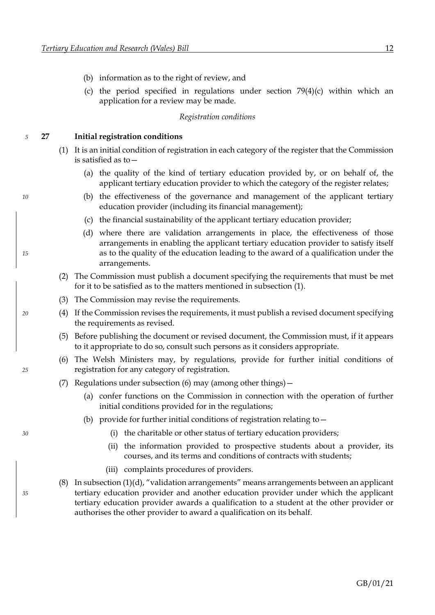- <span id="page-18-0"></span>(b) information as to the right of review, and
- (c) the period specified in regulations under section [79](#page-46-0)[\(4\)](#page-46-1)[\(c\)](#page-46-2) within which an application for a review may be made.

#### *Registration conditions*

#### *5* **27 Initial registration conditions**

- <span id="page-18-1"></span>(1) It is an initial condition of registration in each category of the register that the Commission is satisfied as to—
	- (a) the quality of the kind of tertiary education provided by, or on behalf of, the applicant tertiary education provider to which the category of the register relates;
- *10* (b) the effectiveness of the governance and management of the applicant tertiary education provider (including its financial management);
	- (c) the financial sustainability of the applicant tertiary education provider;
- <span id="page-18-3"></span>(d) where there are validation arrangements in place, the effectiveness of those arrangements in enabling the applicant tertiary education provider to satisfy itself *15* as to the quality of the education leading to the award of a qualification under the arrangements.
	- (2) The Commission must publish a document specifying the requirements that must be met for it to be satisfied as to the matters mentioned in subsection [\(1\).](#page-18-1)
	- (3) The Commission may revise the requirements.
- *20* (4) If the Commission revises the requirements, it must publish a revised document specifying the requirements as revised.
	- (5) Before publishing the document or revised document, the Commission must, if it appears to it appropriate to do so, consult such persons as it considers appropriate.
- <span id="page-18-2"></span>(6) The Welsh Ministers may, by regulations, provide for further initial conditions of *25* registration for any category of registration.
	- (7) Regulations under subsection [\(6\)](#page-18-2) may (among other things)—
		- (a) confer functions on the Commission in connection with the operation of further initial conditions provided for in the regulations;
		- (b) provide for further initial conditions of registration relating to  $-$
- *30* (i) the charitable or other status of tertiary education providers;
	- (ii) the information provided to prospective students about a provider, its courses, and its terms and conditions of contracts with students;
	- (iii) complaints procedures of providers.
- (8) In subsection (1[\)\(d\)](#page-18-3), "validation arrangements" means arrangements between an applicant *35* tertiary education provider and another education provider under which the applicant tertiary education provider awards a qualification to a student at the other provider or authorises the other provider to award a qualification on its behalf.

<span id="page-18-4"></span>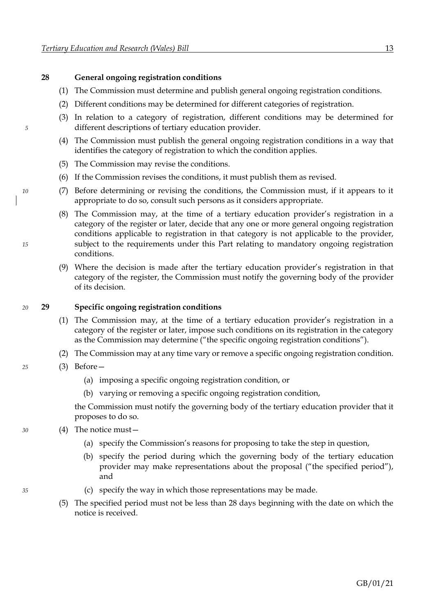#### <span id="page-19-0"></span>**28 General ongoing registration conditions**

- (1) The Commission must determine and publish general ongoing registration conditions.
- (2) Different conditions may be determined for different categories of registration.
- (3) In relation to a category of registration, different conditions may be determined for *5* different descriptions of tertiary education provider.
	- (4) The Commission must publish the general ongoing registration conditions in a way that identifies the category of registration to which the condition applies.
	- (5) The Commission may revise the conditions.
	- (6) If the Commission revises the conditions, it must publish them as revised.
- *10* (7) Before determining or revising the conditions, the Commission must, if it appears to it appropriate to do so, consult such persons as it considers appropriate.
- (8) The Commission may, at the time of a tertiary education provider's registration in a category of the register or later, decide that any one or more general ongoing registration conditions applicable to registration in that category is not applicable to the provider, *15* subject to the requirements under this Part relating to mandatory ongoing registration conditions.
	- (9) Where the decision is made after the tertiary education provider's registration in that category of the register, the Commission must notify the governing body of the provider of its decision.

#### *20* **29 Specific ongoing registration conditions**

- (1) The Commission may, at the time of a tertiary education provider's registration in a category of the register or later, impose such conditions on its registration in the category as the Commission may determine ("the specific ongoing registration conditions").
- (2) The Commission may at any time vary or remove a specific ongoing registration condition.
- *25* (3) Before—
	- (a) imposing a specific ongoing registration condition, or
	- (b) varying or removing a specific ongoing registration condition,

the Commission must notify the governing body of the tertiary education provider that it proposes to do so.

- *30* (4) The notice must—
	- (a) specify the Commission's reasons for proposing to take the step in question,
	- (b) specify the period during which the governing body of the tertiary education provider may make representations about the proposal ("the specified period"), and
- *35* (c) specify the way in which those representations may be made.
	- (5) The specified period must not be less than 28 days beginning with the date on which the notice is received.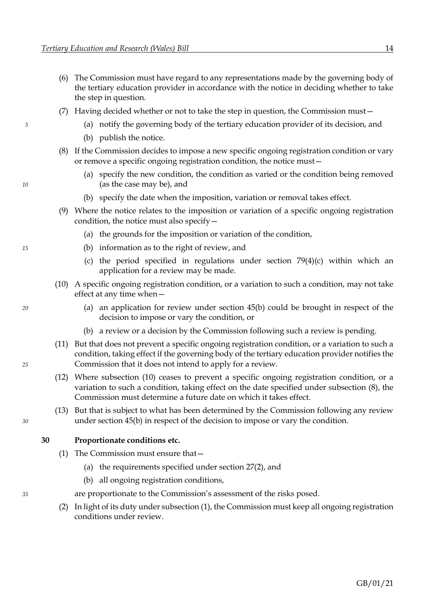- (6) The Commission must have regard to any representations made by the governing body of the tertiary education provider in accordance with the notice in deciding whether to take the step in question.
- <span id="page-20-1"></span>(7) Having decided whether or not to take the step in question, the Commission must—
- *5* (a) notify the governing body of the tertiary education provider of its decision, and
	- (b) publish the notice.
	- (8) If the Commission decides to impose a new specific ongoing registration condition or vary or remove a specific ongoing registration condition, the notice must—
- (a) specify the new condition, the condition as varied or the condition being removed *10* (as the case may be), and
	- (b) specify the date when the imposition, variation or removal takes effect.
	- (9) Where the notice relates to the imposition or variation of a specific ongoing registration condition, the notice must also specify—
		- (a) the grounds for the imposition or variation of the condition,
- *15* (b) information as to the right of review, and
	- (c) the period specified in regulations under section [79](#page-46-0)[\(4\)](#page-46-1)[\(c\)](#page-46-2) within which an application for a review may be made.
	- (10) A specific ongoing registration condition, or a variation to such a condition, may not take effect at any time when—
- <span id="page-20-0"></span>*20* (a) an application for review under section [45](#page-28-0)[\(b\)](#page-28-1) could be brought in respect of the decision to impose or vary the condition, or
	- (b) a review or a decision by the Commission following such a review is pending.
- (11) But that does not prevent a specific ongoing registration condition, or a variation to such a condition, taking effect if the governing body of the tertiary education provider notifies the *25* Commission that it does not intend to apply for a review.
	- (12) Where subsection [\(10\)](#page-20-0) ceases to prevent a specific ongoing registration condition, or a variation to such a condition, taking effect on the date specified under subsection [\(8\),](#page-20-1) the Commission must determine a future date on which it takes effect.
- (13) But that is subject to what has been determined by the Commission following any review *30* under section [45](#page-28-0)[\(b\)](#page-28-1) in respect of the decision to impose or vary the condition.

#### **30 Proportionate conditions etc.**

- <span id="page-20-2"></span>(1) The Commission must ensure that—
	- (a) the requirements specified under section [27](#page-18-0)[\(2\),](#page-18-4) and
	- (b) all ongoing registration conditions,
- *35* are proportionate to the Commission's assessment of the risks posed.
	- (2) In light of its duty under subsection [\(1\),](#page-20-2) the Commission must keep all ongoing registration conditions under review.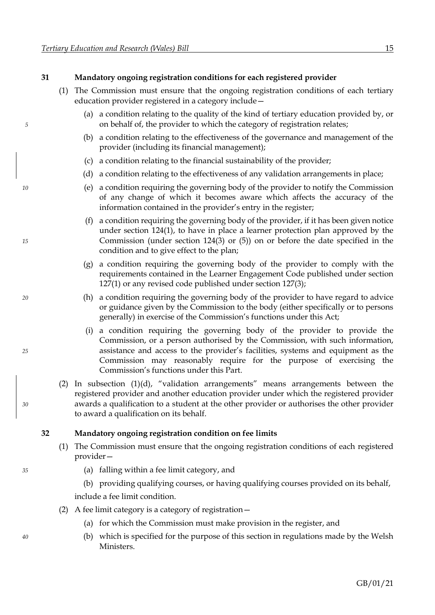# <span id="page-21-1"></span>**31 Mandatory ongoing registration conditions for each registered provider**

- (1) The Commission must ensure that the ongoing registration conditions of each tertiary education provider registered in a category include—
- (a) a condition relating to the quality of the kind of tertiary education provided by, or *5* on behalf of, the provider to which the category of registration relates;
	- (b) a condition relating to the effectiveness of the governance and management of the provider (including its financial management);
	- (c) a condition relating to the financial sustainability of the provider;
	- (d) a condition relating to the effectiveness of any validation arrangements in place;
- <span id="page-21-0"></span>*10* (e) a condition requiring the governing body of the provider to notify the Commission of any change of which it becomes aware which affects the accuracy of the information contained in the provider's entry in the register;
- (f) a condition requiring the governing body of the provider, if it has been given notice under section [124](#page-72-0)[\(1\),](#page-72-1) to have in place a learner protection plan approved by the *15* Commission (under section [124](#page-72-0)[\(3\)](#page-72-2) or [\(5\)\)](#page-72-3) on or before the date specified in the condition and to give effect to the plan;
	- (g) a condition requiring the governing body of the provider to comply with the requirements contained in the Learner Engagement Code published under section [127](#page-75-0)[\(1\)](#page-75-1) or any revised code published under section [127](#page-75-0)[\(3\);](#page-75-2)
- *20* (h) a condition requiring the governing body of the provider to have regard to advice or guidance given by the Commission to the body (either specifically or to persons generally) in exercise of the Commission's functions under this Act;
- (i) a condition requiring the governing body of the provider to provide the Commission, or a person authorised by the Commission, with such information, *25* assistance and access to the provider's facilities, systems and equipment as the Commission may reasonably require for the purpose of exercising the Commission's functions under this Part.
- (2) In subsection (1[\)\(d\)](#page-21-0), "validation arrangements" means arrangements between the registered provider and another education provider under which the registered provider *30* awards a qualification to a student at the other provider or authorises the other provider to award a qualification on its behalf.

#### **32 Mandatory ongoing registration condition on fee limits**

- (1) The Commission must ensure that the ongoing registration conditions of each registered provider—
- *35* (a) falling within a fee limit category, and
	- (b) providing qualifying courses, or having qualifying courses provided on its behalf,

include a fee limit condition.

- <span id="page-21-3"></span><span id="page-21-2"></span>(2) A fee limit category is a category of registration—
	- (a) for which the Commission must make provision in the register, and
- *40* (b) which is specified for the purpose of this section in regulations made by the Welsh Ministers.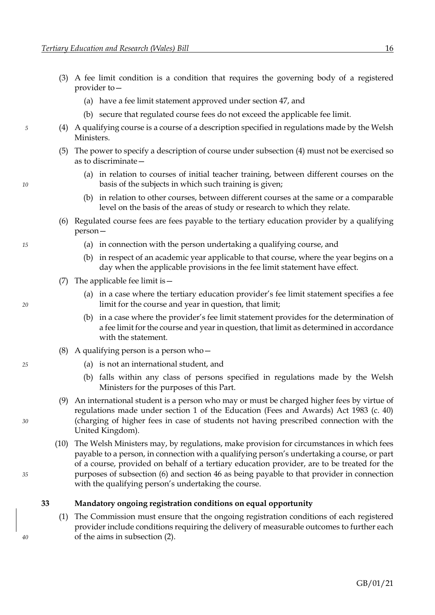- (3) A fee limit condition is a condition that requires the governing body of a registered provider to—
	- (a) have a fee limit statement approved under section [47,](#page-29-0) and
	- (b) secure that regulated course fees do not exceed the applicable fee limit.
- <span id="page-22-0"></span>*5* (4) A qualifying course is a course of a description specified in regulations made by the Welsh Ministers.
	- (5) The power to specify a description of course under subsection [\(4\)](#page-22-0) must not be exercised so as to discriminate—
- (a) in relation to courses of initial teacher training, between different courses on the *10* basis of the subjects in which such training is given;
	- (b) in relation to other courses, between different courses at the same or a comparable level on the basis of the areas of study or research to which they relate.
	- (6) Regulated course fees are fees payable to the tertiary education provider by a qualifying person—
- <span id="page-22-1"></span>*15* (a) in connection with the person undertaking a qualifying course, and
	- (b) in respect of an academic year applicable to that course, where the year begins on a day when the applicable provisions in the fee limit statement have effect.
	- (7) The applicable fee limit is—
- (a) in a case where the tertiary education provider's fee limit statement specifies a fee *20* limit for the course and year in question, that limit;
	- (b) in a case where the provider's fee limit statement provides for the determination of a fee limit for the course and year in question, that limit as determined in accordance with the statement.
	- (8) A qualifying person is a person who—
- *25* (a) is not an international student, and
	- (b) falls within any class of persons specified in regulations made by the Welsh Ministers for the purposes of this Part.
- (9) An international student is a person who may or must be charged higher fees by virtue of regulations made under section 1 of the Education (Fees and Awards) Act 1983 (c. 40) *30* (charging of higher fees in case of students not having prescribed connection with the United Kingdom).
- (10) The Welsh Ministers may, by regulations, make provision for circumstances in which fees payable to a person, in connection with a qualifying person's undertaking a course, or part of a course, provided on behalf of a tertiary education provider, are to be treated for the *35* purposes of subsection [\(6\)](#page-22-1) and section [46](#page-28-0) as being payable to that provider in connection with the qualifying person's undertaking the course.

#### **33 Mandatory ongoing registration conditions on equal opportunity**

(1) The Commission must ensure that the ongoing registration conditions of each registered provider include conditions requiring the delivery of measurable outcomes to further each *40* of the aims in subsection [\(2\).](#page-23-0)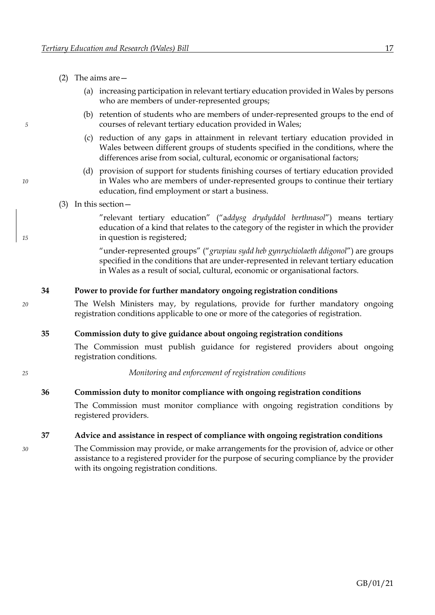- <span id="page-23-0"></span>(2) The aims are—
	- (a) increasing participation in relevant tertiary education provided in Wales by persons who are members of under-represented groups;
- (b) retention of students who are members of under-represented groups to the end of *5* courses of relevant tertiary education provided in Wales;
	- (c) reduction of any gaps in attainment in relevant tertiary education provided in Wales between different groups of students specified in the conditions, where the differences arise from social, cultural, economic or organisational factors;
- (d) provision of support for students finishing courses of tertiary education provided *10* in Wales who are members of under-represented groups to continue their tertiary education, find employment or start a business.
	- (3) In this section—

"relevant tertiary education" ("a*ddysg drydyddol berthnasol*") means tertiary education of a kind that relates to the category of the register in which the provider *15* in question is registered;

> "under-represented groups" ("*grwpiau sydd heb gynrychiolaeth ddigonol*") are groups specified in the conditions that are under-represented in relevant tertiary education in Wales as a result of social, cultural, economic or organisational factors.

# **34 Power to provide for further mandatory ongoing registration conditions**

*20* The Welsh Ministers may, by regulations, provide for further mandatory ongoing registration conditions applicable to one or more of the categories of registration.

#### **35 Commission duty to give guidance about ongoing registration conditions**

The Commission must publish guidance for registered providers about ongoing registration conditions.

*25 Monitoring and enforcement of registration conditions*

#### **36 Commission duty to monitor compliance with ongoing registration conditions**

The Commission must monitor compliance with ongoing registration conditions by registered providers.

**37 Advice and assistance in respect of compliance with ongoing registration conditions**

*30* The Commission may provide, or make arrangements for the provision of, advice or other assistance to a registered provider for the purpose of securing compliance by the provider with its ongoing registration conditions.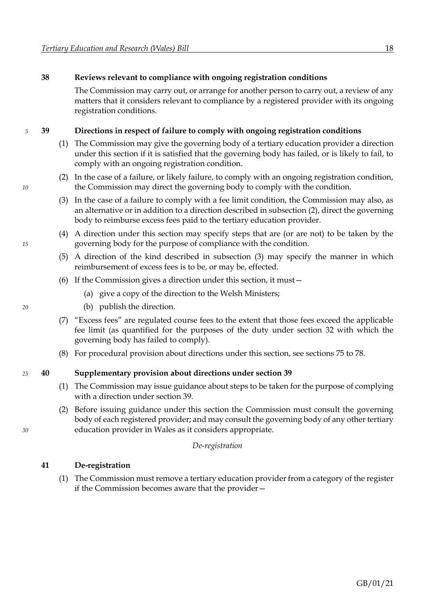# <span id="page-24-2"></span>**38 Reviews relevant to compliance with ongoing registration conditions**

The Commission may carry out, or arrange for another person to carry out, a review of any matters that it considers relevant to compliance by a registered provider with its ongoing registration conditions.

#### *5* **39 Directions in respect of failure to comply with ongoing registration conditions**

- <span id="page-24-0"></span>(1) The Commission may give the governing body of a tertiary education provider a direction under this section if it is satisfied that the governing body has failed, or is likely to fail, to comply with an ongoing registration condition.
- <span id="page-24-1"></span>(2) In the case of a failure, or likely failure, to comply with an ongoing registration condition, *10* the Commission may direct the governing body to comply with the condition.
	- (3) In the case of a failure to comply with a fee limit condition, the Commission may also, as an alternative or in addition to a direction described in subsection [\(2\),](#page-24-0) direct the governing body to reimburse excess fees paid to the tertiary education provider.
- (4) A direction under this section may specify steps that are (or are not) to be taken by the *15* governing body for the purpose of compliance with the condition.
	- (5) A direction of the kind described in subsection [\(3\)](#page-24-1) may specify the manner in which reimbursement of excess fees is to be, or may be, effected.
	- (6) If the Commission gives a direction under this section, it must—
		- (a) give a copy of the direction to the Welsh Ministers;
- *20* (b) publish the direction.
	- (7) "Excess fees" are regulated course fees to the extent that those fees exceed the applicable fee limit (as quantified for the purposes of the duty under section [32](#page-21-1) with which the governing body has failed to comply).
	- (8) For procedural provision about directions under this section, see sections [75](#page-44-0) to [78.](#page-46-0)

#### *25* **40 Supplementary provision about directions under section [39](#page-24-2)**

- (1) The Commission may issue guidance about steps to be taken for the purpose of complying with a direction under section [39.](#page-24-2)
- (2) Before issuing guidance under this section the Commission must consult the governing body of each registered provider; and may consult the governing body of any other tertiary *30* education provider in Wales as it considers appropriate.

#### *De-registration*

#### **41 De-registration**

(1) The Commission must remove a tertiary education provider from a category of the register if the Commission becomes aware that the provider—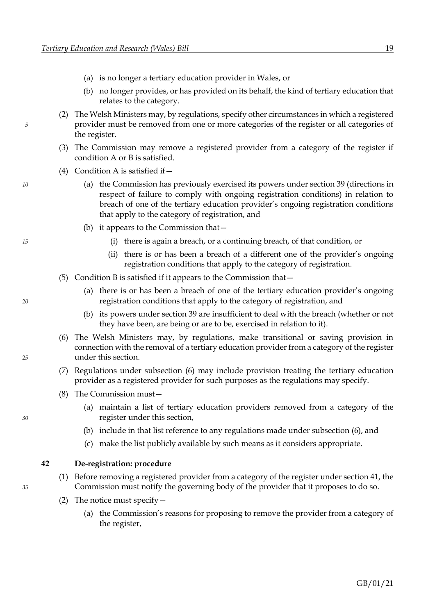- <span id="page-25-2"></span>(a) is no longer a tertiary education provider in Wales, or
- (b) no longer provides, or has provided on its behalf, the kind of tertiary education that relates to the category.
- <span id="page-25-1"></span>(2) The Welsh Ministers may, by regulations, specify other circumstances in which a registered *5* provider must be removed from one or more categories of the register or all categories of the register.
	- (3) The Commission may remove a registered provider from a category of the register if condition A or B is satisfied.
	- (4) Condition A is satisfied if—
- *10* (a) the Commission has previously exercised its powers under section [39](#page-24-2) (directions in respect of failure to comply with ongoing registration conditions) in relation to breach of one of the tertiary education provider's ongoing registration conditions that apply to the category of registration, and
	- (b) it appears to the Commission that—
- *15* (i) there is again a breach, or a continuing breach, of that condition, or
	- (ii) there is or has been a breach of a different one of the provider's ongoing registration conditions that apply to the category of registration.
	- (5) Condition B is satisfied if it appears to the Commission that—
- (a) there is or has been a breach of one of the tertiary education provider's ongoing *20* registration conditions that apply to the category of registration, and
	- (b) its powers under section [39](#page-24-2) are insufficient to deal with the breach (whether or not they have been, are being or are to be, exercised in relation to it).
- <span id="page-25-0"></span>(6) The Welsh Ministers may, by regulations, make transitional or saving provision in connection with the removal of a tertiary education provider from a category of the register *25* under this section.
	- (7) Regulations under subsection [\(6\)](#page-25-0) may include provision treating the tertiary education provider as a registered provider for such purposes as the regulations may specify.
	- (8) The Commission must—
- (a) maintain a list of tertiary education providers removed from a category of the *30* register under this section,
	- (b) include in that list reference to any regulations made under subsection [\(6\),](#page-25-0) and
	- (c) make the list publicly available by such means as it considers appropriate.

#### **42 De-registration: procedure**

- (1) Before removing a registered provider from a category of the register under section [41,](#page-24-2) the *35* Commission must notify the governing body of the provider that it proposes to do so.
	- (2) The notice must specify—
		- (a) the Commission's reasons for proposing to remove the provider from a category of the register,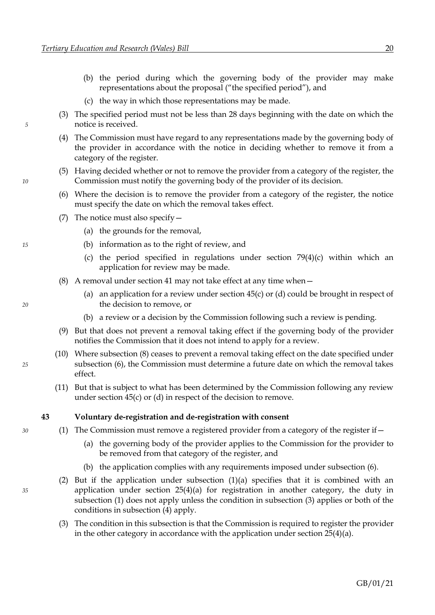- <span id="page-26-5"></span>(b) the period during which the governing body of the provider may make representations about the proposal ("the specified period"), and
- (c) the way in which those representations may be made.
- (3) The specified period must not be less than 28 days beginning with the date on which the *5* notice is received.
	- (4) The Commission must have regard to any representations made by the governing body of the provider in accordance with the notice in deciding whether to remove it from a category of the register.
- <span id="page-26-1"></span>(5) Having decided whether or not to remove the provider from a category of the register, the *10* Commission must notify the governing body of the provider of its decision.
	- (6) Where the decision is to remove the provider from a category of the register, the notice must specify the date on which the removal takes effect.
	- (7) The notice must also specify—
		- (a) the grounds for the removal,
- *15* (b) information as to the right of review, and
	- [\(c\)](#page-46-2) the period specified in regulations under section  $79(4)(c)$  $79(4)(c)$  $79(4)(c)$  within which an application for review may be made.
	- (8) A removal under section [41](#page-24-2) may not take effect at any time when—
- <span id="page-26-0"></span>(a) an application for a review under section [45](#page-28-0)[\(c\)](#page-28-2) o[r \(d\)](#page-28-3) could be brought in respect of *20* the decision to remove, or
	- (b) a review or a decision by the Commission following such a review is pending.
	- (9) But that does not prevent a removal taking effect if the governing body of the provider notifies the Commission that it does not intend to apply for a review.
- (10) Where subsection [\(8\)](#page-26-0) ceases to prevent a removal taking effect on the date specified under *25* subsection [\(6\),](#page-26-1) the Commission must determine a future date on which the removal takes effect.
	- (11) But that is subject to what has been determined by the Commission following any review under section [45](#page-28-0)[\(c\)](#page-28-2) or [\(d\)](#page-28-3) in respect of the decision to remove.

#### <span id="page-26-3"></span><span id="page-26-2"></span>**43 Voluntary de-registration and de-registration with consent**

- *30* (1) The Commission must remove a registered provider from a category of the register if—
	- (a) the governing body of the provider applies to the Commission for the provider to be removed from that category of the register, and
	- (b) the application complies with any requirements imposed under subsection [\(6\).](#page-27-0)
- <span id="page-26-4"></span>(2) But if the application under subsection  $(1)(a)$  $(1)(a)$  specifies that it is combined with an *35* application under section [25](#page-16-4)[\(4\)](#page-16-3)[\(a\)](#page-16-5) for registration in another category, the duty in subsection [\(1\)](#page-26-2) does not apply unless the condition in subsection [\(3\)](#page-26-4) applies or both of the conditions in subsection [\(4\)](#page-27-1) apply.
	- (3) The condition in this subsection is that the Commission is required to register the provider in the other category in accordance with the application under section  $25(4)(a)$  $25(4)(a)$  $25(4)(a)$ .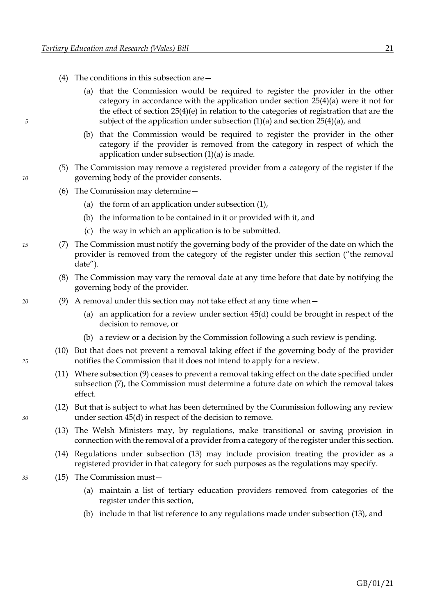- <span id="page-27-1"></span>(4) The conditions in this subsection are—
- (a) that the Commission would be required to register the provider in the other category in accordance with the application under section [25](#page-16-4)[\(4\)](#page-16-3)[\(a\)](#page-16-5) were it not for the effect of section [25](#page-16-4)[\(4\)](#page-16-3)[\(e\)](#page-16-6) in relation to the categories of registration that are the *5* subject of the application under subsection [\(1\)](#page-26-2)[\(a\)](#page-26-3) and section [25](#page-16-4)[\(4\)](#page-16-3)[\(a\),](#page-16-5) and
	- (b) that the Commission would be required to register the provider in the other category if the provider is removed from the category in respect of which the application under subsection [\(1\)](#page-26-2)[\(a\)](#page-26-3) is made.
- <span id="page-27-5"></span><span id="page-27-0"></span>(5) The Commission may remove a registered provider from a category of the register if the *10* governing body of the provider consents.
	- (6) The Commission may determine—
		- (a) the form of an application under subsection [\(1\),](#page-26-2)
		- (b) the information to be contained in it or provided with it, and
		- (c) the way in which an application is to be submitted.
- <span id="page-27-3"></span>*15* (7) The Commission must notify the governing body of the provider of the date on which the provider is removed from the category of the register under this section ("the removal date").
	- (8) The Commission may vary the removal date at any time before that date by notifying the governing body of the provider.
- <span id="page-27-6"></span><span id="page-27-2"></span>*20* (9) A removal under this section may not take effect at any time when—
	- (a) an application for a review under section [45](#page-28-0)[\(d\)](#page-28-3) could be brought in respect of the decision to remove, or
	- (b) a review or a decision by the Commission following a such review is pending.
- (10) But that does not prevent a removal taking effect if the governing body of the provider *25* notifies the Commission that it does not intend to apply for a review.
	- (11) Where subsection [\(9\)](#page-27-2) ceases to prevent a removal taking effect on the date specified under subsection [\(7\),](#page-27-3) the Commission must determine a future date on which the removal takes effect.
- <span id="page-27-4"></span>(12) But that is subject to what has been determined by the Commission following any review *30* under section [45](#page-28-0)[\(d\)](#page-28-3) in respect of the decision to remove.
	- (13) The Welsh Ministers may, by regulations, make transitional or saving provision in connection with the removal of a provider from a category of the register under this section.
	- (14) Regulations under subsection [\(13\)](#page-27-4) may include provision treating the provider as a registered provider in that category for such purposes as the regulations may specify.
- *35* (15) The Commission must—
	- (a) maintain a list of tertiary education providers removed from categories of the register under this section,
	- (b) include in that list reference to any regulations made under subsection [\(13\),](#page-27-4) and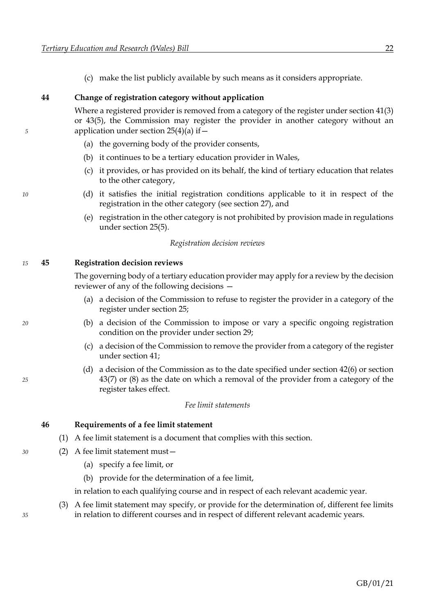(c) make the list publicly available by such means as it considers appropriate.

#### <span id="page-28-0"></span>**44 Change of registration category without application**

Where a registered provider is removed from a category of the register under section [41](#page-24-2)[\(3\)](#page-25-1) or [43](#page-26-5)[\(5\),](#page-27-5) the Commission may register the provider in another category without an *5* application under section [25](#page-16-4)[\(4\)](#page-16-3)[\(a\)](#page-16-5) if—

- (a) the governing body of the provider consents,
- (b) it continues to be a tertiary education provider in Wales,
- (c) it provides, or has provided on its behalf, the kind of tertiary education that relates to the other category,
- *10* (d) it satisfies the initial registration conditions applicable to it in respect of the registration in the other category (see sectio[n 27\)](#page-18-0), and
	- (e) registration in the other category is not prohibited by provision made in regulations under section [25](#page-16-4)[\(5\).](#page-16-0)

#### *Registration decision reviews*

#### *15* **45 Registration decision reviews**

The governing body of a tertiary education provider may apply for a review by the decision reviewer of any of the following decisions —

- <span id="page-28-2"></span><span id="page-28-1"></span>(a) a decision of the Commission to refuse to register the provider in a category of the register under section [25;](#page-16-4)
- *20* (b) a decision of the Commission to impose or vary a specific ongoing registration condition on the provider under section [29;](#page-19-0)
	- (c) a decision of the Commission to remove the provider from a category of the register under section [41;](#page-24-2)
- <span id="page-28-3"></span>(d) a decision of the Commission as to the date specified under section [42](#page-25-2)[\(6\)](#page-26-1) or section *25* [43](#page-26-5)[\(7\)](#page-27-3) or [\(8\)](#page-27-6) as the date on which a removal of the provider from a category of the register takes effect.

#### *Fee limit statements*

**46 Requirements of a fee limit statement**

- (1) A fee limit statement is a document that complies with this section.
- *30* (2) A fee limit statement must—
	- (a) specify a fee limit, or
	- (b) provide for the determination of a fee limit,

in relation to each qualifying course and in respect of each relevant academic year.

(3) A fee limit statement may specify, or provide for the determination of, different fee limits *35* in relation to different courses and in respect of different relevant academic years.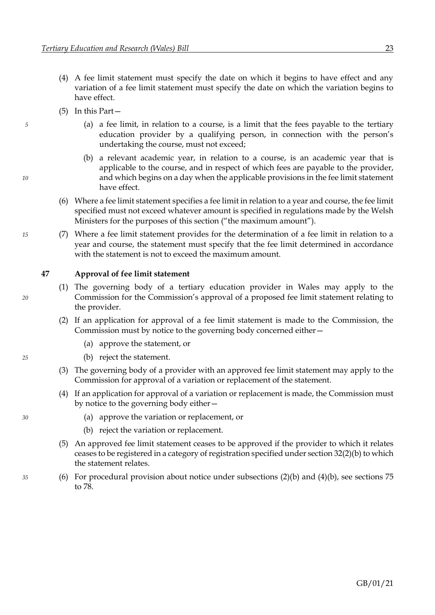- <span id="page-29-0"></span>(4) A fee limit statement must specify the date on which it begins to have effect and any variation of a fee limit statement must specify the date on which the variation begins to have effect.
- (5) In this Part—
- *5* (a) a fee limit, in relation to a course, is a limit that the fees payable to the tertiary education provider by a qualifying person, in connection with the person's undertaking the course, must not exceed;
- (b) a relevant academic year, in relation to a course, is an academic year that is applicable to the course, and in respect of which fees are payable to the provider, *10* and which begins on a day when the applicable provisions in the fee limit statement have effect.
	- (6) Where a fee limit statement specifies a fee limit in relation to a year and course, the fee limit specified must not exceed whatever amount is specified in regulations made by the Welsh Ministers for the purposes of this section ("the maximum amount").
- *15* (7) Where a fee limit statement provides for the determination of a fee limit in relation to a year and course, the statement must specify that the fee limit determined in accordance with the statement is not to exceed the maximum amount.

#### <span id="page-29-1"></span>**47 Approval of fee limit statement**

- (1) The governing body of a tertiary education provider in Wales may apply to the *20* Commission for the Commission's approval of a proposed fee limit statement relating to the provider.
	- (2) If an application for approval of a fee limit statement is made to the Commission, the Commission must by notice to the governing body concerned either—
		- (a) approve the statement, or
- <span id="page-29-2"></span>*25* (b) reject the statement.
	- (3) The governing body of a provider with an approved fee limit statement may apply to the Commission for approval of a variation or replacement of the statement.
	- (4) If an application for approval of a variation or replacement is made, the Commission must by notice to the governing body either—
- <span id="page-29-4"></span><span id="page-29-3"></span>*30* (a) approve the variation or replacement, or
	- (b) reject the variation or replacement.
	- (5) An approved fee limit statement ceases to be approved if the provider to which it relates ceases to be registered in a category of registration specified under sectio[n 32](#page-21-1)[\(2\)](#page-21-2)[\(b\)](#page-21-3) to which the statement relates.
- *35* (6) For procedural provision about notice under subsections [\(2\)](#page-29-1)[\(b\)](#page-29-2) and [\(4\)](#page-29-3)[\(b\),](#page-29-4) see sections [75](#page-44-0) to [78.](#page-46-0)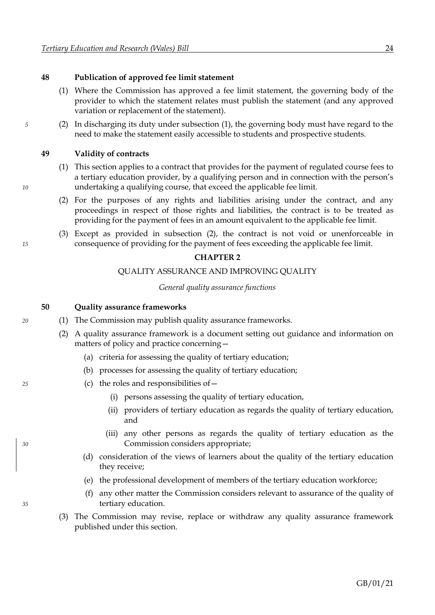#### **48 Publication of approved fee limit statement**

- <span id="page-30-0"></span>(1) Where the Commission has approved a fee limit statement, the governing body of the provider to which the statement relates must publish the statement (and any approved variation or replacement of the statement).
- *5* (2) In discharging its duty under subsection [\(1\),](#page-30-0) the governing body must have regard to the need to make the statement easily accessible to students and prospective students.

#### <span id="page-30-1"></span>**49 Validity of contracts**

- (1) This section applies to a contract that provides for the payment of regulated course fees to a tertiary education provider, by a qualifying person and in connection with the person's *10* undertaking a qualifying course, that exceed the applicable fee limit.
	- (2) For the purposes of any rights and liabilities arising under the contract, and any proceedings in respect of those rights and liabilities, the contract is to be treated as providing for the payment of fees in an amount equivalent to the applicable fee limit.
- (3) Except as provided in subsection [\(2\),](#page-30-1) the contract is not void or unenforceable in *15* consequence of providing for the payment of fees exceeding the applicable fee limit.

#### **CHAPTER 2**

#### QUALITY ASSURANCE AND IMPROVING QUALITY

*General quality assurance functions*

#### **50 Quality assurance frameworks**

- *20* (1) The Commission may publish quality assurance frameworks.
	- (2) A quality assurance framework is a document setting out guidance and information on matters of policy and practice concerning—
		- (a) criteria for assessing the quality of tertiary education;
		- (b) processes for assessing the quality of tertiary education;
- *25* (c) the roles and responsibilities of—
	- (i) persons assessing the quality of tertiary education,
	- (ii) providers of tertiary education as regards the quality of tertiary education, and
- (iii) any other persons as regards the quality of tertiary education as the *30* Commission considers appropriate;
	- (d) consideration of the views of learners about the quality of the tertiary education they receive;
	- (e) the professional development of members of the tertiary education workforce;
- (f) any other matter the Commission considers relevant to assurance of the quality of *35* tertiary education.
	- (3) The Commission may revise, replace or withdraw any quality assurance framework published under this section.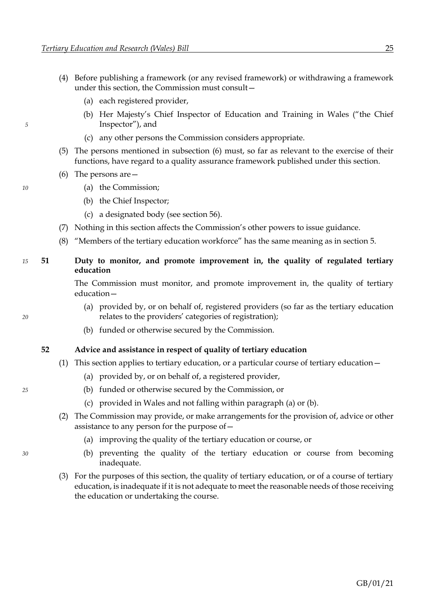- (4) Before publishing a framework (or any revised framework) or withdrawing a framework under this section, the Commission must consult—
	- (a) each registered provider,
- (b) Her Majesty's Chief Inspector of Education and Training in Wales ("the Chief *5* Inspector"), and
	- (c) any other persons the Commission considers appropriate.
	- (5) The persons mentioned in subsection [\(6\)](#page-31-0) must, so far as relevant to the exercise of their functions, have regard to a quality assurance framework published under this section.
	- (6) The persons are—
- <span id="page-31-0"></span>*10* (a) the Commission;
	- (b) the Chief Inspector;
	- (c) a designated body (see sectio[n 56\)](#page-33-0).
	- (7) Nothing in this section affects the Commission's other powers to issue guidance.
	- (8) "Members of the tertiary education workforce" has the same meaning as in section [5.](#page-8-0)

# *15* **51 Duty to monitor, and promote improvement in, the quality of regulated tertiary education**

The Commission must monitor, and promote improvement in, the quality of tertiary education—

- (a) provided by, or on behalf of, registered providers (so far as the tertiary education *20* relates to the providers' categories of registration);
	- (b) funded or otherwise secured by the Commission.

#### **52 Advice and assistance in respect of quality of tertiary education**

- <span id="page-31-2"></span><span id="page-31-1"></span>(1) This section applies to tertiary education, or a particular course of tertiary education—
	- (a) provided by, or on behalf of, a registered provider,
- *25* (b) funded or otherwise secured by the Commission, or
	- (c) provided in Wales and not falling within paragraph [\(a\)](#page-31-1) or [\(b\).](#page-31-2)
	- (2) The Commission may provide, or make arrangements for the provision of, advice or other assistance to any person for the purpose of—
		- (a) improving the quality of the tertiary education or course, or
- *30* (b) preventing the quality of the tertiary education or course from becoming inadequate.
	- (3) For the purposes of this section, the quality of tertiary education, or of a course of tertiary education, is inadequate if it is not adequate to meet the reasonable needs of those receiving the education or undertaking the course.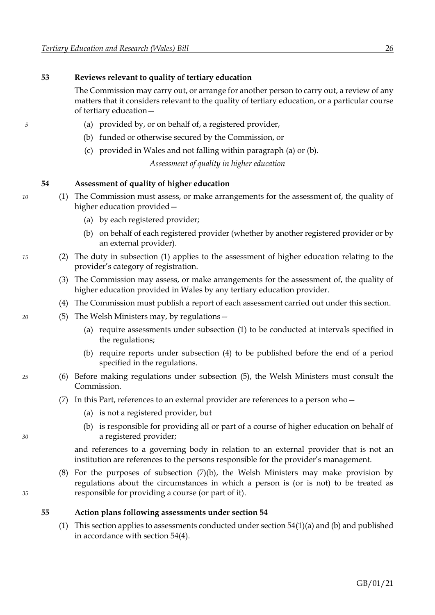### <span id="page-32-7"></span>**53 Reviews relevant to quality of tertiary education**

<span id="page-32-1"></span><span id="page-32-0"></span>The Commission may carry out, or arrange for another person to carry out, a review of any matters that it considers relevant to the quality of tertiary education, or a particular course of tertiary education—

- *5* (a) provided by, or on behalf of, a registered provider,
	- (b) funded or otherwise secured by the Commission, or
	- (c) provided in Wales and not falling within paragraph [\(a\)](#page-32-0) or [\(b\).](#page-32-1)

*Assessment of quality in higher education*

# <span id="page-32-9"></span><span id="page-32-8"></span><span id="page-32-2"></span>**54 Assessment of quality of higher education**

- *10* (1) The Commission must assess, or make arrangements for the assessment of, the quality of higher education provided—
	- (a) by each registered provider;
	- (b) on behalf of each registered provider (whether by another registered provider or by an external provider).
- *15* (2) The duty in subsection [\(1\)](#page-32-2) applies to the assessment of higher education relating to the provider's category of registration.
	- (3) The Commission may assess, or make arrangements for the assessment of, the quality of higher education provided in Wales by any tertiary education provider.
	- (4) The Commission must publish a report of each assessment carried out under this section.
- <span id="page-32-4"></span><span id="page-32-3"></span>*20* (5) The Welsh Ministers may, by regulations—
	- (a) require assessments under subsection [\(1\)](#page-32-2) to be conducted at intervals specified in the regulations;
	- (b) require reports under subsection [\(4\)](#page-32-3) to be published before the end of a period specified in the regulations.
- <span id="page-32-5"></span>*25* (6) Before making regulations under subsection [\(5\),](#page-32-4) the Welsh Ministers must consult the Commission.
	- (7) In this Part, references to an external provider are references to a person who—
		- (a) is not a registered provider, but
- (b) is responsible for providing all or part of a course of higher education on behalf of *30* a registered provider;

<span id="page-32-6"></span>and references to a governing body in relation to an external provider that is not an institution are references to the persons responsible for the provider's management.

(8) For the purposes of subsection [\(7\)](#page-32-5)[\(b\),](#page-32-6) the Welsh Ministers may make provision by regulations about the circumstances in which a person is (or is not) to be treated as *35* responsible for providing a course (or part of it).

#### **55 Action plans following assessments under section [54](#page-32-7)**

[\(1\)](#page-32-2) This section applies to assessments conducted under section  $54(1)(a)$  $54(1)(a)$  an[d \(b\)](#page-32-9) and published in accordance with section [54](#page-32-7)[\(4\).](#page-32-3)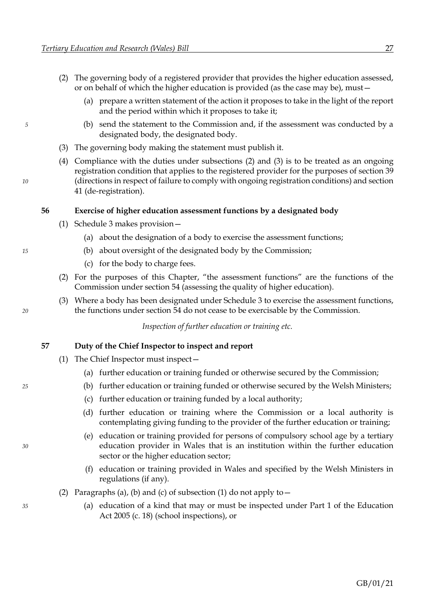- <span id="page-33-1"></span><span id="page-33-0"></span>(2) The governing body of a registered provider that provides the higher education assessed, or on behalf of which the higher education is provided (as the case may be), must—
	- (a) prepare a written statement of the action it proposes to take in the light of the report and the period within which it proposes to take it;
- <span id="page-33-2"></span>*5* (b) send the statement to the Commission and, if the assessment was conducted by a designated body, the designated body.
	- (3) The governing body making the statement must publish it.
- (4) Compliance with the duties under subsections [\(2\)](#page-33-1) and [\(3\)](#page-33-2) is to be treated as an ongoing registration condition that applies to the registered provider for the purposes of sectio[n 39](#page-24-2) *10* (directions in respect of failure to comply with ongoing registration conditions) and section [41](#page-24-2) (de-registration).

#### **56 Exercise of higher education assessment functions by a designated body**

- (1) Schedule [3](#page-102-0) makes provision—
	- (a) about the designation of a body to exercise the assessment functions;
- *15* (b) about oversight of the designated body by the Commission;
	- (c) for the body to charge fees.
	- (2) For the purposes of this Chapter, "the assessment functions" are the functions of the Commission under section [54](#page-32-7) (assessing the quality of higher education).
- (3) Where a body has been designated under Schedule [3](#page-102-0) to exercise the assessment functions, *20* the functions under section [54](#page-32-7) do not cease to be exercisable by the Commission.

*Inspection of further education or training etc.*

#### **57 Duty of the Chief Inspector to inspect and report**

- <span id="page-33-7"></span><span id="page-33-6"></span><span id="page-33-5"></span><span id="page-33-4"></span><span id="page-33-3"></span>(1) The Chief Inspector must inspect—
	- (a) further education or training funded or otherwise secured by the Commission;
- *25* (b) further education or training funded or otherwise secured by the Welsh Ministers;
	- (c) further education or training funded by a local authority;
	- (d) further education or training where the Commission or a local authority is contemplating giving funding to the provider of the further education or training;
- (e) education or training provided for persons of compulsory school age by a tertiary *30* education provider in Wales that is an institution within the further education sector or the higher education sector;
	- (f) education or training provided in Wales and specified by the Welsh Ministers in regulations (if any).
	- (2) Paragraphs [\(a\),](#page-33-3) [\(b\)](#page-33-4) and [\(c\)](#page-33-5) of subsection [\(1\)](#page-33-6) do not apply to  $-$
- *35* (a) education of a kind that may or must be inspected under Part 1 of the Education Act 2005 (c. 18) (school inspections), or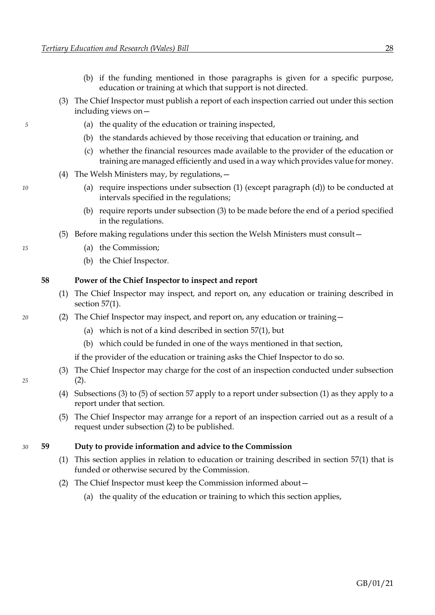- (b) if the funding mentioned in those paragraphs is given for a specific purpose, education or training at which that support is not directed.
- <span id="page-34-0"></span>(3) The Chief Inspector must publish a report of each inspection carried out under this section including views on—
- *5* (a) the quality of the education or training inspected,
	- (b) the standards achieved by those receiving that education or training, and
	- (c) whether the financial resources made available to the provider of the education or training are managed efficiently and used in a way which provides value for money.
	- (4) The Welsh Ministers may, by regulations,—
- *10* (a) require inspections under subsection [\(1\)](#page-33-6) (except paragraph [\(d\)\)](#page-33-7) to be conducted at intervals specified in the regulations;
	- (b) require reports under subsection [\(3\)](#page-34-0) to be made before the end of a period specified in the regulations.
	- (5) Before making regulations under this section the Welsh Ministers must consult—
- <span id="page-34-2"></span>*15* (a) the Commission;
	- (b) the Chief Inspector.

#### **58 Power of the Chief Inspector to inspect and report**

- <span id="page-34-3"></span><span id="page-34-1"></span>(1) The Chief Inspector may inspect, and report on, any education or training described in section [57](#page-33-0)[\(1\).](#page-33-6)
- *20* (2) The Chief Inspector may inspect, and report on, any education or training—
	- (a) which is not of a kind described in section [57](#page-33-0)[\(1\),](#page-33-6) but
	- (b) which could be funded in one of the ways mentioned in that section,
	- if the provider of the education or training asks the Chief Inspector to do so.
- (3) The Chief Inspector may charge for the cost of an inspection conducted under subsection *25* [\(2\).](#page-34-1)
	- (4) Subsections [\(3\)](#page-34-0) t[o \(5\)](#page-34-2) of section [57](#page-33-0) apply to a report under subsection [\(1\)](#page-34-3) as they apply to a report under that section.
	- (5) The Chief Inspector may arrange for a report of an inspection carried out as a result of a request under subsection [\(2\)](#page-34-1) to be published.

#### *30* **59 Duty to provide information and advice to the Commission**

- (1) This section applies in relation to education or training described in section [57](#page-33-0)[\(1\)](#page-33-6) that is funded or otherwise secured by the Commission.
- (2) The Chief Inspector must keep the Commission informed about—
	- (a) the quality of the education or training to which this section applies,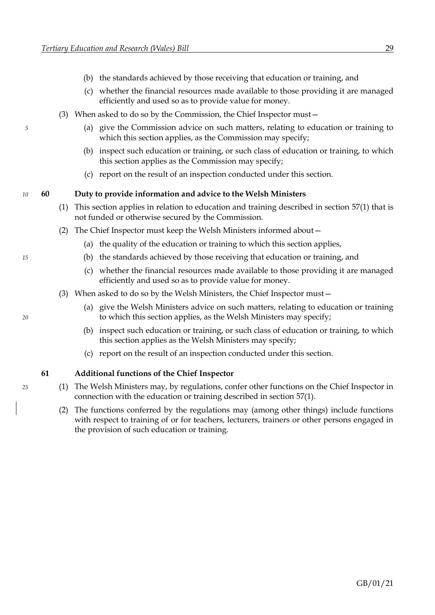- (b) the standards achieved by those receiving that education or training, and
- (c) whether the financial resources made available to those providing it are managed efficiently and used so as to provide value for money.
- (3) When asked to do so by the Commission, the Chief Inspector must—
- *5* (a) give the Commission advice on such matters, relating to education or training to which this section applies, as the Commission may specify;
	- (b) inspect such education or training, or such class of education or training, to which this section applies as the Commission may specify;
	- (c) report on the result of an inspection conducted under this section.

#### *10* **60 Duty to provide information and advice to the Welsh Ministers**

- (1) This section applies in relation to education and training described in section [57](#page-33-0)[\(1\)](#page-33-6) that is not funded or otherwise secured by the Commission.
- (2) The Chief Inspector must keep the Welsh Ministers informed about—
	- (a) the quality of the education or training to which this section applies,
- *15* (b) the standards achieved by those receiving that education or training, and
	- (c) whether the financial resources made available to those providing it are managed efficiently and used so as to provide value for money.
	- (3) When asked to do so by the Welsh Ministers, the Chief Inspector must—
- (a) give the Welsh Ministers advice on such matters, relating to education or training *20* to which this section applies, as the Welsh Ministers may specify;
	- (b) inspect such education or training, or such class of education or training, to which this section applies as the Welsh Ministers may specify;
	- (c) report on the result of an inspection conducted under this section.

#### **61 Additional functions of the Chief Inspector**

- *25* (1) The Welsh Ministers may, by regulations, confer other functions on the Chief Inspector in connection with the education or training described in section [57](#page-33-0)[\(1\).](#page-33-6)
	- (2) The functions conferred by the regulations may (among other things) include functions with respect to training of or for teachers, lecturers, trainers or other persons engaged in the provision of such education or training.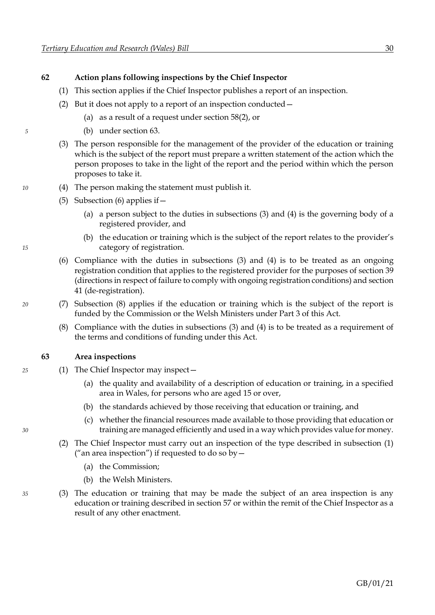#### <span id="page-36-0"></span>**62 Action plans following inspections by the Chief Inspector**

- (1) This section applies if the Chief Inspector publishes a report of an inspection.
- <span id="page-36-2"></span>(2) But it does not apply to a report of an inspection conducted—
	- (a) as a result of a request under section [58](#page-34-0)[\(2\),](#page-34-1) or
- *5* (b) under section [63.](#page-36-0)
	- (3) The person responsible for the management of the provider of the education or training which is the subject of the report must prepare a written statement of the action which the person proposes to take in the light of the report and the period within which the person proposes to take it.
- <span id="page-36-3"></span>*10* (4) The person making the statement must publish it.
	- (5) Subsection [\(6\)](#page-36-1) applies if  $-$ 
		- (a) a person subject to the duties in subsections [\(3\)](#page-36-2) and [\(4\)](#page-36-3) is the governing body of a registered provider, and
- <span id="page-36-1"></span>(b) the education or training which is the subject of the report relates to the provider's *15* category of registration.
	- (6) Compliance with the duties in subsections [\(3\)](#page-36-2) and [\(4\)](#page-36-3) is to be treated as an ongoing registration condition that applies to the registered provider for the purposes of sectio[n 39](#page-24-0) (directions in respect of failure to comply with ongoing registration conditions) and section [41](#page-24-0) (de-registration).
- *20* (7) Subsection [\(8\)](#page-36-4) applies if the education or training which is the subject of the report is funded by the Commission or the Welsh Ministers under Part [3](#page-50-0) of this Act.
	- (8) Compliance with the duties in subsections [\(3\)](#page-36-2) and [\(4\)](#page-36-3) is to be treated as a requirement of the terms and conditions of funding under this Act.

#### <span id="page-36-5"></span><span id="page-36-4"></span>**63 Area inspections**

- *25* (1) The Chief Inspector may inspect—
	- (a) the quality and availability of a description of education or training, in a specified area in Wales, for persons who are aged 15 or over,
	- (b) the standards achieved by those receiving that education or training, and
- (c) whether the financial resources made available to those providing that education or *30* training are managed efficiently and used in a way which provides value for money.
	- (2) The Chief Inspector must carry out an inspection of the type described in subsection [\(1\)](#page-36-5) ("an area inspection") if requested to do so by  $-$ 
		- (a) the Commission;
		- (b) the Welsh Ministers.
- *35* (3) The education or training that may be made the subject of an area inspection is any education or training described in sectio[n 57](#page-33-0) or within the remit of the Chief Inspector as a result of any other enactment.

<span id="page-36-6"></span>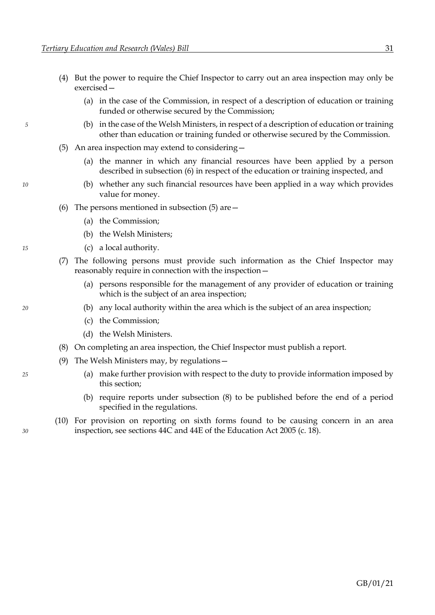- (4) But the power to require the Chief Inspector to carry out an area inspection may only be exercised—
	- (a) in the case of the Commission, in respect of a description of education or training funded or otherwise secured by the Commission;
- <span id="page-37-1"></span>*5* (b) in the case of the Welsh Ministers, in respect of a description of education or training other than education or training funded or otherwise secured by the Commission.
	- (5) An area inspection may extend to considering—
		- (a) the manner in which any financial resources have been applied by a person described in subsection [\(6\)](#page-37-0) in respect of the education or training inspected, and
- <span id="page-37-0"></span>*10* (b) whether any such financial resources have been applied in a way which provides value for money.
	- (6) The persons mentioned in subsection  $(5)$  are  $-$ 
		- (a) the Commission;
		- (b) the Welsh Ministers;
- *15* (c) a local authority.
	- (7) The following persons must provide such information as the Chief Inspector may reasonably require in connection with the inspection—
		- (a) persons responsible for the management of any provider of education or training which is the subject of an area inspection;
- *20* (b) any local authority within the area which is the subject of an area inspection;
	- (c) the Commission;
	- (d) the Welsh Ministers.
	- (8) On completing an area inspection, the Chief Inspector must publish a report.
	- (9) The Welsh Ministers may, by regulations—
- <span id="page-37-2"></span>*25* (a) make further provision with respect to the duty to provide information imposed by this section;
	- (b) require reports under subsection [\(8\)](#page-37-2) to be published before the end of a period specified in the regulations.
- (10) For provision on reporting on sixth forms found to be causing concern in an area *30* inspection, see sections 44C and 44E of the Education Act 2005 (c. 18).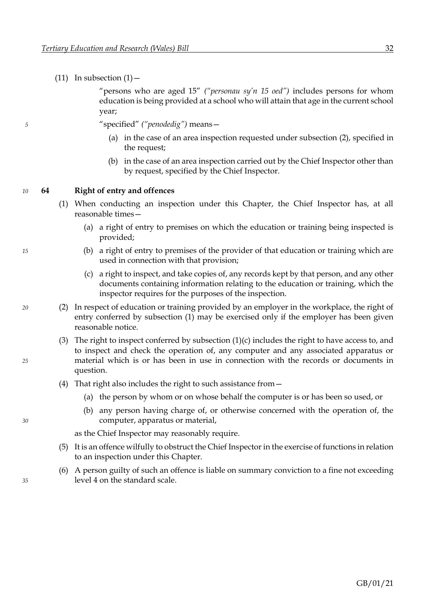<span id="page-38-1"></span><span id="page-38-0"></span>

|    |    |     | $(11)$ In subsection $(1)$ –                                                                                                                                                                                                                                                                   |
|----|----|-----|------------------------------------------------------------------------------------------------------------------------------------------------------------------------------------------------------------------------------------------------------------------------------------------------|
|    |    |     | "persons who are aged 15" ("personau sy'n 15 oed") includes persons for whom<br>education is being provided at a school who will attain that age in the current school<br>year;                                                                                                                |
| 5  |    |     | "specified" ("penodedig") means-                                                                                                                                                                                                                                                               |
|    |    |     | (a) in the case of an area inspection requested under subsection (2), specified in<br>the request;                                                                                                                                                                                             |
|    |    |     | (b) in the case of an area inspection carried out by the Chief Inspector other than<br>by request, specified by the Chief Inspector.                                                                                                                                                           |
| 10 | 64 |     | <b>Right of entry and offences</b>                                                                                                                                                                                                                                                             |
|    |    | (1) | When conducting an inspection under this Chapter, the Chief Inspector has, at all<br>reasonable times-                                                                                                                                                                                         |
|    |    |     | (a) a right of entry to premises on which the education or training being inspected is<br>provided;                                                                                                                                                                                            |
| 15 |    |     | (b) a right of entry to premises of the provider of that education or training which are<br>used in connection with that provision;                                                                                                                                                            |
|    |    |     | (c) a right to inspect, and take copies of, any records kept by that person, and any other<br>documents containing information relating to the education or training, which the<br>inspector requires for the purposes of the inspection.                                                      |
| 20 |    | (2) | In respect of education or training provided by an employer in the workplace, the right of<br>entry conferred by subsection (1) may be exercised only if the employer has been given<br>reasonable notice.                                                                                     |
| 25 |    |     | (3) The right to inspect conferred by subsection $(1)(c)$ includes the right to have access to, and<br>to inspect and check the operation of, any computer and any associated apparatus or<br>material which is or has been in use in connection with the records or documents in<br>question. |
|    |    |     | (4) That right also includes the right to such assistance from $-$                                                                                                                                                                                                                             |
|    |    |     | (a) the person by whom or on whose behalf the computer is or has been so used, or                                                                                                                                                                                                              |
| 30 |    |     | (b) any person having charge of, or otherwise concerned with the operation of, the<br>computer, apparatus or material,                                                                                                                                                                         |
|    |    |     | as the Chief Inspector may reasonably require.                                                                                                                                                                                                                                                 |
|    |    | (5) | It is an offence wilfully to obstruct the Chief Inspector in the exercise of functions in relation<br>to an inspection under this Chapter.                                                                                                                                                     |
| 35 |    | (6) | A person guilty of such an offence is liable on summary conviction to a fine not exceeding<br>level 4 on the standard scale.                                                                                                                                                                   |
|    |    |     |                                                                                                                                                                                                                                                                                                |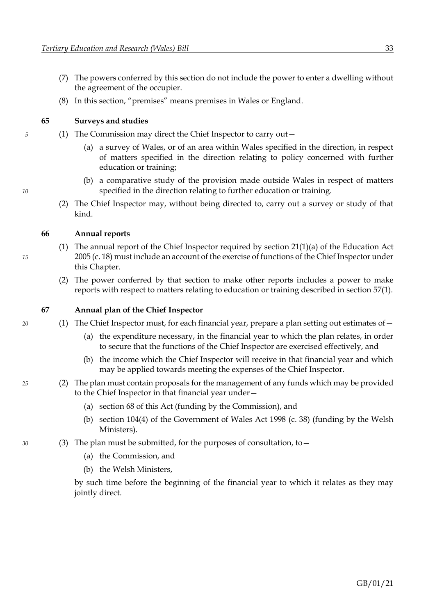- <span id="page-39-0"></span>(7) The powers conferred by this section do not include the power to enter a dwelling without the agreement of the occupier.
- (8) In this section, "premises" means premises in Wales or England.

#### **65 Surveys and studies**

- *5* (1) The Commission may direct the Chief Inspector to carry out—
	- (a) a survey of Wales, or of an area within Wales specified in the direction, in respect of matters specified in the direction relating to policy concerned with further education or training;
- (b) a comparative study of the provision made outside Wales in respect of matters *10* specified in the direction relating to further education or training.
	- (2) The Chief Inspector may, without being directed to, carry out a survey or study of that kind.

#### **66 Annual reports**

- (1) The annual report of the Chief Inspector required by section  $21(1)(a)$  of the Education Act *15* 2005 (c. 18) must include an account of the exercise of functions of the Chief Inspector under this Chapter.
	- (2) The power conferred by that section to make other reports includes a power to make reports with respect to matters relating to education or training described in section [57](#page-33-0)[\(1\).](#page-33-1)

#### **67 Annual plan of the Chief Inspector**

- *20* (1) The Chief Inspector must, for each financial year, prepare a plan setting out estimates of—
	- (a) the expenditure necessary, in the financial year to which the plan relates, in order to secure that the functions of the Chief Inspector are exercised effectively, and
	- (b) the income which the Chief Inspector will receive in that financial year and which may be applied towards meeting the expenses of the Chief Inspector.
- *25* (2) The plan must contain proposals for the management of any funds which may be provided to the Chief Inspector in that financial year under—
	- (a) section [68](#page-40-0) of this Act (funding by the Commission), and
	- (b) section 104(4) of the Government of Wales Act 1998 (c. 38) (funding by the Welsh Ministers).
- *30* (3) The plan must be submitted, for the purposes of consultation, to—
	- (a) the Commission, and
	- (b) the Welsh Ministers,

by such time before the beginning of the financial year to which it relates as they may jointly direct.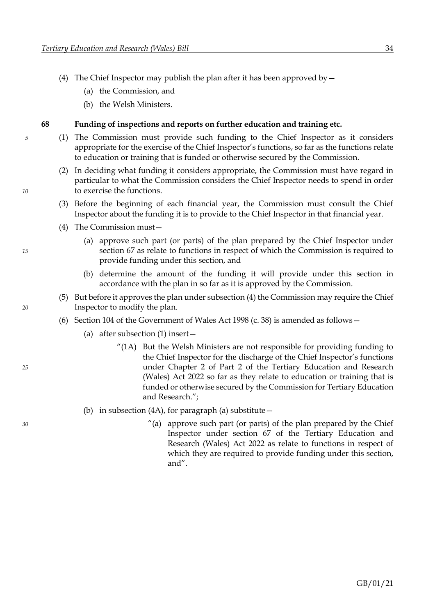- <span id="page-40-0"></span>(4) The Chief Inspector may publish the plan after it has been approved by  $-$ 
	- (a) the Commission, and
	- (b) the Welsh Ministers.

#### **68 Funding of inspections and reports on further education and training etc.**

- *5* (1) The Commission must provide such funding to the Chief Inspector as it considers appropriate for the exercise of the Chief Inspector's functions, so far as the functions relate to education or training that is funded or otherwise secured by the Commission.
- (2) In deciding what funding it considers appropriate, the Commission must have regard in particular to what the Commission considers the Chief Inspector needs to spend in order *10* to exercise the functions.
	- (3) Before the beginning of each financial year, the Commission must consult the Chief Inspector about the funding it is to provide to the Chief Inspector in that financial year.
	- (4) The Commission must—
- (a) approve such part (or parts) of the plan prepared by the Chief Inspector under *15* section [67](#page-39-0) as relate to functions in respect of which the Commission is required to provide funding under this section, and
	- (b) determine the amount of the funding it will provide under this section in accordance with the plan in so far as it is approved by the Commission.
- (5) But before it approves the plan under subsectio[n \(4\)](#page-40-1) the Commission may require the Chief *20* Inspector to modify the plan.
	- (6) Section 104 of the Government of Wales Act 1998 (c. 38) is amended as follows—
		- (a) after subsection (1) insert—
- "(1A) But the Welsh Ministers are not responsible for providing funding to the Chief Inspector for the discharge of the Chief Inspector's functions *25* under Chapter [2](#page-30-0) of Part [2](#page-16-0) of the Tertiary Education and Research (Wales) Act 2022 so far as they relate to education or training that is funded or otherwise secured by the Commission for Tertiary Education and Research.";
	- (b) in subsection (4A), for paragraph (a) substitute  $-$
- *30* "(a) approve such part (or parts) of the plan prepared by the Chief Inspector under section [67](#page-39-0) of the Tertiary Education and Research (Wales) Act 2022 as relate to functions in respect of which they are required to provide funding under this section, and".

<span id="page-40-1"></span>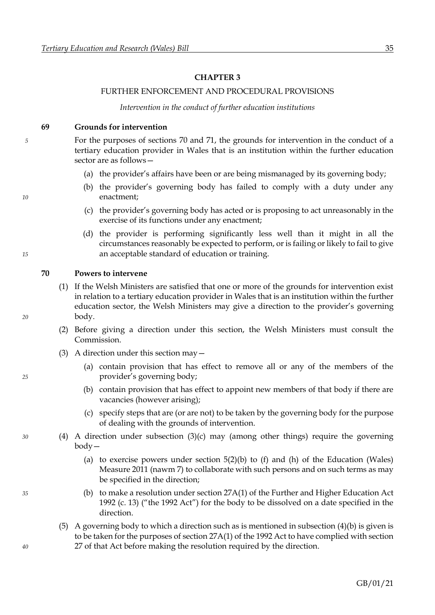#### **CHAPTER 3**

#### FURTHER ENFORCEMENT AND PROCEDURAL PROVISIONS

*Intervention in the conduct of further education institutions*

#### <span id="page-41-0"></span>**69 Grounds for intervention**

*5* For the purposes of sections [70](#page-41-0) and [71,](#page-42-0) the grounds for intervention in the conduct of a tertiary education provider in Wales that is an institution within the further education sector are as follows—

- (a) the provider's affairs have been or are being mismanaged by its governing body;
- (b) the provider's governing body has failed to comply with a duty under any *10* enactment;
	- (c) the provider's governing body has acted or is proposing to act unreasonably in the exercise of its functions under any enactment;
- (d) the provider is performing significantly less well than it might in all the circumstances reasonably be expected to perform, or is failing or likely to fail to give *15* an acceptable standard of education or training.

#### **70 Powers to intervene**

- (1) If the Welsh Ministers are satisfied that one or more of the grounds for intervention exist in relation to a tertiary education provider in Wales that is an institution within the further education sector, the Welsh Ministers may give a direction to the provider's governing *20* body.
	- (2) Before giving a direction under this section, the Welsh Ministers must consult the Commission.
	- (3) A direction under this section may—
- <span id="page-41-1"></span>(a) contain provision that has effect to remove all or any of the members of the *25* provider's governing body;
	- (b) contain provision that has effect to appoint new members of that body if there are vacancies (however arising);
	- (c) specify steps that are (or are not) to be taken by the governing body for the purpose of dealing with the grounds of intervention.
- <span id="page-41-3"></span><span id="page-41-2"></span>*30* (4) A direction under subsection [\(3\)](#page-41-1)[\(c\)](#page-41-2) may (among other things) require the governing body—
	- (a) to exercise powers under section  $5(2)(b)$  to (f) and (h) of the Education (Wales) Measure 2011 (nawm 7) to collaborate with such persons and on such terms as may be specified in the direction;
- <span id="page-41-4"></span>*35* (b) to make a resolution under section 27A(1) of the Further and Higher Education Act 1992 (c. 13) ("the 1992 Act") for the body to be dissolved on a date specified in the direction.
- (5) A governing body to which a direction such as is mentioned in subsection  $(4)(b)$  $(4)(b)$  is given is to be taken for the purposes of section 27A(1) of the 1992 Act to have complied with section *40* 27 of that Act before making the resolution required by the direction.

GB/01/21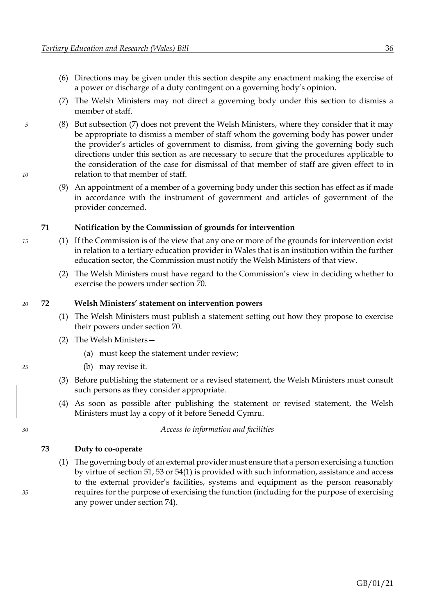- <span id="page-42-0"></span>(6) Directions may be given under this section despite any enactment making the exercise of a power or discharge of a duty contingent on a governing body's opinion.
- <span id="page-42-1"></span>(7) The Welsh Ministers may not direct a governing body under this section to dismiss a member of staff.
- *5* (8) But subsection [\(7\)](#page-42-1) does not prevent the Welsh Ministers, where they consider that it may be appropriate to dismiss a member of staff whom the governing body has power under the provider's articles of government to dismiss, from giving the governing body such directions under this section as are necessary to secure that the procedures applicable to the consideration of the case for dismissal of that member of staff are given effect to in *10* relation to that member of staff.
	- (9) An appointment of a member of a governing body under this section has effect as if made in accordance with the instrument of government and articles of government of the provider concerned.

#### **71 Notification by the Commission of grounds for intervention**

- *15* (1) If the Commission is of the view that any one or more of the grounds for intervention exist in relation to a tertiary education provider in Wales that is an institution within the further education sector, the Commission must notify the Welsh Ministers of that view.
	- (2) The Welsh Ministers must have regard to the Commission's view in deciding whether to exercise the powers under section [70.](#page-41-0)

#### *20* **72 Welsh Ministers' statement on intervention powers**

- (1) The Welsh Ministers must publish a statement setting out how they propose to exercise their powers under section [70.](#page-41-0)
- (2) The Welsh Ministers—
	- (a) must keep the statement under review;
- *25* (b) may revise it.
	- (3) Before publishing the statement or a revised statement, the Welsh Ministers must consult such persons as they consider appropriate.
	- (4) As soon as possible after publishing the statement or revised statement, the Welsh Ministers must lay a copy of it before Senedd Cymru.

*30 Access to information and facilities*

#### <span id="page-42-2"></span>**73 Duty to co-operate**

- (1) The governing body of an external provider must ensure that a person exercising a function by virtue of section [51,](#page-31-0) [53](#page-32-0) o[r 54](#page-32-0)[\(1\)](#page-32-1) is provided with such information, assistance and access to the external provider's facilities, systems and equipment as the person reasonably *35* requires for the purpose of exercising the function (including for the purpose of exercising any power under section [74\)](#page-43-0).
- 

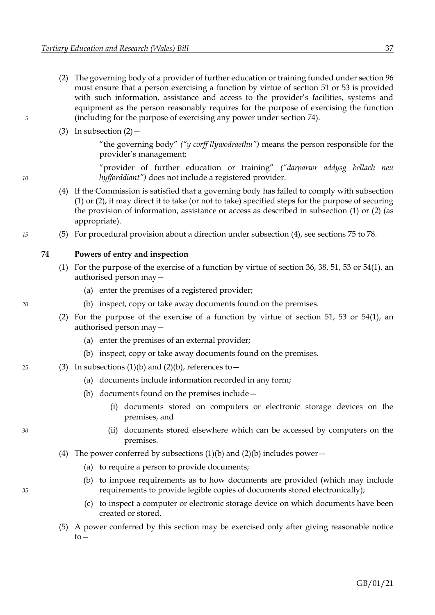- <span id="page-43-1"></span><span id="page-43-0"></span>(2) The governing body of a provider of further education or training funded under sectio[n 96](#page-56-0) must ensure that a person exercising a function by virtue of section [51](#page-31-0) or [53](#page-32-0) is provided with such information, assistance and access to the provider's facilities, systems and equipment as the person reasonably requires for the purpose of exercising the function *5* (including for the purpose of exercising any power under section [74\)](#page-43-0).
	- (3) In subsection  $(2)$  –

"the governing body" *("y corff llywodraethu")* means the person responsible for the provider's management;

"provider of further education or training" *("darparwr addysg bellach neu 10 hyfforddiant")* does not include a registered provider.

- <span id="page-43-2"></span>(4) If the Commission is satisfied that a governing body has failed to comply with subsection [\(1\)](#page-42-2) o[r \(2\),](#page-43-1) it may direct it to take (or not to take) specified steps for the purpose of securing the provision of information, assistance or access as described in subsection [\(1\)](#page-42-2) or [\(2\)](#page-43-1) (as appropriate).
- *15* (5) For procedural provision about a direction under subsection [\(4\),](#page-43-2) see sections [75](#page-44-0) to [78.](#page-46-0)

#### **74 Powers of entry and inspection**

- <span id="page-43-4"></span><span id="page-43-3"></span>(1) For the purpose of the exercise of a function by virtue of section [36,](#page-23-0) [38,](#page-24-0) [51,](#page-31-0) [53](#page-32-0) or [54](#page-32-0)[\(1\),](#page-32-1) an authorised person may—
	- (a) enter the premises of a registered provider;
- <span id="page-43-5"></span>*20* (b) inspect, copy or take away documents found on the premises.
	- (2) For the purpose of the exercise of a function by virtue of section [51,](#page-31-0) [53](#page-32-0) or [54](#page-32-0)[\(1\),](#page-32-1) an authorised person may—
		- (a) enter the premises of an external provider;
		- (b) inspect, copy or take away documents found on the premises.
- <span id="page-43-6"></span>*25* (3) In subsections [\(1\)](#page-43-3)[\(b\)](#page-43-4) and [\(2\)](#page-43-5)[\(b\),](#page-43-6) references to—
	- (a) documents include information recorded in any form;
	- (b) documents found on the premises include—
		- (i) documents stored on computers or electronic storage devices on the premises, and
- *30* (ii) documents stored elsewhere which can be accessed by computers on the premises.
	- (4) The power conferred by subsections  $(1)(b)$  $(1)(b)$  and  $(2)(b)$  includes power—
		- (a) to require a person to provide documents;
- <span id="page-43-7"></span>(b) to impose requirements as to how documents are provided (which may include *35* requirements to provide legible copies of documents stored electronically);
	- (c) to inspect a computer or electronic storage device on which documents have been created or stored.
	- (5) A power conferred by this section may be exercised only after giving reasonable notice  $to-$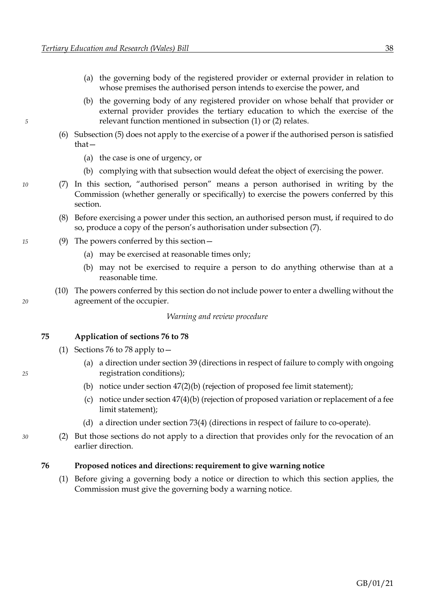- (a) the governing body of the registered provider or external provider in relation to whose premises the authorised person intends to exercise the power, and
- <span id="page-44-0"></span>(b) the governing body of any registered provider on whose behalf that provider or external provider provides the tertiary education to which the exercise of the *5* relevant function mentioned in subsection [\(1\)](#page-43-3) o[r \(2\)](#page-43-5) relates.
	- (6) Subsection [\(5\)](#page-43-7) does not apply to the exercise of a power if the authorised person is satisfied that—
		- (a) the case is one of urgency, or
		- (b) complying with that subsection would defeat the object of exercising the power.
- <span id="page-44-1"></span>*10* (7) In this section, "authorised person" means a person authorised in writing by the Commission (whether generally or specifically) to exercise the powers conferred by this section.
	- (8) Before exercising a power under this section, an authorised person must, if required to do so, produce a copy of the person's authorisation under subsection [\(7\).](#page-44-1)
- *15* (9) The powers conferred by this section—
	- (a) may be exercised at reasonable times only;
	- (b) may not be exercised to require a person to do anything otherwise than at a reasonable time.
- (10) The powers conferred by this section do not include power to enter a dwelling without the *20* agreement of the occupier.

*Warning and review procedure*

#### **75 Application of sections [76](#page-44-0) to [78](#page-46-0)**

- (1) Sections [76](#page-44-0) t[o 78](#page-46-0) apply to—
- (a) a direction under section [39](#page-24-0) (directions in respect of failure to comply with ongoing *25* registration conditions);
	- (b) notice under section [47](#page-29-0)[\(2\)](#page-29-1)[\(b\)](#page-29-2) (rejection of proposed fee limit statement);
	- (c) notice under section [47](#page-29-0)[\(4\)](#page-29-3)[\(b\)](#page-29-4) (rejection of proposed variation or replacement of a fee limit statement);
	- (d) a direction under section [73](#page-42-0)[\(4\)](#page-43-2) (directions in respect of failure to co-operate).
- *30* (2) But those sections do not apply to a direction that provides only for the revocation of an earlier direction.

#### **76 Proposed notices and directions: requirement to give warning notice**

(1) Before giving a governing body a notice or direction to which this section applies, the Commission must give the governing body a warning notice.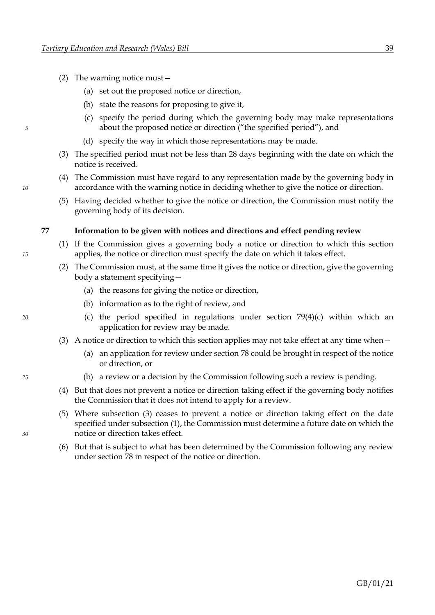- (2) The warning notice must—
	- (a) set out the proposed notice or direction,
	- (b) state the reasons for proposing to give it,
- (c) specify the period during which the governing body may make representations *5* about the proposed notice or direction ("the specified period"), and
	- (d) specify the way in which those representations may be made.
	- (3) The specified period must not be less than 28 days beginning with the date on which the notice is received.
- (4) The Commission must have regard to any representation made by the governing body in *10* accordance with the warning notice in deciding whether to give the notice or direction.
	- (5) Having decided whether to give the notice or direction, the Commission must notify the governing body of its decision.

#### <span id="page-45-1"></span>**77 Information to be given with notices and directions and effect pending review**

- (1) If the Commission gives a governing body a notice or direction to which this section *15* applies, the notice or direction must specify the date on which it takes effect.
	- (2) The Commission must, at the same time it gives the notice or direction, give the governing body a statement specifying—
		- (a) the reasons for giving the notice or direction,
		- (b) information as to the right of review, and
- *20* (c) the period specified in regulations under section [79](#page-46-0)[\(4\)](#page-46-1)[\(c\)](#page-46-2) within which an application for review may be made.
	- (3) A notice or direction to which this section applies may not take effect at any time when—
		- (a) an application for review under sectio[n 78](#page-46-0) could be brought in respect of the notice or direction, or
- *25* (b) a review or a decision by the Commission following such a review is pending.
	- (4) But that does not prevent a notice or direction taking effect if the governing body notifies the Commission that it does not intend to apply for a review.
- (5) Where subsection [\(3\)](#page-45-0) ceases to prevent a notice or direction taking effect on the date specified under subsectio[n \(1\),](#page-45-1) the Commission must determine a future date on which the *30* notice or direction takes effect.
	- (6) But that is subject to what has been determined by the Commission following any review under section [78](#page-46-0) in respect of the notice or direction.

<span id="page-45-0"></span>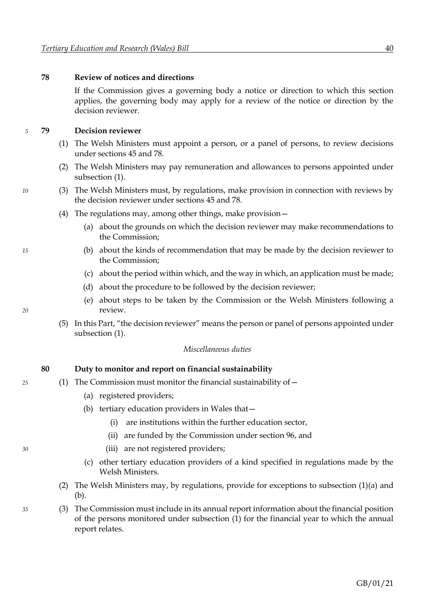#### <span id="page-46-0"></span>**78 Review of notices and directions**

If the Commission gives a governing body a notice or direction to which this section applies, the governing body may apply for a review of the notice or direction by the decision reviewer.

#### *5* **79 Decision reviewer**

- <span id="page-46-3"></span>(1) The Welsh Ministers must appoint a person, or a panel of persons, to review decisions under sections [45](#page-28-0) an[d 78.](#page-46-0)
- <span id="page-46-1"></span>(2) The Welsh Ministers may pay remuneration and allowances to persons appointed under subsection [\(1\).](#page-46-3)
- *10* (3) The Welsh Ministers must, by regulations, make provision in connection with reviews by the decision reviewer under sections [45](#page-28-0) an[d 78.](#page-46-0)
	- (4) The regulations may, among other things, make provision—
		- (a) about the grounds on which the decision reviewer may make recommendations to the Commission;
- <span id="page-46-2"></span>*15* (b) about the kinds of recommendation that may be made by the decision reviewer to the Commission;
	- (c) about the period within which, and the way in which, an application must be made;
	- (d) about the procedure to be followed by the decision reviewer;
- <span id="page-46-7"></span>(e) about steps to be taken by the Commission or the Welsh Ministers following a *20* review.
	- (5) In this Part, "the decision reviewer" means the person or panel of persons appointed under subsection [\(1\).](#page-46-3)

#### *Miscellaneous duties*

#### <span id="page-46-6"></span><span id="page-46-5"></span><span id="page-46-4"></span>**80 Duty to monitor and report on financial sustainability**

- *25* (1) The Commission must monitor the financial sustainability of—
	- (a) registered providers;
	- (b) tertiary education providers in Wales that—
		- (i) are institutions within the further education sector,
		- (ii) are funded by the Commission under section [96,](#page-56-0) and
- *30* (iii) are not registered providers;
	- (c) other tertiary education providers of a kind specified in regulations made by the Welsh Ministers.
	- (2) The Welsh Ministers may, by regulations, provide for exceptions to subsection [\(1\)](#page-46-4)[\(a\)](#page-46-5) and [\(b\).](#page-46-6)
- *35* (3) The Commission must include in its annual report information about the financial position of the persons monitored under subsection [\(1\)](#page-46-4) for the financial year to which the annual report relates.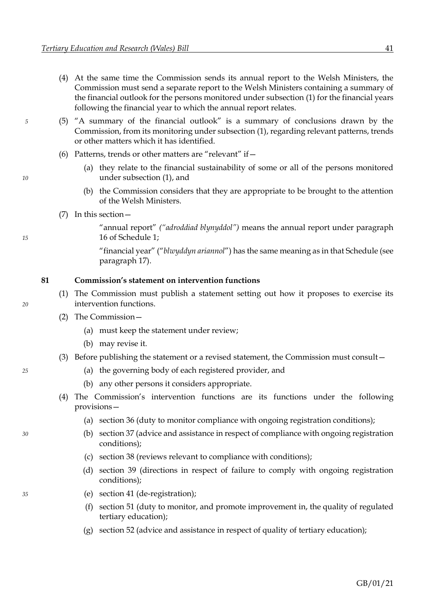- (4) At the same time the Commission sends its annual report to the Welsh Ministers, the Commission must send a separate report to the Welsh Ministers containing a summary of the financial outlook for the persons monitored under subsectio[n \(1\)](#page-46-4) for the financial years following the financial year to which the annual report relates.
- *5* (5) "A summary of the financial outlook" is a summary of conclusions drawn by the Commission, from its monitoring under subsectio[n \(1\),](#page-46-4) regarding relevant patterns, trends or other matters which it has identified.
	- (6) Patterns, trends or other matters are "relevant" if—
- (a) they relate to the financial sustainability of some or all of the persons monitored *10* under subsection [\(1\),](#page-46-4) and
	- (b) the Commission considers that they are appropriate to be brought to the attention of the Welsh Ministers.
	- (7) In this section—

"annual report" *("adroddiad blynyddol")* means the annual report under paragraph *15* [16](#page-97-0) of Schedule [1;](#page-89-0)

> "financial year" ("*blwyddyn ariannol*") has the same meaning as in that Schedule (see paragraph [17\)](#page-98-0).

#### **81 Commission's statement on intervention functions**

- (1) The Commission must publish a statement setting out how it proposes to exercise its *20* intervention functions.
	- (2) The Commission—
		- (a) must keep the statement under review;
		- (b) may revise it.
	- (3) Before publishing the statement or a revised statement, the Commission must consult—
- *25* (a) the governing body of each registered provider, and
	- (b) any other persons it considers appropriate.
	- (4) The Commission's intervention functions are its functions under the following provisions—
		- (a) section [36](#page-23-0) (duty to monitor compliance with ongoing registration conditions);
- *30* (b) sectio[n 37](#page-23-0) (advice and assistance in respect of compliance with ongoing registration conditions);
	- (c) section [38](#page-24-0) (reviews relevant to compliance with conditions);
	- (d) section [39](#page-24-0) (directions in respect of failure to comply with ongoing registration conditions);
- 
- *35* (e) section [41](#page-24-0) (de-registration);
	- (f) section [51](#page-31-0) (duty to monitor, and promote improvement in, the quality of regulated tertiary education);
	- (g) section [52](#page-31-0) (advice and assistance in respect of quality of tertiary education);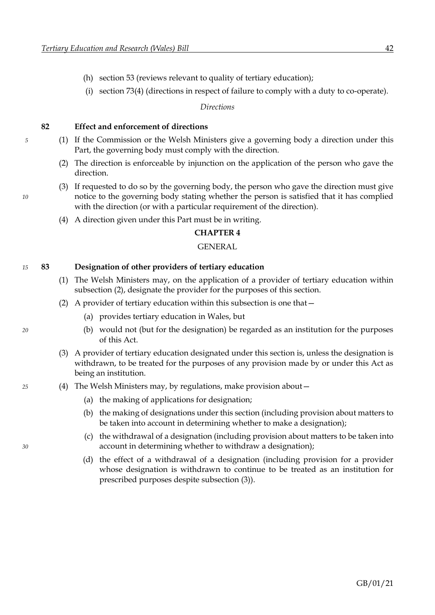- (h) section [53](#page-32-0) (reviews relevant to quality of tertiary education);
- (i) section [73](#page-42-0)[\(4\)](#page-43-2) (directions in respect of failure to comply with a duty to co-operate).

*Directions*

**82 Effect and enforcement of directions**

- *5* (1) If the Commission or the Welsh Ministers give a governing body a direction under this Part, the governing body must comply with the direction.
	- (2) The direction is enforceable by injunction on the application of the person who gave the direction.
- (3) If requested to do so by the governing body, the person who gave the direction must give *10* notice to the governing body stating whether the person is satisfied that it has complied with the direction (or with a particular requirement of the direction).
	- (4) A direction given under this Part must be in writing.

#### **CHAPTER 4**

#### GENERAL

#### *15* **83 Designation of other providers of tertiary education**

- (1) The Welsh Ministers may, on the application of a provider of tertiary education within subsection [\(2\),](#page-48-0) designate the provider for the purposes of this section.
- <span id="page-48-0"></span>(2) A provider of tertiary education within this subsection is one that—
	- (a) provides tertiary education in Wales, but
- <span id="page-48-1"></span>*20* (b) would not (but for the designation) be regarded as an institution for the purposes of this Act.
	- (3) A provider of tertiary education designated under this section is, unless the designation is withdrawn, to be treated for the purposes of any provision made by or under this Act as being an institution.
- *25* (4) The Welsh Ministers may, by regulations, make provision about—
	- (a) the making of applications for designation;
	- (b) the making of designations under this section (including provision about matters to be taken into account in determining whether to make a designation);
- (c) the withdrawal of a designation (including provision about matters to be taken into *30* account in determining whether to withdraw a designation);
	- (d) the effect of a withdrawal of a designation (including provision for a provider whose designation is withdrawn to continue to be treated as an institution for prescribed purposes despite subsection [\(3\)\)](#page-48-1).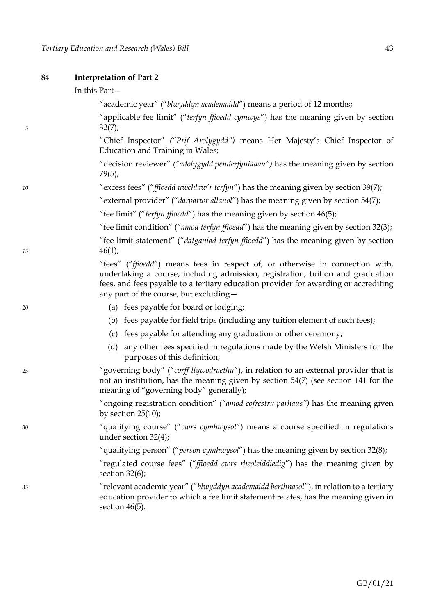## **84 Interpretation of Part [2](#page-16-0)**

|    | In this Part-                                                                                                                                                                                                                                                                                      |
|----|----------------------------------------------------------------------------------------------------------------------------------------------------------------------------------------------------------------------------------------------------------------------------------------------------|
|    | "academic year" ("blwyddyn academaidd") means a period of 12 months;                                                                                                                                                                                                                               |
| 5  | "applicable fee limit" ("terfyn ffioedd cymwys") has the meaning given by section<br>32(7);                                                                                                                                                                                                        |
|    | "Chief Inspector" ("Prif Arolygydd") means Her Majesty's Chief Inspector of<br>Education and Training in Wales;                                                                                                                                                                                    |
|    | "decision reviewer" ("adolygydd penderfyniadau") has the meaning given by section<br>79(5);                                                                                                                                                                                                        |
| 10 | "excess fees" ("ffioedd uwchlaw'r terfyn") has the meaning given by section 39(7);                                                                                                                                                                                                                 |
|    | "external provider" ("darparwr allanol") has the meaning given by section 54(7);                                                                                                                                                                                                                   |
|    | "fee limit" ("terfyn ffioedd") has the meaning given by section 46(5);                                                                                                                                                                                                                             |
|    | "fee limit condition" ("amod terfyn ffioedd") has the meaning given by section 32(3);                                                                                                                                                                                                              |
| 15 | "fee limit statement" ("datganiad terfyn ffioedd") has the meaning given by section<br>46(1);                                                                                                                                                                                                      |
|    | "fees" ("ffioedd") means fees in respect of, or otherwise in connection with,<br>undertaking a course, including admission, registration, tuition and graduation<br>fees, and fees payable to a tertiary education provider for awarding or accrediting<br>any part of the course, but excluding - |
| 20 | (a) fees payable for board or lodging;                                                                                                                                                                                                                                                             |
|    | (b) fees payable for field trips (including any tuition element of such fees);                                                                                                                                                                                                                     |
|    | (c) fees payable for attending any graduation or other ceremony;                                                                                                                                                                                                                                   |
|    | any other fees specified in regulations made by the Welsh Ministers for the<br>(d)<br>purposes of this definition;                                                                                                                                                                                 |
| 25 | "governing body" ("corff llywodraethu"), in relation to an external provider that is<br>not an institution, has the meaning given by section 54(7) (see section 141 for the<br>meaning of "governing body" generally);                                                                             |
|    | "ongoing registration condition" ("amod cofrestru parhaus") has the meaning given<br>by section $25(10)$ ;                                                                                                                                                                                         |
| 30 | "qualifying course" ("cwrs cymhwysol") means a course specified in regulations<br>under section $32(4)$ ;                                                                                                                                                                                          |
|    | "qualifying person" (" <i>person cymhwysol</i> ") has the meaning given by section 32(8);                                                                                                                                                                                                          |
|    | "regulated course fees" ("ffioedd cwrs rheoleiddiedig") has the meaning given by<br>section $32(6)$ ;                                                                                                                                                                                              |
| 35 | "relevant academic year" ("blwyddyn academaidd berthnasol"), in relation to a tertiary<br>education provider to which a fee limit statement relates, has the meaning given in<br>section $46(5)$ .                                                                                                 |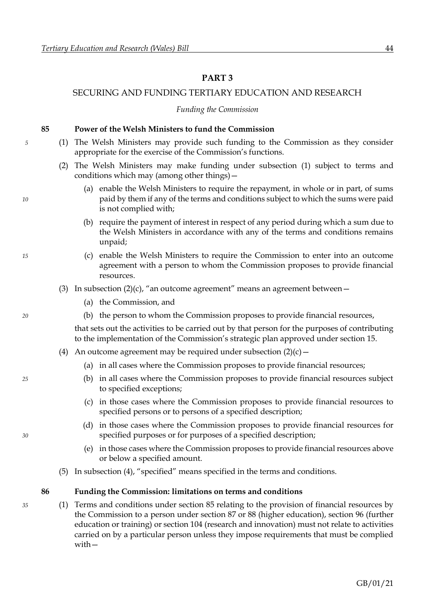### <span id="page-50-0"></span>**PART 3**

### <span id="page-50-5"></span>SECURING AND FUNDING TERTIARY EDUCATION AND RESEARCH

#### *Funding the Commission*

#### <span id="page-50-2"></span><span id="page-50-1"></span>**85 Power of the Welsh Ministers to fund the Commission**

- *5* (1) The Welsh Ministers may provide such funding to the Commission as they consider appropriate for the exercise of the Commission's functions.
	- (2) The Welsh Ministers may make funding under subsection [\(1\)](#page-50-1) subject to terms and conditions which may (among other things)—
- (a) enable the Welsh Ministers to require the repayment, in whole or in part, of sums *10* paid by them if any of the terms and conditions subject to which the sums were paid is not complied with;
	- (b) require the payment of interest in respect of any period during which a sum due to the Welsh Ministers in accordance with any of the terms and conditions remains unpaid;
- <span id="page-50-3"></span>*15* (c) enable the Welsh Ministers to require the Commission to enter into an outcome agreement with a person to whom the Commission proposes to provide financial resources.
	- (3) In subsection  $(2)(c)$  $(2)(c)$ , "an outcome agreement" means an agreement between
		- (a) the Commission, and
- *20* (b) the person to whom the Commission proposes to provide financial resources,

that sets out the activities to be carried out by that person for the purposes of contributing to the implementation of the Commission's strategic plan approved under section [15.](#page-11-0)

- <span id="page-50-4"></span>(4) An outcome agreement may be required under subsection  $(2)(c)$  $(2)(c)$  –
	- (a) in all cases where the Commission proposes to provide financial resources;
- *25* (b) in all cases where the Commission proposes to provide financial resources subject to specified exceptions;
	- (c) in those cases where the Commission proposes to provide financial resources to specified persons or to persons of a specified description;
- (d) in those cases where the Commission proposes to provide financial resources for *30* specified purposes or for purposes of a specified description;
	- (e) in those cases where the Commission proposes to provide financial resources above or below a specified amount.
	- (5) In subsection [\(4\),](#page-50-4) "specified" means specified in the terms and conditions.

#### <span id="page-50-6"></span>**86 Funding the Commission: limitations on terms and conditions**

*35* (1) Terms and conditions under section [85](#page-50-5) relating to the provision of financial resources by the Commission to a person under section [87](#page-51-0) or [88](#page-52-0) (higher education), section [96](#page-56-0) (further education or training) or section [104](#page-63-0) (research and innovation) must not relate to activities carried on by a particular person unless they impose requirements that must be complied with—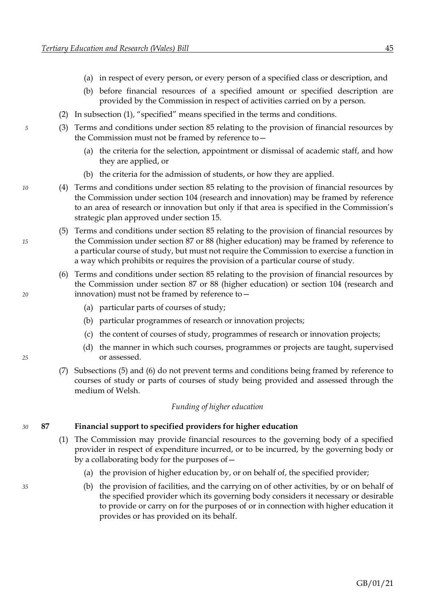- (a) in respect of every person, or every person of a specified class or description, and
- (b) before financial resources of a specified amount or specified description are provided by the Commission in respect of activities carried on by a person.
- (2) In subsection [\(1\)](#page-50-6), "specified" means specified in the terms and conditions.
- *5* (3) Terms and conditions under section [85](#page-50-5) relating to the provision of financial resources by the Commission must not be framed by reference to—
	- (a) the criteria for the selection, appointment or dismissal of academic staff, and how they are applied, or
	- (b) the criteria for the admission of students, or how they are applied.
- *10* (4) Terms and conditions under section [85](#page-50-5) relating to the provision of financial resources by the Commission under section [104](#page-63-0) (research and innovation) may be framed by reference to an area of research or innovation but only if that area is specified in the Commission's strategic plan approved under section [15.](#page-11-0)
- <span id="page-51-1"></span>(5) Terms and conditions under section [85](#page-50-5) relating to the provision of financial resources by *15* the Commission under section [87](#page-51-0) or [88](#page-52-0) (higher education) may be framed by reference to a particular course of study, but must not require the Commission to exercise a function in a way which prohibits or requires the provision of a particular course of study.
- <span id="page-51-2"></span>(6) Terms and conditions under section [85](#page-50-5) relating to the provision of financial resources by the Commission under section [87](#page-51-0) or [88](#page-52-0) (higher education) or section [104](#page-63-0) (research and *20* innovation) must not be framed by reference to—
	- (a) particular parts of courses of study;
	- (b) particular programmes of research or innovation projects;
	- (c) the content of courses of study, programmes of research or innovation projects;
- (d) the manner in which such courses, programmes or projects are taught, supervised *25* or assessed.
	- (7) Subsections [\(5\)](#page-51-1) and [\(6\)](#page-51-2) do not prevent terms and conditions being framed by reference to courses of study or parts of courses of study being provided and assessed through the medium of Welsh.

#### *Funding of higher education*

#### *30* **87 Financial support to specified providers for higher education**

- <span id="page-51-3"></span>(1) The Commission may provide financial resources to the governing body of a specified provider in respect of expenditure incurred, or to be incurred, by the governing body or by a collaborating body for the purposes of—
	- (a) the provision of higher education by, or on behalf of, the specified provider;
- *35* (b) the provision of facilities, and the carrying on of other activities, by or on behalf of the specified provider which its governing body considers it necessary or desirable to provide or carry on for the purposes of or in connection with higher education it provides or has provided on its behalf.

<span id="page-51-0"></span>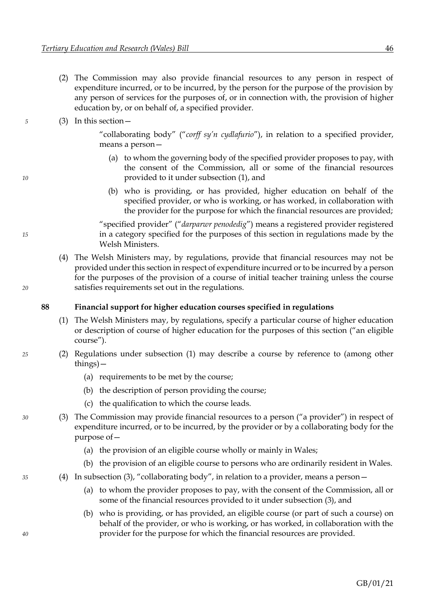<span id="page-52-8"></span><span id="page-52-0"></span>(2) The Commission may also provide financial resources to any person in respect of expenditure incurred, or to be incurred, by the person for the purpose of the provision by any person of services for the purposes of, or in connection with, the provision of higher education by, or on behalf of, a specified provider.

#### <span id="page-52-4"></span>*5* (3) In this section—

<span id="page-52-5"></span>"collaborating body" ("*corff sy'n cydlafurio*"), in relation to a specified provider, means a person—

- (a) to whom the governing body of the specified provider proposes to pay, with the consent of the Commission, all or some of the financial resources *10* provided to it under subsection [\(1\),](#page-51-3) and
	- (b) who is providing, or has provided, higher education on behalf of the specified provider, or who is working, or has worked, in collaboration with the provider for the purpose for which the financial resources are provided;

"specified provider" ("*darparwr penodedig*") means a registered provider registered *15* in a category specified for the purposes of this section in regulations made by the Welsh Ministers.

(4) The Welsh Ministers may, by regulations, provide that financial resources may not be provided under this section in respect of expenditure incurred or to be incurred by a person for the purposes of the provision of a course of initial teacher training unless the course *20* satisfies requirements set out in the regulations.

#### **88 Financial support for higher education courses specified in regulations**

- <span id="page-52-1"></span>(1) The Welsh Ministers may, by regulations, specify a particular course of higher education or description of course of higher education for the purposes of this section ("an eligible course").
- *25* (2) Regulations under subsection [\(1\)](#page-52-1) may describe a course by reference to (among other things)—
	- (a) requirements to be met by the course;
	- (b) the description of person providing the course;
	- (c) the qualification to which the course leads.
- <span id="page-52-3"></span><span id="page-52-2"></span>*30* (3) The Commission may provide financial resources to a person ("a provider") in respect of expenditure incurred, or to be incurred, by the provider or by a collaborating body for the purpose of—
	- (a) the provision of an eligible course wholly or mainly in Wales;
	- (b) the provision of an eligible course to persons who are ordinarily resident in Wales.
- <span id="page-52-7"></span><span id="page-52-6"></span>*35* (4) In subsection [\(3\)](#page-52-2), "collaborating body", in relation to a provider, means a person—
	- (a) to whom the provider proposes to pay, with the consent of the Commission, all or some of the financial resources provided to it under subsection [\(3\),](#page-52-2) and
- (b) who is providing, or has provided, an eligible course (or part of such a course) on behalf of the provider, or who is working, or has worked, in collaboration with the *40* provider for the purpose for which the financial resources are provided.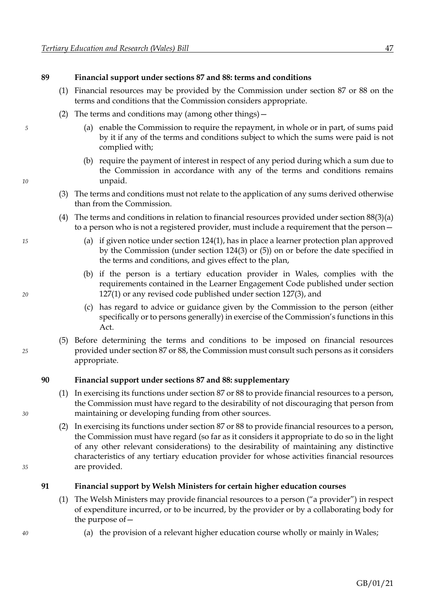#### **89 Financial support under sections [87](#page-51-0) and [88:](#page-52-0) terms and conditions**

- (1) Financial resources may be provided by the Commission under section [87](#page-51-0) or [88](#page-52-0) on the terms and conditions that the Commission considers appropriate.
- (2) The terms and conditions may (among other things)—
- *5* (a) enable the Commission to require the repayment, in whole or in part, of sums paid by it if any of the terms and conditions subject to which the sums were paid is not complied with;
- (b) require the payment of interest in respect of any period during which a sum due to the Commission in accordance with any of the terms and conditions remains *10* unpaid.
	- (3) The terms and conditions must not relate to the application of any sums derived otherwise than from the Commission.
	- (4) The terms and conditions in relation to financial resources provided under section  $88(3)(a)$  $88(3)(a)$  $88(3)(a)$ to a person who is not a registered provider, must include a requirement that the person—
- *15* (a) if given notice under sectio[n 124](#page-72-0)[\(1\),](#page-72-1) has in place a learner protection plan approved by the Commission (under section [124](#page-72-0)[\(3\)](#page-72-2) or [\(5\)\)](#page-72-3) on or before the date specified in the terms and conditions, and gives effect to the plan,
- (b) if the person is a tertiary education provider in Wales, complies with the requirements contained in the Learner Engagement Code published under section *20* [127](#page-75-0)[\(1\)](#page-75-1) or any revised code published under section [127](#page-75-0)[\(3\),](#page-75-2) and
	- (c) has regard to advice or guidance given by the Commission to the person (either specifically or to persons generally) in exercise of the Commission's functions in this Act.
- (5) Before determining the terms and conditions to be imposed on financial resources *25* provided under sectio[n 87](#page-51-0) o[r 88,](#page-52-0) the Commission must consult such persons as it considers appropriate.

#### **90 Financial support under sections [87](#page-51-0) and [88:](#page-52-0) supplementary**

- (1) In exercising its functions under sectio[n 87](#page-51-0) or [88](#page-52-0) to provide financial resources to a person, the Commission must have regard to the desirability of not discouraging that person from *30* maintaining or developing funding from other sources.
- (2) In exercising its functions under sectio[n 87](#page-51-0) or [88](#page-52-0) to provide financial resources to a person, the Commission must have regard (so far as it considers it appropriate to do so in the light of any other relevant considerations) to the desirability of maintaining any distinctive characteristics of any tertiary education provider for whose activities financial resources *35* are provided.

#### **91 Financial support by Welsh Ministers for certain higher education courses**

- <span id="page-53-0"></span>(1) The Welsh Ministers may provide financial resources to a person ("a provider") in respect of expenditure incurred, or to be incurred, by the provider or by a collaborating body for the purpose of—
- *40* (a) the provision of a relevant higher education course wholly or mainly in Wales;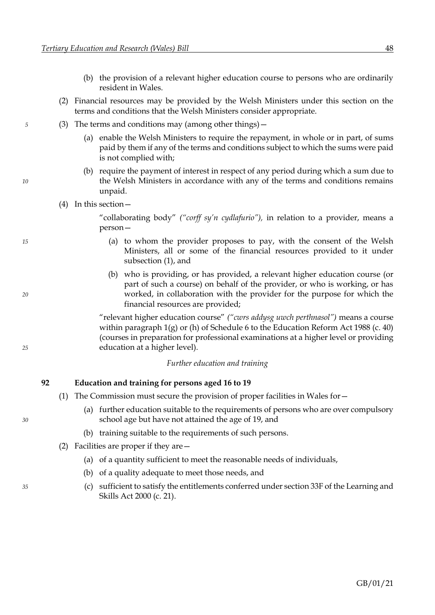- <span id="page-54-0"></span>(b) the provision of a relevant higher education course to persons who are ordinarily resident in Wales.
- (2) Financial resources may be provided by the Welsh Ministers under this section on the terms and conditions that the Welsh Ministers consider appropriate.
- *5* (3) The terms and conditions may (among other things)—
	- (a) enable the Welsh Ministers to require the repayment, in whole or in part, of sums paid by them if any of the terms and conditions subject to which the sums were paid is not complied with;
- (b) require the payment of interest in respect of any period during which a sum due to *10* the Welsh Ministers in accordance with any of the terms and conditions remains unpaid.
	- (4) In this section—

"collaborating body" *("corff sy'n cydlafurio"),* in relation to a provider, means a person—

- *15* (a) to whom the provider proposes to pay, with the consent of the Welsh Ministers, all or some of the financial resources provided to it under subsection [\(1\),](#page-53-0) and
- (b) who is providing, or has provided, a relevant higher education course (or part of such a course) on behalf of the provider, or who is working, or has *20* worked, in collaboration with the provider for the purpose for which the financial resources are provided;

"relevant higher education course" *("cwrs addysg uwch perthnasol")* means a course within paragraph 1(g) or (h) of Schedule 6 to the Education Reform Act 1988 (c. 40) (courses in preparation for professional examinations at a higher level or providing *25* education at a higher level).

*Further education and training*

#### **92 Education and training for persons aged 16 to 19**

- (1) The Commission must secure the provision of proper facilities in Wales for—
- (a) further education suitable to the requirements of persons who are over compulsory *30* school age but have not attained the age of 19, and
	- (b) training suitable to the requirements of such persons.
	- (2) Facilities are proper if they are—
		- (a) of a quantity sufficient to meet the reasonable needs of individuals,
		- (b) of a quality adequate to meet those needs, and
- *35* (c) sufficient to satisfy the entitlements conferred under section 33F of the Learning and Skills Act 2000 (c. 21).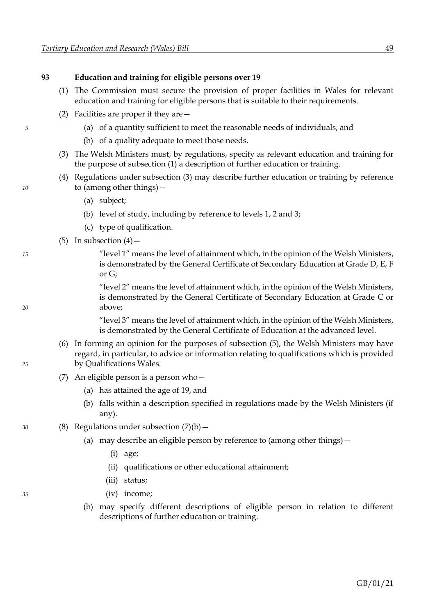#### <span id="page-55-6"></span>**93 Education and training for eligible persons over 19**

- <span id="page-55-0"></span>(1) The Commission must secure the provision of proper facilities in Wales for relevant education and training for eligible persons that is suitable to their requirements.
- <span id="page-55-1"></span>(2) Facilities are proper if they are—
- *5* (a) of a quantity sufficient to meet the reasonable needs of individuals, and
	- (b) of a quality adequate to meet those needs.
	- (3) The Welsh Ministers must, by regulations, specify as relevant education and training for the purpose of subsection [\(1\)](#page-55-0) a description of further education or training.
- <span id="page-55-2"></span>(4) Regulations under subsection [\(3\)](#page-55-1) may describe further education or training by reference *10* to (among other things)—
	- (a) subject;
	- (b) level of study, including by reference to levels 1, 2 and 3;
	- (c) type of qualification.
	- (5) In subsection  $(4)$  –

<span id="page-55-3"></span>*15* "level 1" means the level of attainment which, in the opinion of the Welsh Ministers, is demonstrated by the General Certificate of Secondary Education at Grade D, E, F or G;

"level 2" means the level of attainment which, in the opinion of the Welsh Ministers, is demonstrated by the General Certificate of Secondary Education at Grade C or *20* above;

> "level 3" means the level of attainment which, in the opinion of the Welsh Ministers, is demonstrated by the General Certificate of Education at the advanced level.

- <span id="page-55-4"></span>(6) In forming an opinion for the purposes of subsection [\(5\),](#page-55-3) the Welsh Ministers may have regard, in particular, to advice or information relating to qualifications which is provided *25* by Qualifications Wales.
	- (7) An eligible person is a person who—
		- (a) has attained the age of 19, and
		- (b) falls within a description specified in regulations made by the Welsh Ministers (if any).
- <span id="page-55-5"></span>*30* (8) Regulations under subsection [\(7\)](#page-55-4)[\(b\)](#page-55-5)—
	- (a) may describe an eligible person by reference to (among other things)—
		- (i) age;
		- (ii) qualifications or other educational attainment;
		- (iii) status;
- *35* (iv) income;
	- (b) may specify different descriptions of eligible person in relation to different descriptions of further education or training.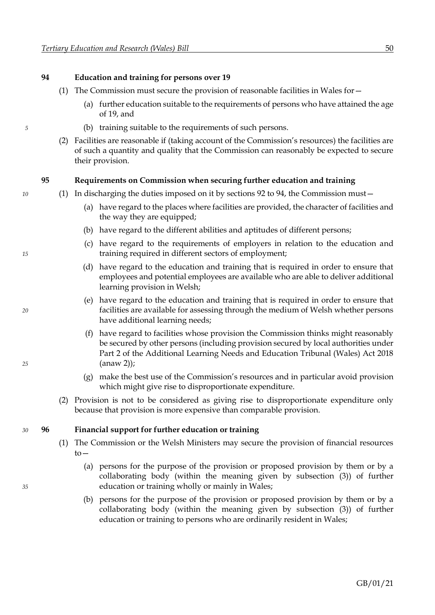#### <span id="page-56-0"></span>**94 Education and training for persons over 19**

- (1) The Commission must secure the provision of reasonable facilities in Wales for—
	- (a) further education suitable to the requirements of persons who have attained the age of 19, and
- *5* (b) training suitable to the requirements of such persons.
	- (2) Facilities are reasonable if (taking account of the Commission's resources) the facilities are of such a quantity and quality that the Commission can reasonably be expected to secure their provision.

#### **95 Requirements on Commission when securing further education and training**

- *10* (1) In discharging the duties imposed on it by sections [92](#page-54-0) to [94,](#page-56-0) the Commission must—
	- (a) have regard to the places where facilities are provided, the character of facilities and the way they are equipped;
	- (b) have regard to the different abilities and aptitudes of different persons;
- (c) have regard to the requirements of employers in relation to the education and *15* training required in different sectors of employment;
	- (d) have regard to the education and training that is required in order to ensure that employees and potential employees are available who are able to deliver additional learning provision in Welsh;
- (e) have regard to the education and training that is required in order to ensure that *20* facilities are available for assessing through the medium of Welsh whether persons have additional learning needs;
- (f) have regard to facilities whose provision the Commission thinks might reasonably be secured by other persons (including provision secured by local authorities under Part 2 of the Additional Learning Needs and Education Tribunal (Wales) Act 2018 *25* (anaw 2));
	- (g) make the best use of the Commission's resources and in particular avoid provision which might give rise to disproportionate expenditure.
	- (2) Provision is not to be considered as giving rise to disproportionate expenditure only because that provision is more expensive than comparable provision.

#### *30* **96 Financial support for further education or training**

- <span id="page-56-3"></span><span id="page-56-2"></span><span id="page-56-1"></span>(1) The Commission or the Welsh Ministers may secure the provision of financial resources to—
- (a) persons for the purpose of the provision or proposed provision by them or by a collaborating body (within the meaning given by subsection [\(3\)\)](#page-57-0) of further *35* education or training wholly or mainly in Wales;
	- (b) persons for the purpose of the provision or proposed provision by them or by a collaborating body (within the meaning given by subsection [\(3\)\)](#page-57-0) of further education or training to persons who are ordinarily resident in Wales;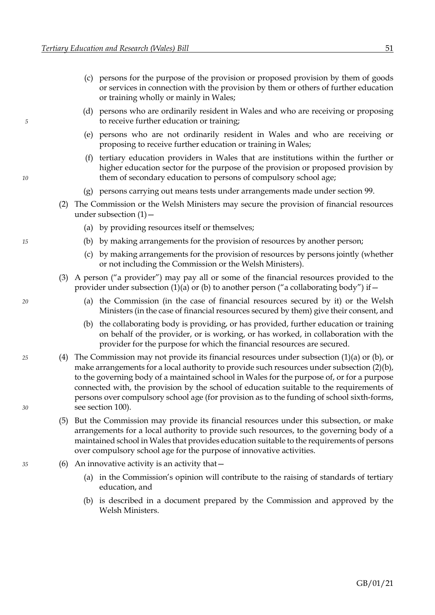- <span id="page-57-4"></span><span id="page-57-3"></span>(c) persons for the purpose of the provision or proposed provision by them of goods or services in connection with the provision by them or others of further education or training wholly or mainly in Wales;
- (d) persons who are ordinarily resident in Wales and who are receiving or proposing *5* to receive further education or training;
	- (e) persons who are not ordinarily resident in Wales and who are receiving or proposing to receive further education or training in Wales;
- (f) tertiary education providers in Wales that are institutions within the further or higher education sector for the purpose of the provision or proposed provision by 10 them of secondary education to persons of compulsory school age;
	- (g) persons carrying out means tests under arrangements made under section [99.](#page-59-0)
	- (2) The Commission or the Welsh Ministers may secure the provision of financial resources under subsection  $(1)$  –
		- (a) by providing resources itself or themselves;
- <span id="page-57-2"></span><span id="page-57-1"></span>*15* (b) by making arrangements for the provision of resources by another person;
	- (c) by making arrangements for the provision of resources by persons jointly (whether or not including the Commission or the Welsh Ministers).
	- (3) A person ("a provider") may pay all or some of the financial resources provided to the provider under subsection [\(1\)](#page-56-1)[\(a\)](#page-56-2) or [\(b\)](#page-56-3) to another person ("a collaborating body") if  $-$
- <span id="page-57-6"></span><span id="page-57-0"></span>*20* (a) the Commission (in the case of financial resources secured by it) or the Welsh Ministers (in the case of financial resources secured by them) give their consent, and
	- (b) the collaborating body is providing, or has provided, further education or training on behalf of the provider, or is working, or has worked, in collaboration with the provider for the purpose for which the financial resources are secured.
- *25* (4) The Commission may not provide its financial resources under subsection [\(1\)](#page-56-1)[\(a\)](#page-56-2) or [\(b\),](#page-56-3) or make arrangements for a local authority to provide such resources under subsectio[n \(2\)](#page-57-1)[\(b\),](#page-57-2) to the governing body of a maintained school in Wales for the purpose of, or for a purpose connected with, the provision by the school of education suitable to the requirements of persons over compulsory school age (for provision as to the funding of school sixth-forms, *30* see section [100\)](#page-59-0).
	- (5) But the Commission may provide its financial resources under this subsection, or make arrangements for a local authority to provide such resources, to the governing body of a maintained school in Wales that provides education suitable to the requirements of persons over compulsory school age for the purpose of innovative activities.
- <span id="page-57-5"></span>*35* (6) An innovative activity is an activity that—
	- (a) in the Commission's opinion will contribute to the raising of standards of tertiary education, and
	- (b) is described in a document prepared by the Commission and approved by the Welsh Ministers.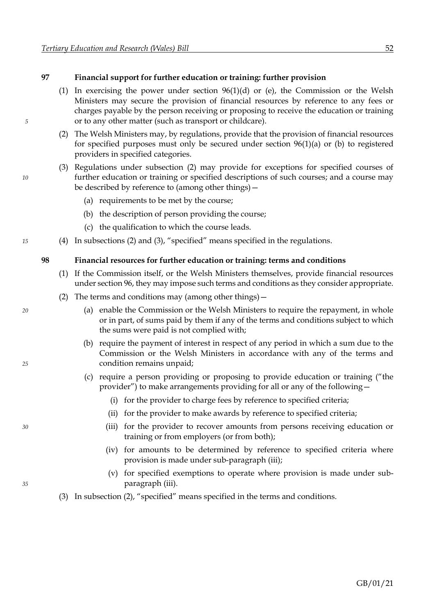#### <span id="page-58-4"></span>**97 Financial support for further education or training: further provision**

- <span id="page-58-0"></span>[\(1\)](#page-56-1) In exercising the power under section  $96(1)(d)$  $96(1)(d)$  $96(1)(d)$  or [\(e\),](#page-57-4) the Commission or the Welsh Ministers may secure the provision of financial resources by reference to any fees or charges payable by the person receiving or proposing to receive the education or training *5* or to any other matter (such as transport or childcare).
	- (2) The Welsh Ministers may, by regulations, provide that the provision of financial resources for specified purposes must only be secured under section [96](#page-56-0)[\(1\)](#page-56-1)[\(a\)](#page-56-2) or [\(b\)](#page-56-3) to registered providers in specified categories.
- <span id="page-58-1"></span>(3) Regulations under subsection [\(2\)](#page-58-0) may provide for exceptions for specified courses of *10* further education or training or specified descriptions of such courses; and a course may be described by reference to (among other things)—
	- (a) requirements to be met by the course;
	- (b) the description of person providing the course;
	- (c) the qualification to which the course leads.
- *15* (4) In subsections [\(2\)](#page-58-0) and [\(3\)](#page-58-1), "specified" means specified in the regulations.

#### **98 Financial resources for further education or training: terms and conditions**

- (1) If the Commission itself, or the Welsh Ministers themselves, provide financial resources under sectio[n 96,](#page-56-0) they may impose such terms and conditions as they consider appropriate.
- <span id="page-58-3"></span>(2) The terms and conditions may (among other things)—
- *20* (a) enable the Commission or the Welsh Ministers to require the repayment, in whole or in part, of sums paid by them if any of the terms and conditions subject to which the sums were paid is not complied with;
- (b) require the payment of interest in respect of any period in which a sum due to the Commission or the Welsh Ministers in accordance with any of the terms and *25* condition remains unpaid;
	- (c) require a person providing or proposing to provide education or training ("the provider") to make arrangements providing for all or any of the following—
		- (i) for the provider to charge fees by reference to specified criteria;
		- (ii) for the provider to make awards by reference to specified criteria;
- <span id="page-58-2"></span>*30* (iii) for the provider to recover amounts from persons receiving education or training or from employers (or from both);
	- (iv) for amounts to be determined by reference to specified criteria where provision is made under sub-paragraph [\(iii\);](#page-58-2)
- (v) for specified exemptions to operate where provision is made under sub-*35* paragraph [\(iii\).](#page-58-2)
	- (3) In subsection [\(2\)](#page-58-3), "specified" means specified in the terms and conditions.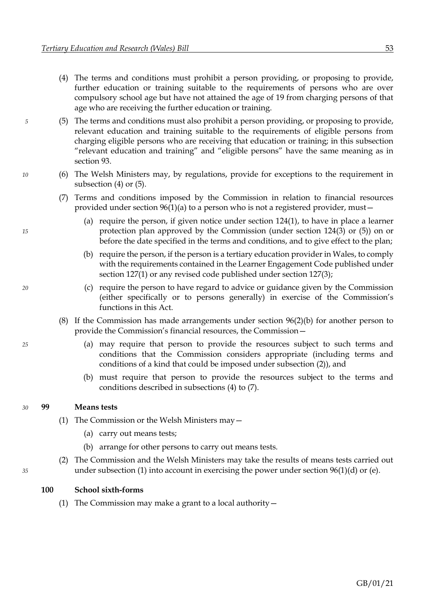- <span id="page-59-1"></span><span id="page-59-0"></span>(4) The terms and conditions must prohibit a person providing, or proposing to provide, further education or training suitable to the requirements of persons who are over compulsory school age but have not attained the age of 19 from charging persons of that age who are receiving the further education or training.
- <span id="page-59-2"></span>*5* (5) The terms and conditions must also prohibit a person providing, or proposing to provide, relevant education and training suitable to the requirements of eligible persons from charging eligible persons who are receiving that education or training; in this subsection "relevant education and training" and "eligible persons" have the same meaning as in section [93.](#page-55-6)
- <span id="page-59-3"></span>*10* (6) The Welsh Ministers may, by regulations, provide for exceptions to the requirement in subsection [\(4\)](#page-59-1) or [\(5\).](#page-59-2)
	- (7) Terms and conditions imposed by the Commission in relation to financial resources provided under section [96](#page-56-0)[\(1\)](#page-56-1)[\(a\)](#page-56-2) to a person who is not a registered provider, must—
- (a) require the person, if given notice under section  $124(1)$ , to have in place a learner *15* protection plan approved by the Commission (under section [124](#page-72-0)[\(3\)](#page-72-2) or [\(5\)\)](#page-72-3) on or before the date specified in the terms and conditions, and to give effect to the plan;
	- (b) require the person, if the person is a tertiary education provider in Wales, to comply with the requirements contained in the Learner Engagement Code published under section [127](#page-75-0)[\(1\)](#page-75-1) or any revised code published under section [127](#page-75-0)[\(3\);](#page-75-2)
- *20* (c) require the person to have regard to advice or guidance given by the Commission (either specifically or to persons generally) in exercise of the Commission's functions in this Act.
	- (8) If the Commission has made arrangements under section [96](#page-56-0)[\(2\)](#page-57-1)[\(b\)](#page-57-2) for another person to provide the Commission's financial resources, the Commission—
- *25* (a) may require that person to provide the resources subject to such terms and conditions that the Commission considers appropriate (including terms and conditions of a kind that could be imposed under subsection [\(2\)\)](#page-58-3), and
	- (b) must require that person to provide the resources subject to the terms and conditions described in subsections [\(4\)](#page-59-1) to [\(7\).](#page-59-3)

#### *30* **99 Means tests**

- <span id="page-59-4"></span>(1) The Commission or the Welsh Ministers may—
	- (a) carry out means tests;
	- (b) arrange for other persons to carry out means tests.
- (2) The Commission and the Welsh Ministers may take the results of means tests carried out *35* under subsection [\(1\)](#page-59-4) into account in exercising the power under section [96](#page-56-0)[\(1\)](#page-56-1)[\(d\)](#page-57-3) or [\(e\).](#page-57-4)

#### **100 School sixth-forms**

<span id="page-59-5"></span>(1) The Commission may make a grant to a local authority—

- 
-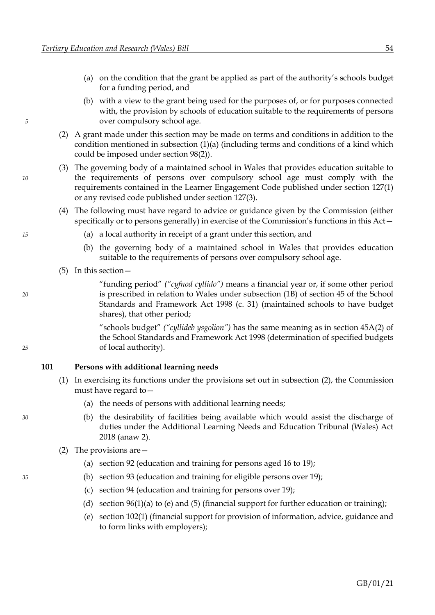- <span id="page-60-0"></span>(a) on the condition that the grant be applied as part of the authority's schools budget for a funding period, and
- (b) with a view to the grant being used for the purposes of, or for purposes connected with, the provision by schools of education suitable to the requirements of persons *5* over compulsory school age.
	- (2) A grant made under this section may be made on terms and conditions in addition to the condition mentioned in subsection [\(1\)](#page-59-5)[\(a\)](#page-60-0) (including terms and conditions of a kind which could be imposed under section [98](#page-58-4)[\(2\)\)](#page-58-3).
- (3) The governing body of a maintained school in Wales that provides education suitable to *10* the requirements of persons over compulsory school age must comply with the requirements contained in the Learner Engagement Code published under section [127](#page-75-0)[\(1\)](#page-75-1) or any revised code published under section [127](#page-75-0)[\(3\).](#page-75-2)
	- (4) The following must have regard to advice or guidance given by the Commission (either specifically or to persons generally) in exercise of the Commission's functions in this Act—
- *15* (a) a local authority in receipt of a grant under this section, and
	- (b) the governing body of a maintained school in Wales that provides education suitable to the requirements of persons over compulsory school age.
	- (5) In this section—

"funding period" *("cyfnod cyllido")* means a financial year or, if some other period *20* is prescribed in relation to Wales under subsection (1B) of section 45 of the School Standards and Framework Act 1998 (c. 31) (maintained schools to have budget shares), that other period;

"schools budget" *("cyllideb ysgolion")* has the same meaning as in section 45A(2) of the School Standards and Framework Act 1998 (determination of specified budgets *25* of local authority).

#### **101 Persons with additional learning needs**

- (1) In exercising its functions under the provisions set out in subsection [\(2\),](#page-60-1) the Commission must have regard to—
	- (a) the needs of persons with additional learning needs;
- *30* (b) the desirability of facilities being available which would assist the discharge of duties under the Additional Learning Needs and Education Tribunal (Wales) Act 2018 (anaw 2).
	- (2) The provisions are—
		- (a) section [92](#page-54-0) (education and training for persons aged 16 to 19);
- *35* (b) section [93](#page-55-6) (education and training for eligible persons over 19);
	- (c) section [94](#page-56-0) (education and training for persons over 19);
	- (d) section  $96(1)(a)$  $96(1)(a)$  $96(1)(a)$  t[o \(e\)](#page-57-4) and [\(5\)](#page-57-5) (financial support for further education or training);
	- (e) sectio[n 102](#page-61-0)[\(1\)](#page-61-1) (financial support for provision of information, advice, guidance and to form links with employers);

<span id="page-60-1"></span>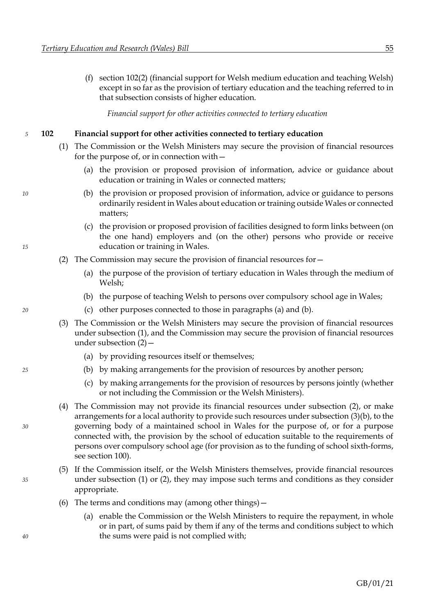<span id="page-61-0"></span>(f) section [102](#page-61-0)[\(2\)](#page-61-2) (financial support for Welsh medium education and teaching Welsh) except in so far as the provision of tertiary education and the teaching referred to in that subsection consists of higher education.

*Financial support for other activities connected to tertiary education*

#### *5* **102 Financial support for other activities connected to tertiary education**

- <span id="page-61-4"></span><span id="page-61-3"></span><span id="page-61-1"></span>(1) The Commission or the Welsh Ministers may secure the provision of financial resources for the purpose of, or in connection with—
	- (a) the provision or proposed provision of information, advice or guidance about education or training in Wales or connected matters;
- *10* (b) the provision or proposed provision of information, advice or guidance to persons ordinarily resident in Wales about education or training outside Wales or connected matters;
- <span id="page-61-2"></span>(c) the provision or proposed provision of facilities designed to form links between (on the one hand) employers and (on the other) persons who provide or receive *15* education or training in Wales.
	- (2) The Commission may secure the provision of financial resources for—
		- (a) the purpose of the provision of tertiary education in Wales through the medium of Welsh;
		- (b) the purpose of teaching Welsh to persons over compulsory school age in Wales;
- <span id="page-61-5"></span>*20* (c) other purposes connected to those in paragraphs [\(a\)](#page-61-3) and [\(b\).](#page-61-4)
	- (3) The Commission or the Welsh Ministers may secure the provision of financial resources under subsection [\(1\),](#page-61-1) and the Commission may secure the provision of financial resources under subsection [\(2\)](#page-61-2)—
		- (a) by providing resources itself or themselves;
- <span id="page-61-6"></span>*25* (b) by making arrangements for the provision of resources by another person;
	- (c) by making arrangements for the provision of resources by persons jointly (whether or not including the Commission or the Welsh Ministers).
- (4) The Commission may not provide its financial resources under subsection [\(2\),](#page-61-2) or make arrangements for a local authority to provide such resources under subsection [\(3\)](#page-61-5)[\(b\),](#page-61-6) to the *30* governing body of a maintained school in Wales for the purpose of, or for a purpose connected with, the provision by the school of education suitable to the requirements of persons over compulsory school age (for provision as to the funding of school sixth-forms, see section [100\)](#page-59-0).
- (5) If the Commission itself, or the Welsh Ministers themselves, provide financial resources *35* under subsection [\(1\)](#page-61-1) or [\(2\),](#page-61-2) they may impose such terms and conditions as they consider appropriate.
	- (6) The terms and conditions may (among other things)—
- <span id="page-61-7"></span>(a) enable the Commission or the Welsh Ministers to require the repayment, in whole or in part, of sums paid by them if any of the terms and conditions subject to which *40* the sums were paid is not complied with;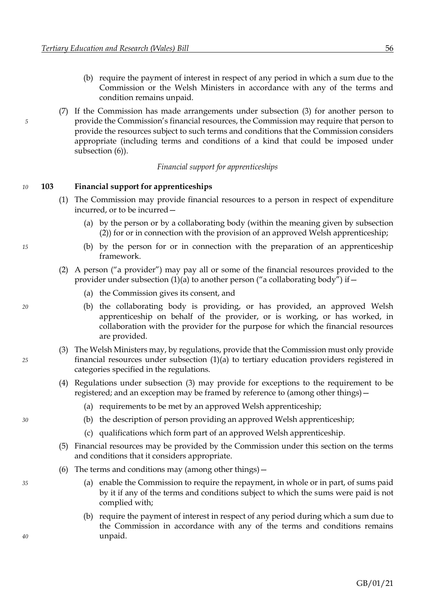- (b) require the payment of interest in respect of any period in which a sum due to the Commission or the Welsh Ministers in accordance with any of the terms and condition remains unpaid.
- <span id="page-62-4"></span>(7) If the Commission has made arrangements under subsection [\(3\)](#page-61-5) for another person to *5* provide the Commission's financial resources, the Commission may require that person to provide the resources subject to such terms and conditions that the Commission considers appropriate (including terms and conditions of a kind that could be imposed under subsection  $(6)$ ).

#### *Financial support for apprenticeships*

#### *10* **103 Financial support for apprenticeships**

- <span id="page-62-2"></span><span id="page-62-1"></span>(1) The Commission may provide financial resources to a person in respect of expenditure incurred, or to be incurred—
	- (a) by the person or by a collaborating body (within the meaning given by subsection [\(2\)\)](#page-62-0) for or in connection with the provision of an approved Welsh apprenticeship;
- *15* (b) by the person for or in connection with the preparation of an apprenticeship framework.
	- (2) A person ("a provider") may pay all or some of the financial resources provided to the provider under subsection [\(1\)](#page-62-1)[\(a\)](#page-62-2) to another person ("a collaborating body") if -
		- (a) the Commission gives its consent, and
- <span id="page-62-5"></span>*20* (b) the collaborating body is providing, or has provided, an approved Welsh apprenticeship on behalf of the provider, or is working, or has worked, in collaboration with the provider for the purpose for which the financial resources are provided.
- <span id="page-62-3"></span>(3) The Welsh Ministers may, by regulations, provide that the Commission must only provide *25* financial resources under subsection [\(1\)](#page-62-1)[\(a\)](#page-62-2) to tertiary education providers registered in categories specified in the regulations.
	- (4) Regulations under subsection [\(3\)](#page-62-3) may provide for exceptions to the requirement to be registered; and an exception may be framed by reference to (among other things)—
		- (a) requirements to be met by an approved Welsh apprenticeship;
- *30* (b) the description of person providing an approved Welsh apprenticeship;
	- (c) qualifications which form part of an approved Welsh apprenticeship.
	- (5) Financial resources may be provided by the Commission under this section on the terms and conditions that it considers appropriate.
	- (6) The terms and conditions may (among other things)  $-$
- *35* (a) enable the Commission to require the repayment, in whole or in part, of sums paid by it if any of the terms and conditions subject to which the sums were paid is not complied with;
- (b) require the payment of interest in respect of any period during which a sum due to the Commission in accordance with any of the terms and conditions remains *40* unpaid.

<span id="page-62-0"></span>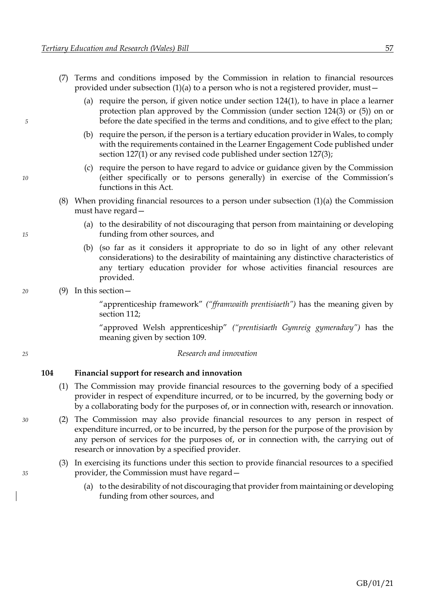- <span id="page-63-0"></span>(7) Terms and conditions imposed by the Commission in relation to financial resources provided under subsection [\(1\)](#page-62-1)[\(a\)](#page-62-2) to a person who is not a registered provider, must—
- (a) require the person, if given notice under section [124](#page-72-0)[\(1\),](#page-72-1) to have in place a learner protection plan approved by the Commission (under section [124](#page-72-0)[\(3\)](#page-72-2) or [\(5\)\)](#page-72-3) on or *5* before the date specified in the terms and conditions, and to give effect to the plan;
	- (b) require the person, if the person is a tertiary education provider in Wales, to comply with the requirements contained in the Learner Engagement Code published under section [127](#page-75-0)[\(1\)](#page-75-1) or any revised code published under section [127](#page-75-0)[\(3\);](#page-75-2)
- (c) require the person to have regard to advice or guidance given by the Commission *10* (either specifically or to persons generally) in exercise of the Commission's functions in this Act.
	- (8) When providing financial resources to a person under subsection  $(1)(a)$  $(1)(a)$  the Commission must have regard—
- (a) to the desirability of not discouraging that person from maintaining or developing *15* funding from other sources, and
	- (b) (so far as it considers it appropriate to do so in light of any other relevant considerations) to the desirability of maintaining any distinctive characteristics of any tertiary education provider for whose activities financial resources are provided.

#### *20* (9) In this section—

"apprenticeship framework" *("fframwaith prentisiaeth")* has the meaning given by section [112;](#page-67-0)

"approved Welsh apprenticeship" *("prentisiaeth Gymreig gymeradwy")* has the meaning given by section [109.](#page-66-0)

#### *25 Research and innovation*

#### **104 Financial support for research and innovation**

- <span id="page-63-2"></span><span id="page-63-1"></span>(1) The Commission may provide financial resources to the governing body of a specified provider in respect of expenditure incurred, or to be incurred, by the governing body or by a collaborating body for the purposes of, or in connection with, research or innovation.
- *30* (2) The Commission may also provide financial resources to any person in respect of expenditure incurred, or to be incurred, by the person for the purpose of the provision by any person of services for the purposes of, or in connection with, the carrying out of research or innovation by a specified provider.
- (3) In exercising its functions under this section to provide financial resources to a specified *35* provider, the Commission must have regard—
	- (a) to the desirability of not discouraging that provider from maintaining or developing funding from other sources, and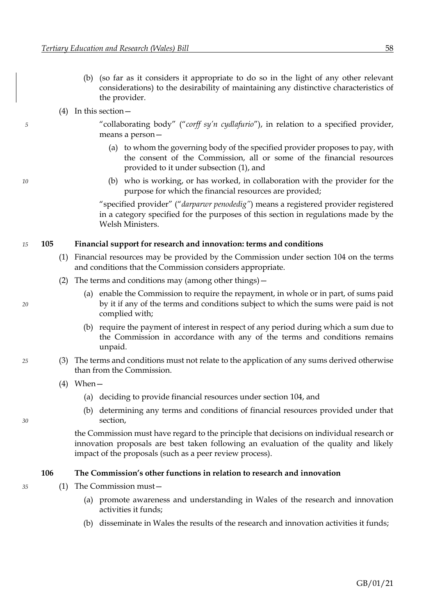- (b) (so far as it considers it appropriate to do so in the light of any other relevant considerations) to the desirability of maintaining any distinctive characteristics of the provider.
- <span id="page-64-0"></span>(4) In this section—

*5* "collaborating body" ("*corff sy'n cydlafurio*"), in relation to a specified provider, means a person—

- <span id="page-64-1"></span>(a) to whom the governing body of the specified provider proposes to pay, with the consent of the Commission, all or some of the financial resources provided to it under subsection [\(1\),](#page-63-1) and
- *10* (b) who is working, or has worked, in collaboration with the provider for the purpose for which the financial resources are provided;

"specified provider" ("*darparwr penodedig"*) means a registered provider registered in a category specified for the purposes of this section in regulations made by the Welsh Ministers.

#### *15* **105 Financial support for research and innovation: terms and conditions**

- (1) Financial resources may be provided by the Commission under section [104](#page-63-0) on the terms and conditions that the Commission considers appropriate.
- (2) The terms and conditions may (among other things)—
- (a) enable the Commission to require the repayment, in whole or in part, of sums paid *20* by it if any of the terms and conditions subject to which the sums were paid is not complied with;
	- (b) require the payment of interest in respect of any period during which a sum due to the Commission in accordance with any of the terms and conditions remains unpaid.
- *25* (3) The terms and conditions must not relate to the application of any sums derived otherwise than from the Commission.
	- $(4)$  When
		- (a) deciding to provide financial resources under section [104,](#page-63-0) and
- (b) determining any terms and conditions of financial resources provided under that *30* section,

the Commission must have regard to the principle that decisions on individual research or innovation proposals are best taken following an evaluation of the quality and likely impact of the proposals (such as a peer review process).

#### **106 The Commission's other functions in relation to research and innovation**

- *35* (1) The Commission must—
	- (a) promote awareness and understanding in Wales of the research and innovation activities it funds;
	- (b) disseminate in Wales the results of the research and innovation activities it funds;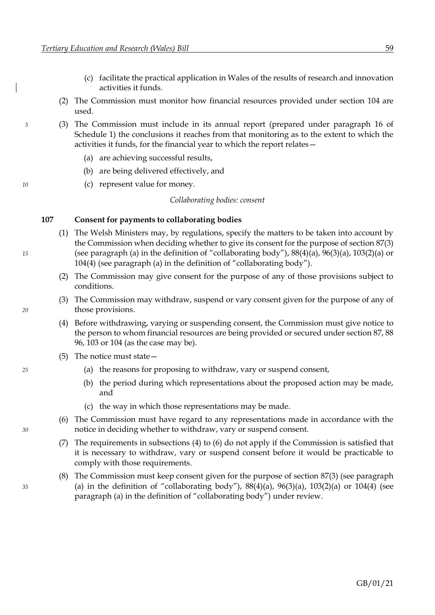- (c) facilitate the practical application in Wales of the results of research and innovation activities it funds.
- (2) The Commission must monitor how financial resources provided under section [104](#page-63-0) are used.
- *5* (3) The Commission must include in its annual report (prepared under paragraph [16](#page-97-0) of Schedule [1\)](#page-89-0) the conclusions it reaches from that monitoring as to the extent to which the activities it funds, for the financial year to which the report relates—
	- (a) are achieving successful results,
	- (b) are being delivered effectively, and
- *10* (c) represent value for money.

*Collaborating bodies: consent*

#### **107 Consent for payments to collaborating bodies**

- (1) The Welsh Ministers may, by regulations, specify the matters to be taken into account by the Commission when deciding whether to give its consent for the purpose of section [87](#page-51-0)[\(3\)](#page-52-4) *15* (see paragraph [\(a\)](#page-52-5) in the definition of "collaborating body"), [88](#page-52-0)[\(4\)](#page-52-6)[\(a\),](#page-52-7) [96](#page-56-0)[\(3\)](#page-57-0)[\(a\),](#page-57-6) [103](#page-62-4)[\(2\)](#page-62-0)[\(a\)](#page-62-5) or [104](#page-63-0)[\(4\)](#page-64-0) (see paragraph [\(a\)](#page-64-1) in the definition of "collaborating body").
	- (2) The Commission may give consent for the purpose of any of those provisions subject to conditions.
- <span id="page-65-0"></span>(3) The Commission may withdraw, suspend or vary consent given for the purpose of any of *20* those provisions.
	- (4) Before withdrawing, varying or suspending consent, the Commission must give notice to the person to whom financial resources are being provided or secured under section [87,](#page-51-0) [88](#page-52-0) [96,](#page-56-0) [103](#page-62-4) or [104](#page-63-0) (as the case may be).
	- (5) The notice must state—
- *25* (a) the reasons for proposing to withdraw, vary or suspend consent,
	- (b) the period during which representations about the proposed action may be made, and
	- (c) the way in which those representations may be made.
- (6) The Commission must have regard to any representations made in accordance with the *30* notice in deciding whether to withdraw, vary or suspend consent.

<span id="page-65-1"></span>(7) The requirements in subsections [\(4\)](#page-65-0) to [\(6\)](#page-65-1) do not apply if the Commission is satisfied that it is necessary to withdraw, vary or suspend consent before it would be practicable to comply with those requirements.

(8) The Commission must keep consent given for the purpose of section [87](#page-51-0)[\(3\)](#page-52-4) (see paragraph *35* [\(a\)](#page-52-5) in the definition of "collaborating body"), [88](#page-52-0)[\(4\)](#page-52-6)[\(a\),](#page-52-7) [96](#page-56-0)[\(3\)](#page-57-0)[\(a\),](#page-57-6) [103](#page-62-4)[\(2\)](#page-62-0)[\(a\)](#page-62-5) or [104](#page-63-0)[\(4\)](#page-64-0) (see paragraph [\(a\)](#page-64-1) in the definition of "collaborating body") under review.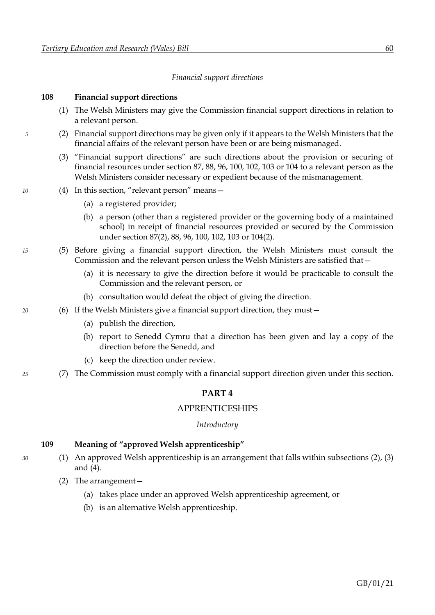#### *Financial support directions*

#### <span id="page-66-0"></span>**108 Financial support directions**

- (1) The Welsh Ministers may give the Commission financial support directions in relation to a relevant person.
- *5* (2) Financial support directions may be given only if it appears to the Welsh Ministers that the financial affairs of the relevant person have been or are being mismanaged.
	- (3) "Financial support directions" are such directions about the provision or securing of financial resources under section [87,](#page-51-0) [88,](#page-52-0) [96,](#page-56-0) [100,](#page-59-0) [102,](#page-61-0) [103](#page-62-4) or [104](#page-63-0) to a relevant person as the Welsh Ministers consider necessary or expedient because of the mismanagement.
- *10* (4) In this section, "relevant person" means—
	- (a) a registered provider;
	- (b) a person (other than a registered provider or the governing body of a maintained school) in receipt of financial resources provided or secured by the Commission under section [87](#page-51-0)[\(2\),](#page-52-8) [88,](#page-52-0) [96,](#page-56-0) [100,](#page-59-0) [102,](#page-61-0) [103](#page-62-4) o[r 104](#page-63-0)[\(2\).](#page-63-2)
- *15* (5) Before giving a financial support direction, the Welsh Ministers must consult the Commission and the relevant person unless the Welsh Ministers are satisfied that—
	- (a) it is necessary to give the direction before it would be practicable to consult the Commission and the relevant person, or
	- (b) consultation would defeat the object of giving the direction.
- *20* (6) If the Welsh Ministers give a financial support direction, they must—
	- (a) publish the direction,
	- (b) report to Senedd Cymru that a direction has been given and lay a copy of the direction before the Senedd, and
	- (c) keep the direction under review.
- *25* (7) The Commission must comply with a financial support direction given under this section.

#### <span id="page-66-2"></span>**PART 4**

#### APPRENTICESHIPS

#### *Introductory*

#### <span id="page-66-1"></span>**109 Meaning of "approved Welsh apprenticeship"**

- *30* (1) An approved Welsh apprenticeship is an arrangement that falls within subsections [\(2\),](#page-66-1) [\(3\)](#page-67-1) and [\(4\).](#page-67-2)
	- (2) The arrangement—
		- (a) takes place under an approved Welsh apprenticeship agreement, or
		- (b) is an alternative Welsh apprenticeship.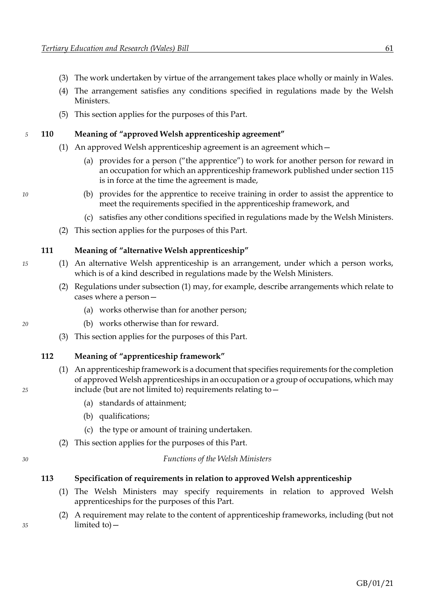- <span id="page-67-1"></span><span id="page-67-0"></span>(3) The work undertaken by virtue of the arrangement takes place wholly or mainly in Wales.
- <span id="page-67-2"></span>(4) The arrangement satisfies any conditions specified in regulations made by the Welsh Ministers.
- (5) This section applies for the purposes of this Part.

#### *5* **110 Meaning of "approved Welsh apprenticeship agreement"**

- <span id="page-67-5"></span><span id="page-67-4"></span>(1) An approved Welsh apprenticeship agreement is an agreement which—
	- (a) provides for a person ("the apprentice") to work for another person for reward in an occupation for which an apprenticeship framework published under section [115](#page-68-0) is in force at the time the agreement is made,
- *10* (b) provides for the apprentice to receive training in order to assist the apprentice to meet the requirements specified in the apprenticeship framework, and
	- (c) satisfies any other conditions specified in regulations made by the Welsh Ministers.
	- (2) This section applies for the purposes of this Part.

#### <span id="page-67-6"></span><span id="page-67-3"></span>**111 Meaning of "alternative Welsh apprenticeship"**

- *15* (1) An alternative Welsh apprenticeship is an arrangement, under which a person works, which is of a kind described in regulations made by the Welsh Ministers.
	- (2) Regulations under subsection [\(1\)](#page-67-3) may, for example, describe arrangements which relate to cases where a person—
		- (a) works otherwise than for another person;
- *20* (b) works otherwise than for reward.
	- (3) This section applies for the purposes of this Part.

#### **112 Meaning of "apprenticeship framework"**

- (1) An apprenticeship framework is a document that specifies requirements for the completion of approved Welsh apprenticeships in an occupation or a group of occupations, which may *25* include (but are not limited to) requirements relating to—
	- (a) standards of attainment;
	- (b) qualifications;
	- (c) the type or amount of training undertaken.
	- (2) This section applies for the purposes of this Part.

# *30 Functions of the Welsh Ministers*

- **113 Specification of requirements in relation to approved Welsh apprenticeship**
	- (1) The Welsh Ministers may specify requirements in relation to approved Welsh apprenticeships for the purposes of this Part.
- (2) A requirement may relate to the content of apprenticeship frameworks, including (but not *35* limited to)—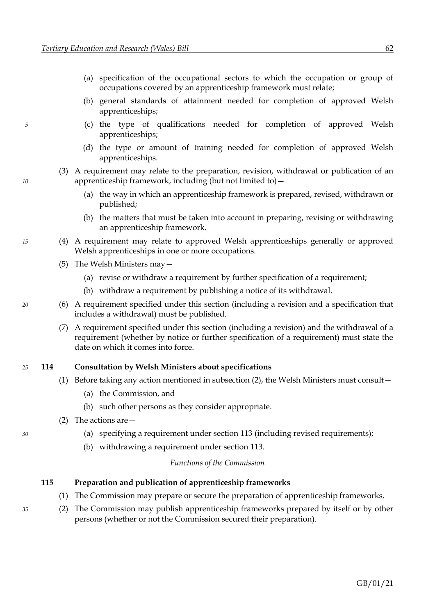- (a) specification of the occupational sectors to which the occupation or group of occupations covered by an apprenticeship framework must relate;
- (b) general standards of attainment needed for completion of approved Welsh apprenticeships;
- *5* (c) the type of qualifications needed for completion of approved Welsh apprenticeships;
	- (d) the type or amount of training needed for completion of approved Welsh apprenticeships.
- (3) A requirement may relate to the preparation, revision, withdrawal or publication of an *10* apprenticeship framework, including (but not limited to)—
	- (a) the way in which an apprenticeship framework is prepared, revised, withdrawn or published;
	- (b) the matters that must be taken into account in preparing, revising or withdrawing an apprenticeship framework.
- *15* (4) A requirement may relate to approved Welsh apprenticeships generally or approved Welsh apprenticeships in one or more occupations.
	- (5) The Welsh Ministers may—
		- (a) revise or withdraw a requirement by further specification of a requirement;
		- (b) withdraw a requirement by publishing a notice of its withdrawal.
- *20* (6) A requirement specified under this section (including a revision and a specification that includes a withdrawal) must be published.
	- (7) A requirement specified under this section (including a revision) and the withdrawal of a requirement (whether by notice or further specification of a requirement) must state the date on which it comes into force.

#### *25* **114 Consultation by Welsh Ministers about specifications**

- (1) Before taking any action mentioned in subsection [\(2\),](#page-68-1) the Welsh Ministers must consult—
	- (a) the Commission, and
	- (b) such other persons as they consider appropriate.
- <span id="page-68-1"></span>(2) The actions are—
- *30* (a) specifying a requirement under section [113](#page-67-0) (including revised requirements);
	- (b) withdrawing a requirement under section [113.](#page-67-0)

#### *Functions of the Commission*

#### <span id="page-68-0"></span>**115 Preparation and publication of apprenticeship frameworks**

- <span id="page-68-2"></span>(1) The Commission may prepare or secure the preparation of apprenticeship frameworks.
- *35* (2) The Commission may publish apprenticeship frameworks prepared by itself or by other persons (whether or not the Commission secured their preparation).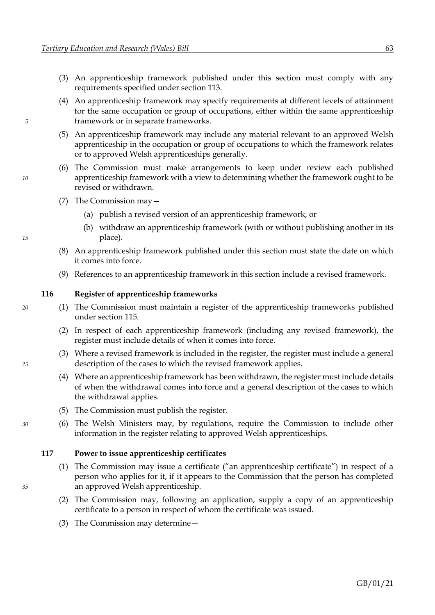- <span id="page-69-0"></span>(3) An apprenticeship framework published under this section must comply with any requirements specified under section [113.](#page-67-0)
- (4) An apprenticeship framework may specify requirements at different levels of attainment for the same occupation or group of occupations, either within the same apprenticeship *5* framework or in separate frameworks.
	- (5) An apprenticeship framework may include any material relevant to an approved Welsh apprenticeship in the occupation or group of occupations to which the framework relates or to approved Welsh apprenticeships generally.
- (6) The Commission must make arrangements to keep under review each published *10* apprenticeship framework with a view to determining whether the framework ought to be revised or withdrawn.
	- (7) The Commission may—
		- (a) publish a revised version of an apprenticeship framework, or
- (b) withdraw an apprenticeship framework (with or without publishing another in its *15* place).
	- (8) An apprenticeship framework published under this section must state the date on which it comes into force.
	- (9) References to an apprenticeship framework in this section include a revised framework.

#### **116 Register of apprenticeship frameworks**

- *20* (1) The Commission must maintain a register of the apprenticeship frameworks published under section [115.](#page-68-0)
	- (2) In respect of each apprenticeship framework (including any revised framework), the register must include details of when it comes into force.
- (3) Where a revised framework is included in the register, the register must include a general *25* description of the cases to which the revised framework applies.
	- (4) Where an apprenticeship framework has been withdrawn, the register must include details of when the withdrawal comes into force and a general description of the cases to which the withdrawal applies.
	- (5) The Commission must publish the register.
- *30* (6) The Welsh Ministers may, by regulations, require the Commission to include other information in the register relating to approved Welsh apprenticeships.

#### **117 Power to issue apprenticeship certificates**

- (1) The Commission may issue a certificate ("an apprenticeship certificate") in respect of a person who applies for it, if it appears to the Commission that the person has completed *35* an approved Welsh apprenticeship.
	- (2) The Commission may, following an application, supply a copy of an apprenticeship certificate to a person in respect of whom the certificate was issued.
	- (3) The Commission may determine—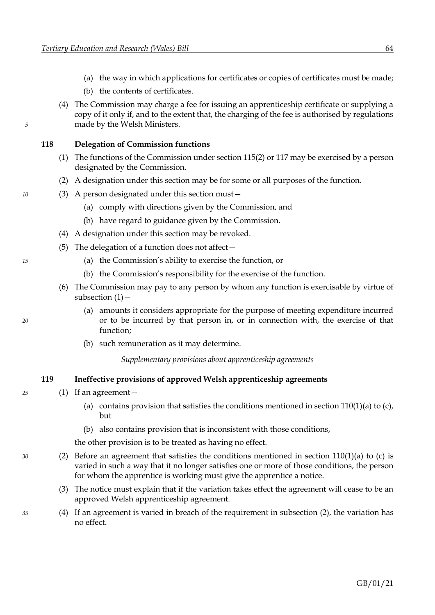- (a) the way in which applications for certificates or copies of certificates must be made;
- (b) the contents of certificates.
- (4) The Commission may charge a fee for issuing an apprenticeship certificate or supplying a copy of it only if, and to the extent that, the charging of the fee is authorised by regulations *5* made by the Welsh Ministers.

#### **118 Delegation of Commission functions**

- <span id="page-70-0"></span>(1) The functions of the Commission under section [115](#page-68-0)[\(2\)](#page-68-2) or [117](#page-69-0) may be exercised by a person designated by the Commission.
- (2) A designation under this section may be for some or all purposes of the function.
- *10* (3) A person designated under this section must—
	- (a) comply with directions given by the Commission, and
	- (b) have regard to guidance given by the Commission.
	- (4) A designation under this section may be revoked.
	- (5) The delegation of a function does not affect—
- *15* (a) the Commission's ability to exercise the function, or
	- (b) the Commission's responsibility for the exercise of the function.
	- (6) The Commission may pay to any person by whom any function is exercisable by virtue of subsection  $(1)$  –
- (a) amounts it considers appropriate for the purpose of meeting expenditure incurred *20* or to be incurred by that person in, or in connection with, the exercise of that function;
	- (b) such remuneration as it may determine.

*Supplementary provisions about apprenticeship agreements*

#### **119 Ineffective provisions of approved Welsh apprenticeship agreements**

- *25* (1) If an agreement
	- (a) contains provision that satisfies the conditions mentioned in sectio[n 110](#page-67-0)[\(1\)](#page-67-4)[\(a\)](#page-67-5) t[o \(c\),](#page-67-6) but
	- (b) also contains provision that is inconsistent with those conditions,

<span id="page-70-1"></span>the other provision is to be treated as having no effect.

- *30* (2) Before an agreement that satisfies the conditions mentioned in section [110](#page-67-0)[\(1\)](#page-67-4)[\(a\)](#page-67-5) to [\(c\)](#page-67-6) is varied in such a way that it no longer satisfies one or more of those conditions, the person for whom the apprentice is working must give the apprentice a notice.
	- (3) The notice must explain that if the variation takes effect the agreement will cease to be an approved Welsh apprenticeship agreement.
- *35* (4) If an agreement is varied in breach of the requirement in subsection [\(2\),](#page-70-1) the variation has no effect.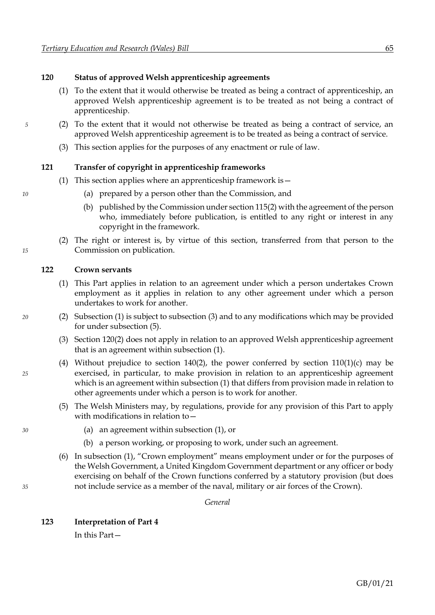#### <span id="page-71-3"></span>**120 Status of approved Welsh apprenticeship agreements**

- <span id="page-71-4"></span>(1) To the extent that it would otherwise be treated as being a contract of apprenticeship, an approved Welsh apprenticeship agreement is to be treated as not being a contract of apprenticeship.
- *5* (2) To the extent that it would not otherwise be treated as being a contract of service, an approved Welsh apprenticeship agreement is to be treated as being a contract of service.
	- (3) This section applies for the purposes of any enactment or rule of law.

#### **121 Transfer of copyright in apprenticeship frameworks**

- (1) This section applies where an apprenticeship framework is—
- *10* (a) prepared by a person other than the Commission, and
	- (b) published by the Commission under sectio[n 115](#page-68-0)[\(2\)](#page-68-2) with the agreement of the person who, immediately before publication, is entitled to any right or interest in any copyright in the framework.
- (2) The right or interest is, by virtue of this section, transferred from that person to the *15* Commission on publication.

#### **122 Crown servants**

- <span id="page-71-0"></span>(1) This Part applies in relation to an agreement under which a person undertakes Crown employment as it applies in relation to any other agreement under which a person undertakes to work for another.
- <span id="page-71-1"></span>*20* (2) Subsection [\(1\)](#page-71-0) is subject to subsection [\(3\)](#page-71-1) and to any modifications which may be provided for under subsection [\(5\).](#page-71-2)
	- (3) Section [120](#page-71-3)[\(2\)](#page-71-4) does not apply in relation to an approved Welsh apprenticeship agreement that is an agreement within subsection [\(1\).](#page-71-0)
- (4) Without prejudice to section [140](#page-84-0)[\(2\),](#page-84-1) the power conferred by section [110](#page-67-0)[\(1\)](#page-67-4)[\(c\)](#page-67-6) may be *25* exercised, in particular, to make provision in relation to an apprenticeship agreement which is an agreement within subsection [\(1\)](#page-71-0) that differs from provision made in relation to other agreements under which a person is to work for another.
	- (5) The Welsh Ministers may, by regulations, provide for any provision of this Part to apply with modifications in relation to—
- <span id="page-71-2"></span>*30* (a) an agreement within subsection [\(1\),](#page-71-0) or
	- (b) a person working, or proposing to work, under such an agreement.
- (6) In subsection [\(1\)](#page-71-0), "Crown employment" means employment under or for the purposes of the Welsh Government, a United Kingdom Government department or any officer or body exercising on behalf of the Crown functions conferred by a statutory provision (but does *35* not include service as a member of the naval, military or air forces of the Crown).

*General*

#### **123 Interpretation of Part [4](#page-66-2)**

In this Part—

GB/01/21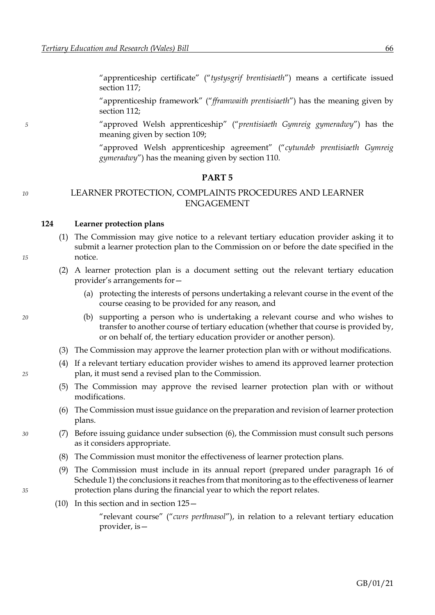"apprenticeship certificate" ("*tystysgrif brentisiaeth*") means a certificate issued section [117;](#page-69-0)

"apprenticeship framework" ("*fframwaith prentisiaeth*") has the meaning given by section [112;](#page-67-0)

<span id="page-72-1"></span>*5* "approved Welsh apprenticeship" ("*prentisiaeth Gymreig gymeradwy*") has the meaning given by section [109;](#page-66-0)

> "approved Welsh apprenticeship agreement" ("*cytundeb prentisiaeth Gymreig gymeradwy*") has the meaning given by section [110.](#page-67-0)

#### **PART 5**

# *<sup>10</sup>* LEARNER PROTECTION, COMPLAINTS PROCEDURES AND LEARNER ENGAGEMENT

#### **124 Learner protection plans**

- (1) The Commission may give notice to a relevant tertiary education provider asking it to submit a learner protection plan to the Commission on or before the date specified in the *15* notice.
	- (2) A learner protection plan is a document setting out the relevant tertiary education provider's arrangements for—
		- (a) protecting the interests of persons undertaking a relevant course in the event of the course ceasing to be provided for any reason, and
- *20* (b) supporting a person who is undertaking a relevant course and who wishes to transfer to another course of tertiary education (whether that course is provided by, or on behalf of, the tertiary education provider or another person).
	- (3) The Commission may approve the learner protection plan with or without modifications.
- (4) If a relevant tertiary education provider wishes to amend its approved learner protection *25* plan, it must send a revised plan to the Commission.
	- (5) The Commission may approve the revised learner protection plan with or without modifications.
	- (6) The Commission must issue guidance on the preparation and revision of learner protection plans.
- <span id="page-72-0"></span>*30* (7) Before issuing guidance under subsection [\(6\),](#page-72-0) the Commission must consult such persons as it considers appropriate.
	- (8) The Commission must monitor the effectiveness of learner protection plans.
- <span id="page-72-3"></span><span id="page-72-2"></span>(9) The Commission must include in its annual report (prepared under paragraph [16](#page-97-0) of Schedul[e 1\)](#page-89-0) the conclusions it reaches from that monitoring as to the effectiveness of learner *35* protection plans during the financial year to which the report relates.
	- (10) In this section and in section [125](#page-73-0)—

"relevant course" ("*cwrs perthnasol*"), in relation to a relevant tertiary education provider, is—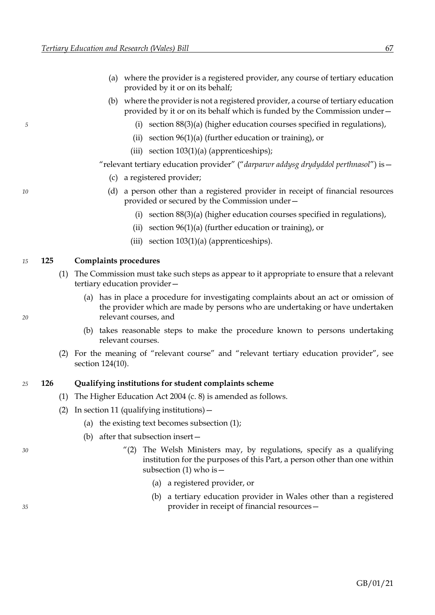- (a) where the provider is a registered provider, any course of tertiary education provided by it or on its behalf;
- (b) where the provider is not a registered provider, a course of tertiary education provided by it or on its behalf which is funded by the Commission under—
- <span id="page-73-0"></span>*5* (i) section [88](#page-52-0)[\(3\)](#page-52-1)[\(a\)](#page-52-2) (higher education courses specified in regulations),
	- (ii) section [96](#page-56-0)[\(1\)](#page-56-1)[\(a\)](#page-56-2) (further education or training), or
	- (iii) section  $103(1)(a)$  $103(1)(a)$  $103(1)(a)$  (apprenticeships);
	- "relevant tertiary education provider" ("*darparwr addysg drydyddol perthnasol*") is—
		- (c) a registered provider;
- *10* (d) a person other than a registered provider in receipt of financial resources provided or secured by the Commission under—
	- (i) section [88](#page-52-0)[\(3\)](#page-52-1)[\(a\)](#page-52-2) (higher education courses specified in regulations),
	- (ii) section [96](#page-56-0)[\(1\)](#page-56-1)[\(a\)](#page-56-2) (further education or training), or
	- (iii) section [103](#page-62-0)[\(1\)](#page-62-1)[\(a\)](#page-62-2) (apprenticeships).

#### *15* **125 Complaints procedures**

- (1) The Commission must take such steps as appear to it appropriate to ensure that a relevant tertiary education provider—
- (a) has in place a procedure for investigating complaints about an act or omission of the provider which are made by persons who are undertaking or have undertaken *20* relevant courses, and
	- (b) takes reasonable steps to make the procedure known to persons undertaking relevant courses.
	- (2) For the meaning of "relevant course" and "relevant tertiary education provider", see section [124](#page-72-1)[\(10\).](#page-72-2)

#### *25* **126 Qualifying institutions for student complaints scheme**

- (1) The Higher Education Act 2004 (c. 8) is amended as follows.
- (2) In section 11 (qualifying institutions)  $-$ 
	- (a) the existing text becomes subsection (1);
	- (b) after that subsection insert—
- *30* "(2) The Welsh Ministers may, by regulations, specify as a qualifying institution for the purposes of this Part, a person other than one within subsection  $(1)$  who is  $-$ 
	- (a) a registered provider, or
- (b) a tertiary education provider in Wales other than a registered *35* provider in receipt of financial resources—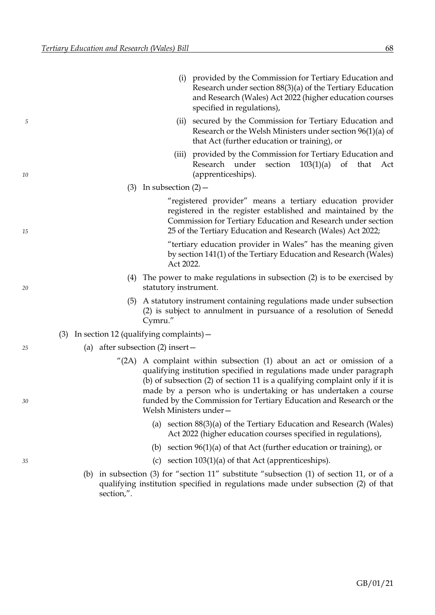|    |                                                  |                             | (i) provided by the Commission for Tertiary Education and<br>Research under section $88(3)(a)$ of the Tertiary Education<br>and Research (Wales) Act 2022 (higher education courses<br>specified in regulations),                                                                                                                                                                      |
|----|--------------------------------------------------|-----------------------------|----------------------------------------------------------------------------------------------------------------------------------------------------------------------------------------------------------------------------------------------------------------------------------------------------------------------------------------------------------------------------------------|
| 5  |                                                  | (ii)                        | secured by the Commission for Tertiary Education and<br>Research or the Welsh Ministers under section $96(1)(a)$ of<br>that Act (further education or training), or                                                                                                                                                                                                                    |
| 10 |                                                  | (iii)                       | provided by the Commission for Tertiary Education and<br>section<br>$103(1)(a)$ of that<br>Research under<br>Act<br>(apprenticeships).                                                                                                                                                                                                                                                 |
|    |                                                  | $(3)$ In subsection $(2)$ – |                                                                                                                                                                                                                                                                                                                                                                                        |
| 15 |                                                  |                             | "registered provider" means a tertiary education provider<br>registered in the register established and maintained by the<br>Commission for Tertiary Education and Research under section<br>25 of the Tertiary Education and Research (Wales) Act 2022;                                                                                                                               |
|    |                                                  | Act 2022.                   | "tertiary education provider in Wales" has the meaning given<br>by section 141(1) of the Tertiary Education and Research (Wales)                                                                                                                                                                                                                                                       |
| 20 | (4)                                              | statutory instrument.       | The power to make regulations in subsection (2) is to be exercised by                                                                                                                                                                                                                                                                                                                  |
|    | (5)                                              | Cymru."                     | A statutory instrument containing regulations made under subsection<br>(2) is subject to annulment in pursuance of a resolution of Senedd                                                                                                                                                                                                                                              |
|    | In section 12 (qualifying complaints) $-$<br>(3) |                             |                                                                                                                                                                                                                                                                                                                                                                                        |
| 25 | (a) after subsection $(2)$ insert –              |                             |                                                                                                                                                                                                                                                                                                                                                                                        |
| 30 |                                                  | Welsh Ministers under-      | $^{\prime\prime}$ (2A) A complaint within subsection (1) about an act or omission of a<br>qualifying institution specified in regulations made under paragraph<br>(b) of subsection (2) of section 11 is a qualifying complaint only if it is<br>made by a person who is undertaking or has undertaken a course<br>funded by the Commission for Tertiary Education and Research or the |
|    |                                                  |                             | (a) section $88(3)(a)$ of the Tertiary Education and Research (Wales)<br>Act 2022 (higher education courses specified in regulations),                                                                                                                                                                                                                                                 |
|    |                                                  | (b)                         | section $96(1)(a)$ of that Act (further education or training), or                                                                                                                                                                                                                                                                                                                     |
| 35 |                                                  | (c)                         | section $103(1)(a)$ of that Act (apprenticeships).                                                                                                                                                                                                                                                                                                                                     |
|    |                                                  |                             | (b) in subsection (3) for "section 11" substitute "subsection (1) of section 11, or of a                                                                                                                                                                                                                                                                                               |
|    | section,".                                       |                             | qualifying institution specified in regulations made under subsection (2) of that                                                                                                                                                                                                                                                                                                      |
|    |                                                  |                             |                                                                                                                                                                                                                                                                                                                                                                                        |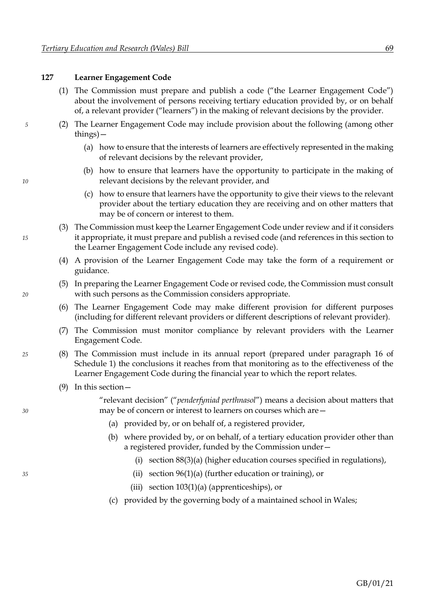# <span id="page-75-0"></span>**127 Learner Engagement Code**

- (1) The Commission must prepare and publish a code ("the Learner Engagement Code") about the involvement of persons receiving tertiary education provided by, or on behalf of, a relevant provider ("learners") in the making of relevant decisions by the provider.
- *5* (2) The Learner Engagement Code may include provision about the following (among other things)—
	- (a) how to ensure that the interests of learners are effectively represented in the making of relevant decisions by the relevant provider,
- (b) how to ensure that learners have the opportunity to participate in the making of *10* relevant decisions by the relevant provider, and
	- (c) how to ensure that learners have the opportunity to give their views to the relevant provider about the tertiary education they are receiving and on other matters that may be of concern or interest to them.
- (3) The Commission must keep the Learner Engagement Code under review and if it considers *15* it appropriate, it must prepare and publish a revised code (and references in this section to the Learner Engagement Code include any revised code).
	- (4) A provision of the Learner Engagement Code may take the form of a requirement or guidance.
- (5) In preparing the Learner Engagement Code or revised code, the Commission must consult *20* with such persons as the Commission considers appropriate.
	- (6) The Learner Engagement Code may make different provision for different purposes (including for different relevant providers or different descriptions of relevant provider).
	- (7) The Commission must monitor compliance by relevant providers with the Learner Engagement Code.
- <span id="page-75-1"></span>*25* (8) The Commission must include in its annual report (prepared under paragraph [16](#page-97-0) of Schedule [1\)](#page-89-0) the conclusions it reaches from that monitoring as to the effectiveness of the Learner Engagement Code during the financial year to which the report relates.
	- (9) In this section—

"relevant decision" ("*penderfyniad perthnasol*") means a decision about matters that *30* may be of concern or interest to learners on courses which are—

- (a) provided by, or on behalf of, a registered provider,
- (b) where provided by, or on behalf, of a tertiary education provider other than a registered provider, funded by the Commission under—
	- (i) section [88](#page-52-0)[\(3\)](#page-52-1)[\(a\)](#page-52-2) (higher education courses specified in regulations),
- *35* (ii) section [96](#page-56-0)[\(1\)](#page-56-1)[\(a\)](#page-56-2) (further education or training), or
	- (iii) section [103](#page-62-0)[\(1\)](#page-62-1)[\(a\)](#page-62-2) (apprenticeships), or
	- (c) provided by the governing body of a maintained school in Wales;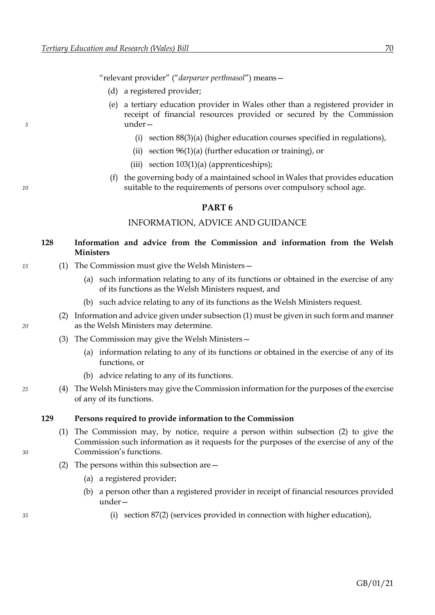"relevant provider" ("*darparwr perthnasol*") means—

- (d) a registered provider;
- (e) a tertiary education provider in Wales other than a registered provider in receipt of financial resources provided or secured by the Commission *5* under—
	- (i) section [88](#page-52-0)[\(3\)](#page-52-1)[\(a\)](#page-52-2) (higher education courses specified in regulations),
	- (ii) section [96](#page-56-0)[\(1\)](#page-56-1)[\(a\)](#page-56-2) (further education or training), or
	- (iii) section  $103(1)(a)$  $103(1)(a)$  $103(1)(a)$  (apprenticeships);
- (f) the governing body of a maintained school in Wales that provides education *10* suitable to the requirements of persons over compulsory school age.

# **PART 6**

# INFORMATION, ADVICE AND GUIDANCE

# <span id="page-76-0"></span>**128 Information and advice from the Commission and information from the Welsh Ministers**

- *15* (1) The Commission must give the Welsh Ministers—
	- (a) such information relating to any of its functions or obtained in the exercise of any of its functions as the Welsh Ministers request, and
	- (b) such advice relating to any of its functions as the Welsh Ministers request.
- (2) Information and advice given under subsectio[n \(1\)](#page-76-0) must be given in such form and manner *20* as the Welsh Ministers may determine.
	- (3) The Commission may give the Welsh Ministers—
		- (a) information relating to any of its functions or obtained in the exercise of any of its functions, or
		- (b) advice relating to any of its functions.
- *25* (4) The Welsh Ministers may give the Commission information for the purposes of the exercise of any of its functions.

#### <span id="page-76-2"></span><span id="page-76-1"></span>**129 Persons required to provide information to the Commission**

- (1) The Commission may, by notice, require a person within subsection [\(2\)](#page-76-1) to give the Commission such information as it requests for the purposes of the exercise of any of the *30* Commission's functions.
	- (2) The persons within this subsection are—
		- (a) a registered provider;
		- (b) a person other than a registered provider in receipt of financial resources provided under—
- *35* (i) section [87](#page-51-0)[\(2\)](#page-52-3) (services provided in connection with higher education),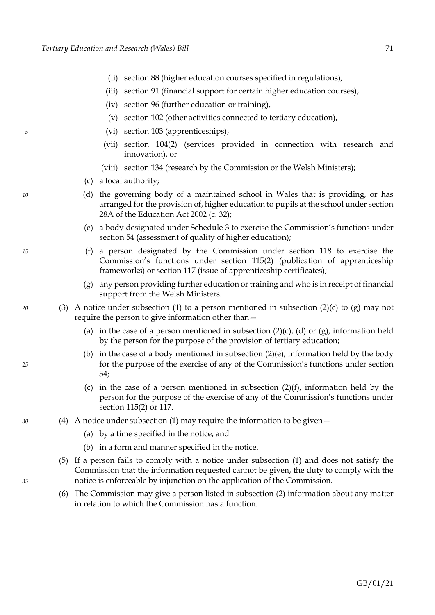<span id="page-77-4"></span><span id="page-77-3"></span><span id="page-77-2"></span><span id="page-77-0"></span>

|    |     |     | section 88 (higher education courses specified in regulations),<br>(ii)                                                                                                                                                                                        |  |
|----|-----|-----|----------------------------------------------------------------------------------------------------------------------------------------------------------------------------------------------------------------------------------------------------------------|--|
|    |     |     | section 91 (financial support for certain higher education courses),<br>(iii)                                                                                                                                                                                  |  |
|    |     |     | section 96 (further education or training),<br>(iv)                                                                                                                                                                                                            |  |
|    |     |     | section 102 (other activities connected to tertiary education),<br>(v)                                                                                                                                                                                         |  |
| 5  |     |     | section 103 (apprenticeships),<br>(vi)                                                                                                                                                                                                                         |  |
|    |     |     | section 104(2) (services provided in connection with research and<br>(vii)<br>innovation), or                                                                                                                                                                  |  |
|    |     |     | (viii) section 134 (research by the Commission or the Welsh Ministers);                                                                                                                                                                                        |  |
|    |     | (c) | a local authority;                                                                                                                                                                                                                                             |  |
| 10 |     | (d) | the governing body of a maintained school in Wales that is providing, or has<br>arranged for the provision of, higher education to pupils at the school under section<br>28A of the Education Act 2002 (c. 32);                                                |  |
|    |     | (e) | a body designated under Schedule 3 to exercise the Commission's functions under<br>section 54 (assessment of quality of higher education);                                                                                                                     |  |
| 15 |     | (f) | a person designated by the Commission under section 118 to exercise the<br>Commission's functions under section 115(2) (publication of apprenticeship<br>frameworks) or section 117 (issue of apprenticeship certificates);                                    |  |
|    |     | (g) | any person providing further education or training and who is in receipt of financial<br>support from the Welsh Ministers.                                                                                                                                     |  |
| 20 | (3) |     | A notice under subsection (1) to a person mentioned in subsection (2)(c) to (g) may not<br>require the person to give information other than -                                                                                                                 |  |
|    |     |     | (a) in the case of a person mentioned in subsection $(2)(c)$ , $(d)$ or $(g)$ , information held<br>by the person for the purpose of the provision of tertiary education;                                                                                      |  |
| 25 |     | (b) | in the case of a body mentioned in subsection $(2)(e)$ , information held by the body<br>for the purpose of the exercise of any of the Commission's functions under section<br>54;                                                                             |  |
|    |     |     | (c) in the case of a person mentioned in subsection $(2)(f)$ , information held by the<br>person for the purpose of the exercise of any of the Commission's functions under<br>section 115(2) or 117.                                                          |  |
| 30 |     |     | (4) A notice under subsection (1) may require the information to be given $-$                                                                                                                                                                                  |  |
|    |     | (a) | by a time specified in the notice, and                                                                                                                                                                                                                         |  |
|    |     | (b) | in a form and manner specified in the notice.                                                                                                                                                                                                                  |  |
| 35 | (5) |     | If a person fails to comply with a notice under subsection (1) and does not satisfy the<br>Commission that the information requested cannot be given, the duty to comply with the<br>notice is enforceable by injunction on the application of the Commission. |  |
|    |     |     |                                                                                                                                                                                                                                                                |  |

<span id="page-77-1"></span>(6) The Commission may give a person listed in subsection [\(2\)](#page-76-1) information about any matter in relation to which the Commission has a function.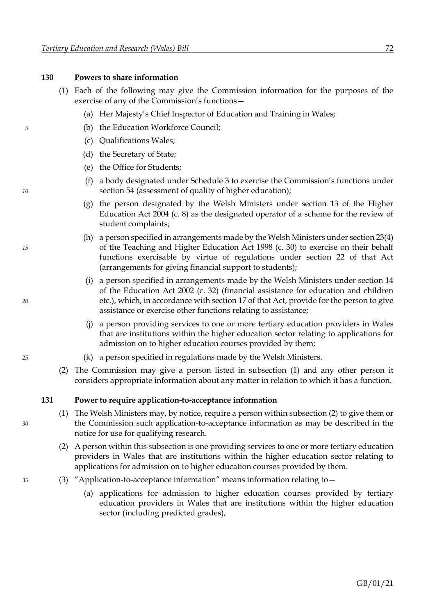<span id="page-78-3"></span>**130 Powers to share information**

|    |     |     |     | (1) Each of the following may give the Commission information for t<br>exercise of any of the Commission's functions-                                                                                                                                                      |
|----|-----|-----|-----|----------------------------------------------------------------------------------------------------------------------------------------------------------------------------------------------------------------------------------------------------------------------------|
|    |     |     |     | (a) Her Majesty's Chief Inspector of Education and Training in Wa                                                                                                                                                                                                          |
| 5  |     |     |     | (b) the Education Workforce Council;                                                                                                                                                                                                                                       |
|    |     |     |     | (c) Qualifications Wales;                                                                                                                                                                                                                                                  |
|    |     |     |     | (d) the Secretary of State;                                                                                                                                                                                                                                                |
|    |     |     |     | (e) the Office for Students;                                                                                                                                                                                                                                               |
| 10 |     |     | (f) | a body designated under Schedule 3 to exercise the Commission<br>section 54 (assessment of quality of higher education);                                                                                                                                                   |
|    |     |     |     | (g) the person designated by the Welsh Ministers under sectio<br>Education Act 2004 (c. 8) as the designated operator of a schere<br>student complaints;                                                                                                                   |
| 15 |     |     |     | (h) a person specified in arrangements made by the Welsh Minister<br>of the Teaching and Higher Education Act 1998 (c. 30) to exer-<br>functions exercisable by virtue of regulations under secti<br>(arrangements for giving financial support to students);              |
| 20 |     |     |     | (i) a person specified in arrangements made by the Welsh Minist<br>of the Education Act 2002 (c. 32) (financial assistance for edu<br>etc.), which, in accordance with section 17 of that Act, provide f<br>assistance or exercise other functions relating to assistance; |
|    |     |     |     | (j) a person providing services to one or more tertiary education<br>that are institutions within the higher education sector relating<br>admission on to higher education courses provided by them;                                                                       |
| 25 |     |     |     | (k) a person specified in regulations made by the Welsh Ministers.                                                                                                                                                                                                         |
|    |     | (2) |     | The Commission may give a person listed in subsection (1) and a<br>considers appropriate information about any matter in relation to whi                                                                                                                                   |
|    | 131 |     |     | Power to require application-to-acceptance information                                                                                                                                                                                                                     |
| 30 |     |     |     | (1) The Welsh Ministers may, by notice, require a person within subsection<br>the Commission such application-to-acceptance information as may<br>notice for use for qualifying research.                                                                                  |
|    |     | (2) |     | A person within this subsection is one providing services to one or mo<br>providers in Wales that are institutions within the higher education<br>applications for admission on to higher education courses provided b                                                     |
| 35 |     | (3) |     | "Application-to-acceptance information" means information relating                                                                                                                                                                                                         |
|    |     |     |     | (a) applications for admission to higher education courses pr                                                                                                                                                                                                              |

- <span id="page-78-0"></span>for the purposes of the
	- in Wales;
	- mission's functions under
	- section 13 of the Higher scheme for the review of
- nisters under section 23(4) *15* of the Teaching and Higher Education Act 1998 (c. 30) to exercise on their behalf section 22 of that Act
- (inisters under section 14 or education and children *20* etc.), which, in accordance with section 17 of that Act, provide for the person to give assistance or exercise other functions relating to assistance;
	- cation providers in Wales elating to applications for admission on to higher education courses provided by them;
	-
	- and any other person it o which it has a function.
- <span id="page-78-2"></span><span id="page-78-1"></span>section [\(2\)](#page-78-1) to give them or *30* the Commission such application-to-acceptance information as may be described in the
	- or more tertiary education ucation sector relating to ded by them.
- *35* (3) "Application-to-acceptance information" means information relating to—
	- (a) applications for admission to higher education courses provided by tertiary education providers in Wales that are institutions within the higher education sector (including predicted grades),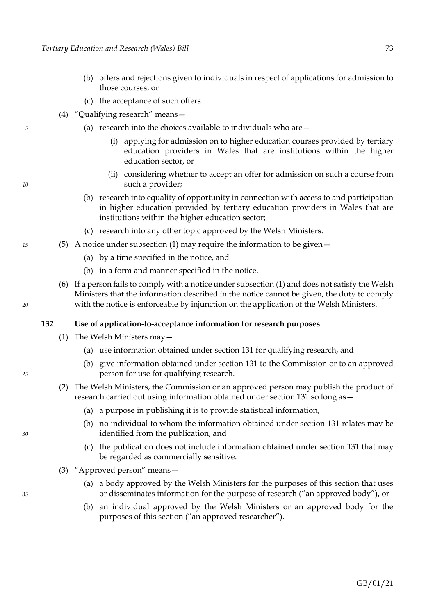- (b) offers and rejections given to individuals in respect of applications for admission to those courses, or
- (c) the acceptance of such offers.
- (4) "Qualifying research" means—
- *5* (a) research into the choices available to individuals who are—
	- (i) applying for admission on to higher education courses provided by tertiary education providers in Wales that are institutions within the higher education sector, or
- (ii) considering whether to accept an offer for admission on such a course from *10* such a provider;
	- (b) research into equality of opportunity in connection with access to and participation in higher education provided by tertiary education providers in Wales that are institutions within the higher education sector;
	- (c) research into any other topic approved by the Welsh Ministers.
- *15* (5) A notice under subsection [\(1\)](#page-78-2) may require the information to be given—
	- (a) by a time specified in the notice, and
	- (b) in a form and manner specified in the notice.
- (6) If a person fails to comply with a notice under subsectio[n \(1\)](#page-78-2) and does not satisfy the Welsh Ministers that the information described in the notice cannot be given, the duty to comply *20* with the notice is enforceable by injunction on the application of the Welsh Ministers.

#### **132 Use of application-to-acceptance information for research purposes**

- (1) The Welsh Ministers may—
	- (a) use information obtained under section [131](#page-78-3) for qualifying research, and
- (b) give information obtained under section [131](#page-78-3) to the Commission or to an approved *25* person for use for qualifying research.
	- (2) The Welsh Ministers, the Commission or an approved person may publish the product of research carried out using information obtained under section [131](#page-78-3) so long as—
		- (a) a purpose in publishing it is to provide statistical information,
- (b) no individual to whom the information obtained under section [131](#page-78-3) relates may be *30* identified from the publication, and
	- (c) the publication does not include information obtained under section [131](#page-78-3) that may be regarded as commercially sensitive.
	- (3) "Approved person" means—
- (a) a body approved by the Welsh Ministers for the purposes of this section that uses *35* or disseminates information for the purpose of research ("an approved body"), or
	- (b) an individual approved by the Welsh Ministers or an approved body for the purposes of this section ("an approved researcher").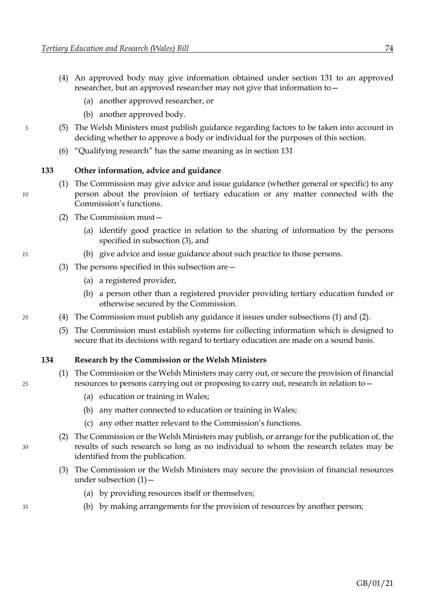- <span id="page-80-0"></span>(4) An approved body may give information obtained under section [131](#page-78-3) to an approved researcher, but an approved researcher may not give that information to—
	- (a) another approved researcher, or
	- (b) another approved body.
- *5* (5) The Welsh Ministers must publish guidance regarding factors to be taken into account in deciding whether to approve a body or individual for the purposes of this section.
	- (6) "Qualifying research" has the same meaning as in section [131](#page-78-3)

### <span id="page-80-3"></span><span id="page-80-2"></span>**133 Other information, advice and guidance**

- (1) The Commission may give advice and issue guidance (whether general or specific) to any *10* person about the provision of tertiary education or any matter connected with the Commission's functions.
	- (2) The Commission must—
		- (a) identify good practice in relation to the sharing of information by the persons specified in subsection [\(3\),](#page-80-1) and
- <span id="page-80-1"></span>*15* (b) give advice and issue guidance about such practice to those persons.
	- (3) The persons specified in this subsection are—
		- (a) a registered provider,
		- (b) a person other than a registered provider providing tertiary education funded or otherwise secured by the Commission.
- *20* (4) The Commission must publish any guidance it issues under subsections [\(1\)](#page-80-2) and [\(2\).](#page-80-3)
	- (5) The Commission must establish systems for collecting information which is designed to secure that its decisions with regard to tertiary education are made on a sound basis.

## <span id="page-80-4"></span>**134 Research by the Commission or the Welsh Ministers**

- (1) The Commission or the Welsh Ministers may carry out, or secure the provision of financial *25* resources to persons carrying out or proposing to carry out, research in relation to—
	- (a) education or training in Wales;
	- (b) any matter connected to education or training in Wales;
	- (c) any other matter relevant to the Commission's functions.
- <span id="page-80-5"></span>(2) The Commission or the Welsh Ministers may publish, or arrange for the publication of, the *30* results of such research so long as no individual to whom the research relates may be identified from the publication.
	- (3) The Commission or the Welsh Ministers may secure the provision of financial resources under subsection  $(1)$  –
		- (a) by providing resources itself or themselves;
- <span id="page-80-6"></span>*35* (b) by making arrangements for the provision of resources by another person;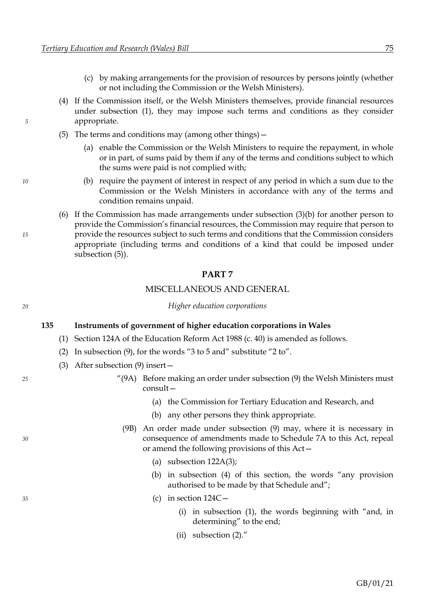- (c) by making arrangements for the provision of resources by persons jointly (whether or not including the Commission or the Welsh Ministers).
- <span id="page-81-0"></span>(4) If the Commission itself, or the Welsh Ministers themselves, provide financial resources under subsection [\(1\),](#page-80-4) they may impose such terms and conditions as they consider *5* appropriate.
	- (5) The terms and conditions may (among other things)—
		- (a) enable the Commission or the Welsh Ministers to require the repayment, in whole or in part, of sums paid by them if any of the terms and conditions subject to which the sums were paid is not complied with;
- *10* (b) require the payment of interest in respect of any period in which a sum due to the Commission or the Welsh Ministers in accordance with any of the terms and condition remains unpaid.
- (6) If the Commission has made arrangements under subsection [\(3\)](#page-80-5)[\(b\)](#page-80-6) for another person to provide the Commission's financial resources, the Commission may require that person to *15* provide the resources subject to such terms and conditions that the Commission considers appropriate (including terms and conditions of a kind that could be imposed under subsection [\(5\)\)](#page-81-0).

#### **PART 7**

### MISCELLANEOUS AND GENERAL

#### *20 Higher education corporations*

#### **135 Instruments of government of higher education corporations in Wales**

- (1) Section 124A of the Education Reform Act 1988 (c. 40) is amended as follows.
- (2) In subsection (9), for the words "3 to 5 and" substitute "2 to".
- (3) After subsection (9) insert—
- *25* "(9A) Before making an order under subsection (9) the Welsh Ministers must consult—
	- (a) the Commission for Tertiary Education and Research, and
	- (b) any other persons they think appropriate.
- (9B) An order made under subsection (9) may, where it is necessary in *30* consequence of amendments made to Schedule 7A to this Act, repeal or amend the following provisions of this Act—
	- (a) subsection  $122A(3)$ ;
	- (b) in subsection (4) of this section, the words "any provision authorised to be made by that Schedule and";
- *35* (c) in section 124C—
	- (i) in subsection (1), the words beginning with "and, in determining" to the end;
	- (ii) subsection (2)."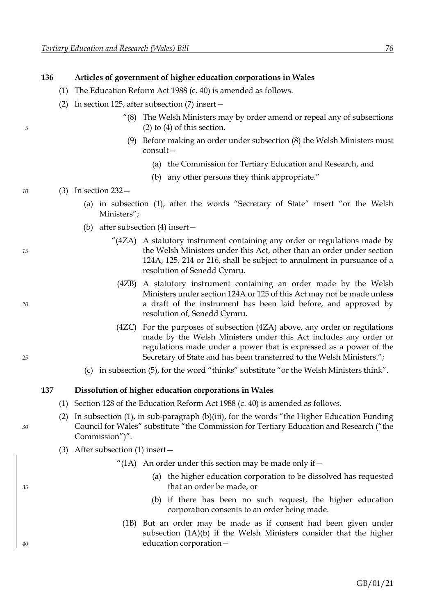### **136 Articles of government of higher education corporations in Wales**

- (1) The Education Reform Act 1988 (c. 40) is amended as follows.
- (2) In section 125, after subsection (7) insert—
- "(8) The Welsh Ministers may by order amend or repeal any of subsections *5* (2) to (4) of this section.
	- (9) Before making an order under subsection (8) the Welsh Ministers must consult—
		- (a) the Commission for Tertiary Education and Research, and
		- (b) any other persons they think appropriate."

*10* (3) In section 232—

- (a) in subsection (1), after the words "Secretary of State" insert "or the Welsh Ministers";
- (b) after subsection (4) insert—
- "(4ZA) A statutory instrument containing any order or regulations made by *15* the Welsh Ministers under this Act, other than an order under section 124A, 125, 214 or 216, shall be subject to annulment in pursuance of a resolution of Senedd Cymru.
- (4ZB) A statutory instrument containing an order made by the Welsh Ministers under section 124A or 125 of this Act may not be made unless *20* a draft of the instrument has been laid before, and approved by resolution of, Senedd Cymru.
- (4ZC) For the purposes of subsection (4ZA) above, any order or regulations made by the Welsh Ministers under this Act includes any order or regulations made under a power that is expressed as a power of the *25* Secretary of State and has been transferred to the Welsh Ministers.";
	- (c) in subsection (5), for the word "thinks" substitute "or the Welsh Ministers think".

#### **137 Dissolution of higher education corporations in Wales**

- (1) Section 128 of the Education Reform Act 1988 (c. 40) is amended as follows.
- (2) In subsection  $(1)$ , in sub-paragraph  $(b)(iii)$ , for the words "the Higher Education Funding *30* Council for Wales" substitute "the Commission for Tertiary Education and Research ("the Commission")".
	- (3) After subsection (1) insert—

"(1A) An order under this section may be made only if  $-$ 

- (a) the higher education corporation to be dissolved has requested *35* that an order be made, or
	- (b) if there has been no such request, the higher education corporation consents to an order being made.
- (1B) But an order may be made as if consent had been given under subsection (1A)(b) if the Welsh Ministers consider that the higher *40* education corporation—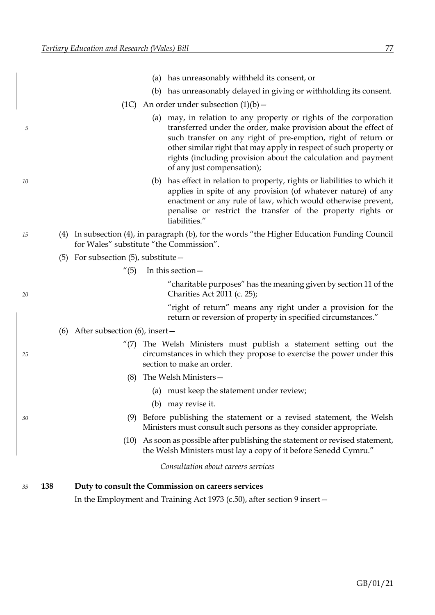|    |     |                                         | (a) has unreasonably withheld its consent, or                                                                                                                                                                                                                                                                                                                             |
|----|-----|-----------------------------------------|---------------------------------------------------------------------------------------------------------------------------------------------------------------------------------------------------------------------------------------------------------------------------------------------------------------------------------------------------------------------------|
|    |     |                                         | (b) has unreasonably delayed in giving or withholding its consent.                                                                                                                                                                                                                                                                                                        |
|    |     |                                         | (1C) An order under subsection $(1)(b)$ –                                                                                                                                                                                                                                                                                                                                 |
| 5  |     |                                         | (a) may, in relation to any property or rights of the corporation<br>transferred under the order, make provision about the effect of<br>such transfer on any right of pre-emption, right of return or<br>other similar right that may apply in respect of such property or<br>rights (including provision about the calculation and payment<br>of any just compensation); |
| 10 |     |                                         | (b) has effect in relation to property, rights or liabilities to which it<br>applies in spite of any provision (of whatever nature) of any<br>enactment or any rule of law, which would otherwise prevent,<br>penalise or restrict the transfer of the property rights or<br>liabilities."                                                                                |
| 15 |     | for Wales" substitute "the Commission". | (4) In subsection (4), in paragraph (b), for the words "the Higher Education Funding Council                                                                                                                                                                                                                                                                              |
|    | (5) | For subsection $(5)$ , substitute $-$   |                                                                                                                                                                                                                                                                                                                                                                           |
|    |     | $^{\prime\prime}(5)$                    | In this section –                                                                                                                                                                                                                                                                                                                                                         |
| 20 |     |                                         | "charitable purposes" has the meaning given by section 11 of the<br>Charities Act 2011 (c. 25);                                                                                                                                                                                                                                                                           |
|    |     |                                         | "right of return" means any right under a provision for the<br>return or reversion of property in specified circumstances."                                                                                                                                                                                                                                               |
|    |     | (6) After subsection (6), insert $-$    |                                                                                                                                                                                                                                                                                                                                                                           |
| 25 |     |                                         | $''(7)$ The Welsh Ministers must publish a statement setting out the<br>circumstances in which they propose to exercise the power under this<br>section to make an order.                                                                                                                                                                                                 |
|    |     | (8)                                     | The Welsh Ministers-                                                                                                                                                                                                                                                                                                                                                      |
|    |     |                                         | (a) must keep the statement under review;                                                                                                                                                                                                                                                                                                                                 |
|    |     |                                         | (b) may revise it.                                                                                                                                                                                                                                                                                                                                                        |
| 30 |     | (9)                                     | Before publishing the statement or a revised statement, the Welsh<br>Ministers must consult such persons as they consider appropriate.                                                                                                                                                                                                                                    |
|    |     |                                         | (10) As soon as possible after publishing the statement or revised statement,<br>the Welsh Ministers must lay a copy of it before Senedd Cymru."                                                                                                                                                                                                                          |
|    |     |                                         | Consultation about careers services                                                                                                                                                                                                                                                                                                                                       |
| 35 | 138 |                                         | Duty to consult the Commission on careers services                                                                                                                                                                                                                                                                                                                        |
|    |     |                                         | In the Employment and Training Act 1973 (c.50), after section 9 insert -                                                                                                                                                                                                                                                                                                  |
|    |     |                                         |                                                                                                                                                                                                                                                                                                                                                                           |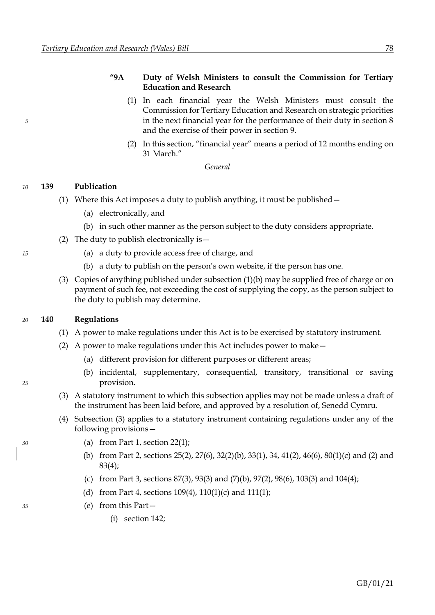# **"9A Duty of Welsh Ministers to consult the Commission for Tertiary Education and Research**

- <span id="page-84-4"></span>(1) In each financial year the Welsh Ministers must consult the Commission for Tertiary Education and Research on strategic priorities *5* in the next financial year for the performance of their duty in section 8 and the exercise of their power in section 9.
	- (2) In this section, "financial year" means a period of 12 months ending on 31 March."

*General*

# *10* **139 Publication**

- <span id="page-84-0"></span>(1) Where this Act imposes a duty to publish anything, it must be published—
	- (a) electronically, and
	- (b) in such other manner as the person subject to the duty considers appropriate.
- <span id="page-84-1"></span>(2) The duty to publish electronically is—
- *15* (a) a duty to provide access free of charge, and
	- (b) a duty to publish on the person's own website, if the person has one.
	- (3) Copies of anything published under subsectio[n \(1\)](#page-84-0)[\(b\)](#page-84-1) may be supplied free of charge or on payment of such fee, not exceeding the cost of supplying the copy, as the person subject to the duty to publish may determine.

#### *20* **140 Regulations**

- (1) A power to make regulations under this Act is to be exercised by statutory instrument.
- (2) A power to make regulations under this Act includes power to make—
	- (a) different provision for different purposes or different areas;
- <span id="page-84-2"></span>(b) incidental, supplementary, consequential, transitory, transitional or saving *25* provision.
	- (3) A statutory instrument to which this subsection applies may not be made unless a draft of the instrument has been laid before, and approved by a resolution of, Senedd Cymru.
	- (4) Subsection [\(3\)](#page-84-2) applies to a statutory instrument containing regulations under any of the following provisions—
- <span id="page-84-3"></span>*30* (a) from Part 1, section [22](#page-15-0)[\(1\);](#page-15-1)
	- (b) from Part [2,](#page-16-1) sections [25](#page-16-0)[\(2\),](#page-16-2) [27](#page-18-0)[\(6\),](#page-18-1) [32](#page-21-0)[\(2\)](#page-21-1)[\(b\),](#page-21-2) [33](#page-22-0)[\(1\),](#page-22-1) [34,](#page-23-0) [41](#page-24-0)[\(2\),](#page-25-0) [46](#page-28-0)[\(6\),](#page-29-0) [80](#page-46-0)[\(1\)](#page-46-1)[\(c\)](#page-46-2) and [\(2\)](#page-46-3) and [83](#page-48-0)[\(4\);](#page-48-1)
	- (c) from Part [3,](#page-50-0) sections [87](#page-51-0)[\(3\),](#page-52-4) [93](#page-55-0)[\(3\)](#page-55-1) and [\(7\)](#page-55-2)[\(b\),](#page-55-3) [97](#page-58-0)[\(2\),](#page-58-1) [98](#page-58-0)[\(6\),](#page-59-0) [103](#page-62-0)[\(3\)](#page-62-3) and [104](#page-63-0)[\(4\);](#page-64-0)
	- (d) from Part [4,](#page-66-1) sections [109](#page-66-0)[\(4\),](#page-67-1) [110](#page-67-0)[\(1\)](#page-67-2)[\(c\)](#page-67-3) and [111](#page-67-0)[\(1\);](#page-67-4)
- *35* (e) from this Part—
	- (i) section [142;](#page-87-0)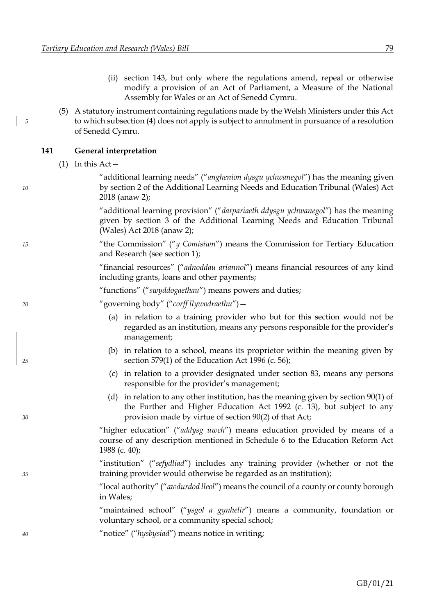- (ii) section [143,](#page-87-0) but only where the regulations amend, repeal or otherwise modify a provision of an Act of Parliament, a Measure of the National Assembly for Wales or an Act of Senedd Cymru.
- <span id="page-85-0"></span>(5) A statutory instrument containing regulations made by the Welsh Ministers under this Act *5* to which subsectio[n \(4\)](#page-84-3) does not apply is subject to annulment in pursuance of a resolution of Senedd Cymru.

## **141 General interpretation**

<span id="page-85-1"></span>(1) In this Act—

"additional learning needs" ("*anghenion dysgu ychwanegol*") has the meaning given *10* by section 2 of the Additional Learning Needs and Education Tribunal (Wales) Act 2018 (anaw 2);

> "additional learning provision" ("*darpariaeth ddysgu ychwanegol*") has the meaning given by section 3 of the Additional Learning Needs and Education Tribunal (Wales) Act 2018 (anaw 2);

*15* "the Commission" ("*y Comisiwn*") means the Commission for Tertiary Education and Research (see section [1\)](#page-7-0);

> "financial resources" ("*adnoddau ariannol*") means financial resources of any kind including grants, loans and other payments;

"functions" ("*swyddogaethau*") means powers and duties;

*20* "governing body" ("*corff llywodraethu*")—

- (a) in relation to a training provider who but for this section would not be regarded as an institution, means any persons responsible for the provider's management;
- (b) in relation to a school, means its proprietor within the meaning given by *25* section 579(1) of the Education Act 1996 (c. 56);
	- (c) in relation to a provider designated under section [83,](#page-48-0) means any persons responsible for the provider's management;
- (d) in relation to any other institution, has the meaning given by section 90(1) of the Further and Higher Education Act 1992 (c. 13), but subject to any *30* provision made by virtue of section 90(2) of that Act;

"higher education" ("*addysg uwch*") means education provided by means of a course of any description mentioned in Schedule 6 to the Education Reform Act 1988 (c. 40);

"institution" ("*sefydliad*") includes any training provider (whether or not the *35* training provider would otherwise be regarded as an institution);

> "local authority" ("*awdurdod lleol*") means the council of a county or county borough in Wales;

> "maintained school" ("*ysgol a gynhelir*") means a community, foundation or voluntary school, or a community special school;

*40* "notice" ("*hysbysiad*") means notice in writing;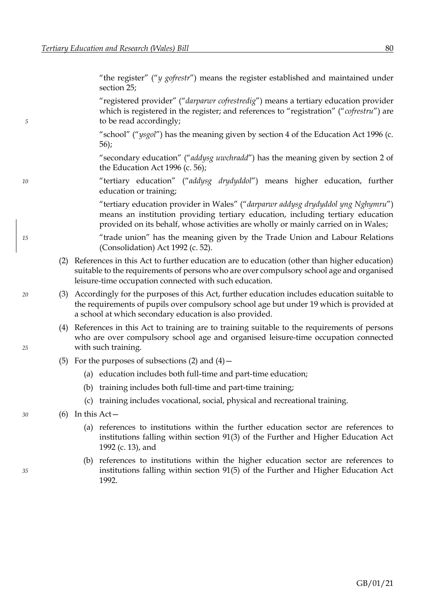"the register" ("*y gofrestr*") means the register established and maintained under section [25;](#page-16-0)

"registered provider" ("*darparwr cofrestredig*") means a tertiary education provider which is registered in the register; and references to "registration" ("*cofrestru*") are *5* to be read accordingly;

> "school" ("*ysgol*") has the meaning given by section 4 of the Education Act 1996 (c. 56);

> "secondary education" ("*addysg uwchradd*") has the meaning given by section 2 of the Education Act 1996 (c. 56);

*10* "tertiary education" ("*addysg drydyddol*") means higher education, further education or training;

> "tertiary education provider in Wales" ("*darparwr addysg drydyddol yng Nghymru*") means an institution providing tertiary education, including tertiary education provided on its behalf, whose activities are wholly or mainly carried on in Wales;

*15* "trade union" has the meaning given by the Trade Union and Labour Relations (Consolidation) Act 1992 (c. 52).

- <span id="page-86-0"></span>(2) References in this Act to further education are to education (other than higher education) suitable to the requirements of persons who are over compulsory school age and organised leisure-time occupation connected with such education.
- *20* (3) Accordingly for the purposes of this Act, further education includes education suitable to the requirements of pupils over compulsory school age but under 19 which is provided at a school at which secondary education is also provided.
- <span id="page-86-1"></span>(4) References in this Act to training are to training suitable to the requirements of persons who are over compulsory school age and organised leisure-time occupation connected *25* with such training.
	- (5) For the purposes of subsections  $(2)$  and  $(4)$  -
		- (a) education includes both full-time and part-time education;
		- (b) training includes both full-time and part-time training;
		- (c) training includes vocational, social, physical and recreational training.
- *30* (6) In this Act—
	- (a) references to institutions within the further education sector are references to institutions falling within section 91(3) of the Further and Higher Education Act 1992 (c. 13), and
- (b) references to institutions within the higher education sector are references to *35* institutions falling within section 91(5) of the Further and Higher Education Act 1992.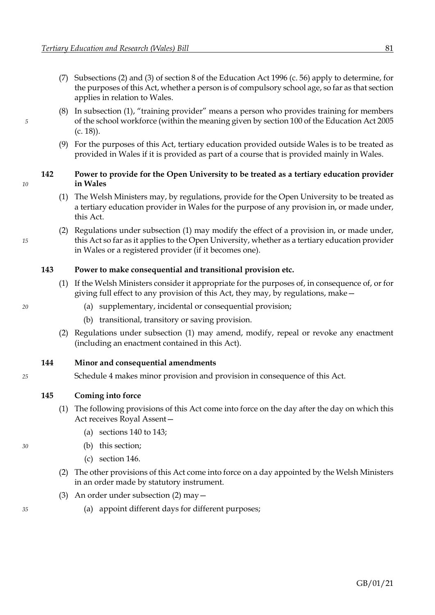- <span id="page-87-0"></span>(7) Subsections (2) and (3) of section 8 of the Education Act 1996 (c. 56) apply to determine, for the purposes of this Act, whether a person is of compulsory school age, so far as that section applies in relation to Wales.
- (8) In subsection [\(1\)](#page-85-1), "training provider" means a person who provides training for members *5* of the school workforce (within the meaning given by section 100 of the Education Act 2005 (c. 18)).
	- (9) For the purposes of this Act, tertiary education provided outside Wales is to be treated as provided in Wales if it is provided as part of a course that is provided mainly in Wales.

# **142 Power to provide for the Open University to be treated as a tertiary education provider** *10* **in Wales**

- <span id="page-87-1"></span>(1) The Welsh Ministers may, by regulations, provide for the Open University to be treated as a tertiary education provider in Wales for the purpose of any provision in, or made under, this Act.
- (2) Regulations under subsection [\(1\)](#page-87-1) may modify the effect of a provision in, or made under, *15* this Act so far as it applies to the Open University, whether as a tertiary education provider in Wales or a registered provider (if it becomes one).

# **143 Power to make consequential and transitional provision etc.**

- <span id="page-87-2"></span>(1) If the Welsh Ministers consider it appropriate for the purposes of, in consequence of, or for giving full effect to any provision of this Act, they may, by regulations, make—
- *20* (a) supplementary, incidental or consequential provision;
	- (b) transitional, transitory or saving provision.
	- (2) Regulations under subsection [\(1\)](#page-87-2) may amend, modify, repeal or revoke any enactment (including an enactment contained in this Act).

# **144 Minor and consequential amendments**

*25* Schedule [4](#page-106-0) makes minor provision and provision in consequence of this Act.

# **145 Coming into force**

- (1) The following provisions of this Act come into force on the day after the day on which this Act receives Royal Assent—
	- (a) sections [140](#page-84-4) to [143;](#page-87-0)
- <span id="page-87-3"></span>*30* (b) this section;
	- (c) section [146.](#page-88-0)
	- (2) The other provisions of this Act come into force on a day appointed by the Welsh Ministers in an order made by statutory instrument.
	- (3) An order under subsection [\(2\)](#page-87-3) may—
- *35* (a) appoint different days for different purposes;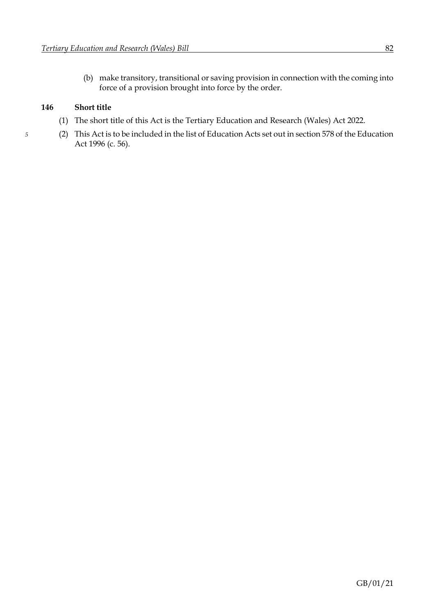<span id="page-88-0"></span>(b) make transitory, transitional or saving provision in connection with the coming into force of a provision brought into force by the order.

# **146 Short title**

- (1) The short title of this Act is the Tertiary Education and Research (Wales) Act 2022.
- *5* (2) This Act is to be included in the list of Education Acts set out in section 578 of the Education Act 1996 (c. 56).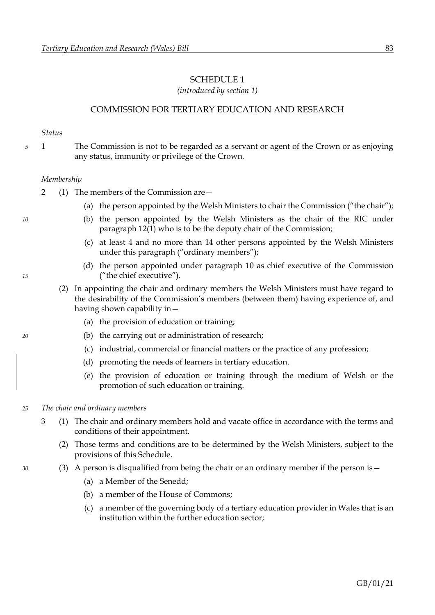### <span id="page-89-0"></span>SCHEDULE 1

*(introduced by section [1\)](#page-7-0)*

## COMMISSION FOR TERTIARY EDUCATION AND RESEARCH

#### *Status*

*5* 1 The Commission is not to be regarded as a servant or agent of the Crown or as enjoying any status, immunity or privilege of the Crown.

#### *Membership*

- 2 (1) The members of the Commission are—
	- (a) the person appointed by the Welsh Ministers to chair the Commission ("the chair");
- *10* (b) the person appointed by the Welsh Ministers as the chair of the RIC under paragraph [12](#page-95-0)[\(1\)](#page-95-1) who is to be the deputy chair of the Commission;
	- (c) at least 4 and no more than 14 other persons appointed by the Welsh Ministers under this paragraph ("ordinary members");
- (d) the person appointed under paragraph [10](#page-93-0) as chief executive of the Commission *15* ("the chief executive").
	- (2) In appointing the chair and ordinary members the Welsh Ministers must have regard to the desirability of the Commission's members (between them) having experience of, and having shown capability in—
		- (a) the provision of education or training;
- *20* (b) the carrying out or administration of research;
	- (c) industrial, commercial or financial matters or the practice of any profession;
	- (d) promoting the needs of learners in tertiary education.
	- (e) the provision of education or training through the medium of Welsh or the promotion of such education or training.

#### *25 The chair and ordinary members*

- 3 (1) The chair and ordinary members hold and vacate office in accordance with the terms and conditions of their appointment.
	- (2) Those terms and conditions are to be determined by the Welsh Ministers, subject to the provisions of this Schedule.
- *30* (3) A person is disqualified from being the chair or an ordinary member if the person is—
	- (a) a Member of the Senedd;
	- (b) a member of the House of Commons;
	- (c) a member of the governing body of a tertiary education provider in Wales that is an institution within the further education sector;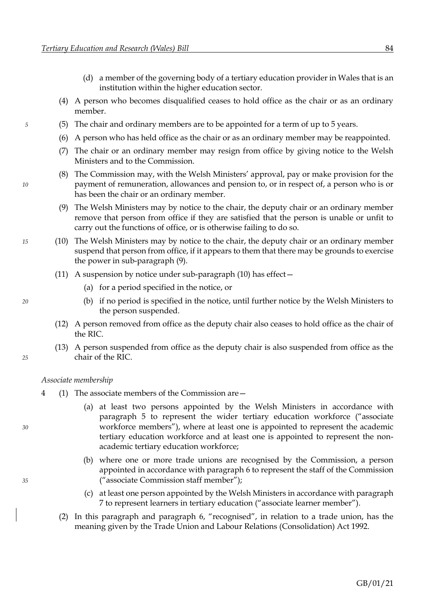- (d) a member of the governing body of a tertiary education provider in Wales that is an institution within the higher education sector.
- (4) A person who becomes disqualified ceases to hold office as the chair or as an ordinary member.
- *5* (5) The chair and ordinary members are to be appointed for a term of up to 5 years.
	- (6) A person who has held office as the chair or as an ordinary member may be reappointed.
	- (7) The chair or an ordinary member may resign from office by giving notice to the Welsh Ministers and to the Commission.
- <span id="page-90-0"></span>(8) The Commission may, with the Welsh Ministers' approval, pay or make provision for the *10* payment of remuneration, allowances and pension to, or in respect of, a person who is or has been the chair or an ordinary member.
	- (9) The Welsh Ministers may by notice to the chair, the deputy chair or an ordinary member remove that person from office if they are satisfied that the person is unable or unfit to carry out the functions of office, or is otherwise failing to do so.
- <span id="page-90-1"></span>*15* (10) The Welsh Ministers may by notice to the chair, the deputy chair or an ordinary member suspend that person from office, if it appears to them that there may be grounds to exercise the power in sub-paragraph [\(9\).](#page-90-0)
	- (11) A suspension by notice under sub-paragraph [\(10\)](#page-90-1) has effect  $-$ 
		- (a) for a period specified in the notice, or
- *20* (b) if no period is specified in the notice, until further notice by the Welsh Ministers to the person suspended.
	- (12) A person removed from office as the deputy chair also ceases to hold office as the chair of the RIC.
- (13) A person suspended from office as the deputy chair is also suspended from office as the *25* chair of the RIC.

### *Associate membership*

- 4 (1) The associate members of the Commission are—
- (a) at least two persons appointed by the Welsh Ministers in accordance with paragraph [5](#page-91-0) to represent the wider tertiary education workforce ("associate *30* workforce members"), where at least one is appointed to represent the academic tertiary education workforce and at least one is appointed to represent the nonacademic tertiary education workforce;
- (b) where one or more trade unions are recognised by the Commission, a person appointed in accordance with paragrap[h 6](#page-91-0) to represent the staff of the Commission *35* ("associate Commission staff member");
	- (c) at least one person appointed by the Welsh Ministers in accordance with paragraph [7](#page-92-0) to represent learners in tertiary education ("associate learner member").
	- (2) In this paragraph and paragraph [6](#page-91-0), "recognised", in relation to a trade union, has the meaning given by the Trade Union and Labour Relations (Consolidation) Act 1992.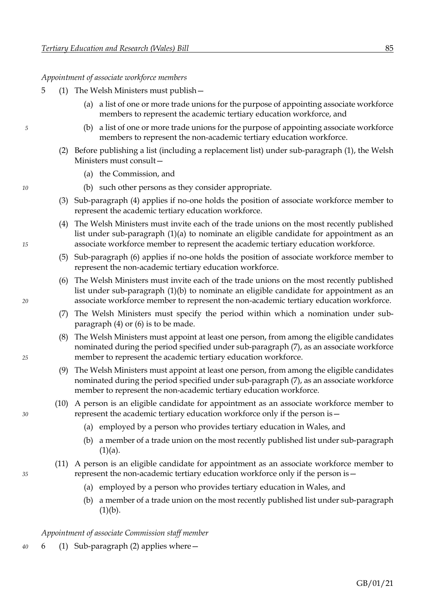### <span id="page-91-0"></span>*Appointment of associate workforce members*

- <span id="page-91-5"></span><span id="page-91-3"></span><span id="page-91-1"></span>5 (1) The Welsh Ministers must publish—
	- (a) a list of one or more trade unions for the purpose of appointing associate workforce members to represent the academic tertiary education workforce, and
- *5* (b) a list of one or more trade unions for the purpose of appointing associate workforce members to represent the non-academic tertiary education workforce.
	- (2) Before publishing a list (including a replacement list) under sub-paragraph [\(1\),](#page-91-1) the Welsh Ministers must consult—
		- (a) the Commission, and
- *10* (b) such other persons as they consider appropriate.
	- (3) Sub-paragraph [\(4\)](#page-91-2) applies if no-one holds the position of associate workforce member to represent the academic tertiary education workforce.
- <span id="page-91-2"></span>(4) The Welsh Ministers must invite each of the trade unions on the most recently published list under sub-paragraph [\(1\)](#page-91-1)[\(a\)](#page-91-3) to nominate an eligible candidate for appointment as an *15* associate workforce member to represent the academic tertiary education workforce.
	- (5) Sub-paragraph [\(6\)](#page-91-4) applies if no-one holds the position of associate workforce member to represent the non-academic tertiary education workforce.
- <span id="page-91-4"></span>(6) The Welsh Ministers must invite each of the trade unions on the most recently published list under sub-paragraph [\(1\)](#page-91-1)[\(b\)](#page-91-5) to nominate an eligible candidate for appointment as an *20* associate workforce member to represent the non-academic tertiary education workforce.
	- (7) The Welsh Ministers must specify the period within which a nomination under subparagraph [\(4\)](#page-91-2) or [\(6\)](#page-91-4) is to be made.
- <span id="page-91-6"></span>(8) The Welsh Ministers must appoint at least one person, from among the eligible candidates nominated during the period specified under sub-paragraph [\(7\),](#page-91-6) as an associate workforce *25* member to represent the academic tertiary education workforce.
	- (9) The Welsh Ministers must appoint at least one person, from among the eligible candidates nominated during the period specified under sub-paragraph [\(7\),](#page-91-6) as an associate workforce member to represent the non-academic tertiary education workforce.
- <span id="page-91-8"></span>(10) A person is an eligible candidate for appointment as an associate workforce member to *30* represent the academic tertiary education workforce only if the person is –
	- (a) employed by a person who provides tertiary education in Wales, and
	- (b) a member of a trade union on the most recently published list under sub-paragraph  $(1)(a)$  $(1)(a)$ .
- <span id="page-91-9"></span>(11) A person is an eligible candidate for appointment as an associate workforce member to *35* represent the non-academic tertiary education workforce only if the person is—
	- (a) employed by a person who provides tertiary education in Wales, and
	- (b) a member of a trade union on the most recently published list under sub-paragraph  $(1)(b)$  $(1)(b)$ .

<span id="page-91-7"></span>*Appointment of associate Commission staff member*

*40* 6 (1) Sub-paragraph [\(2\)](#page-92-1) applies where—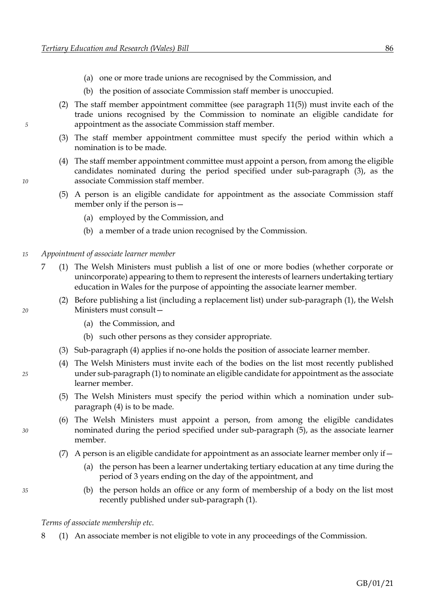- (a) one or more trade unions are recognised by the Commission, and
- <span id="page-92-1"></span>(b) the position of associate Commission staff member is unoccupied.
- <span id="page-92-2"></span><span id="page-92-0"></span>(2) The staff member appointment committee (see paragraph [11](#page-94-0)[\(5\)\)](#page-94-1) must invite each of the trade unions recognised by the Commission to nominate an eligible candidate for *5* appointment as the associate Commission staff member.
	- (3) The staff member appointment committee must specify the period within which a nomination is to be made.
- <span id="page-92-6"></span>(4) The staff member appointment committee must appoint a person, from among the eligible candidates nominated during the period specified under sub-paragraph [\(3\),](#page-92-2) as the *10* associate Commission staff member.
	- (5) A person is an eligible candidate for appointment as the associate Commission staff member only if the person is—
		- (a) employed by the Commission, and
		- (b) a member of a trade union recognised by the Commission.
- <span id="page-92-3"></span>*15 Appointment of associate learner member*
	- 7 (1) The Welsh Ministers must publish a list of one or more bodies (whether corporate or unincorporate) appearing to them to represent the interests of learners undertaking tertiary education in Wales for the purpose of appointing the associate learner member.
- (2) Before publishing a list (including a replacement list) under sub-paragraph [\(1\),](#page-92-3) the Welsh *20* Ministers must consult—
	- (a) the Commission, and
	- (b) such other persons as they consider appropriate.
	- (3) Sub-paragraph [\(4\)](#page-92-4) applies if no-one holds the position of associate learner member.
- <span id="page-92-4"></span>(4) The Welsh Ministers must invite each of the bodies on the list most recently published *25* under sub-paragrap[h \(1\)](#page-92-3) to nominate an eligible candidate for appointment as the associate learner member.
	- (5) The Welsh Ministers must specify the period within which a nomination under subparagraph [\(4\)](#page-92-4) is to be made.
- <span id="page-92-7"></span><span id="page-92-5"></span>(6) The Welsh Ministers must appoint a person, from among the eligible candidates *30* nominated during the period specified under sub-paragraph [\(5\),](#page-92-5) as the associate learner member.
	- (7) A person is an eligible candidate for appointment as an associate learner member only if  $-$ 
		- (a) the person has been a learner undertaking tertiary education at any time during the period of 3 years ending on the day of the appointment, and
- *35* (b) the person holds an office or any form of membership of a body on the list most recently published under sub-paragraph [\(1\).](#page-91-7)

*Terms of associate membership etc.*

8 (1) An associate member is not eligible to vote in any proceedings of the Commission.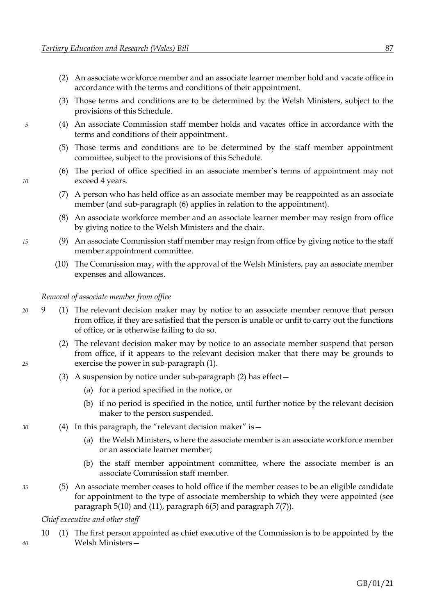- <span id="page-93-0"></span>(2) An associate workforce member and an associate learner member hold and vacate office in accordance with the terms and conditions of their appointment.
- (3) Those terms and conditions are to be determined by the Welsh Ministers, subject to the provisions of this Schedule.
- *5* (4) An associate Commission staff member holds and vacates office in accordance with the terms and conditions of their appointment.
	- (5) Those terms and conditions are to be determined by the staff member appointment committee, subject to the provisions of this Schedule.
- <span id="page-93-1"></span>(6) The period of office specified in an associate member's terms of appointment may not *10* exceed 4 years.
	- (7) A person who has held office as an associate member may be reappointed as an associate member (and sub-paragraph [\(6\)](#page-93-1) applies in relation to the appointment).
	- (8) An associate workforce member and an associate learner member may resign from office by giving notice to the Welsh Ministers and the chair.
- *15* (9) An associate Commission staff member may resign from office by giving notice to the staff member appointment committee.
	- (10) The Commission may, with the approval of the Welsh Ministers, pay an associate member expenses and allowances.

#### <span id="page-93-2"></span>*Removal of associate member from office*

- *20* 9 (1) The relevant decision maker may by notice to an associate member remove that person from office, if they are satisfied that the person is unable or unfit to carry out the functions of office, or is otherwise failing to do so.
- <span id="page-93-3"></span>(2) The relevant decision maker may by notice to an associate member suspend that person from office, if it appears to the relevant decision maker that there may be grounds to *25* exercise the power in sub-paragraph [\(1\).](#page-93-2)
	- (3) A suspension by notice under sub-paragraph [\(2\)](#page-93-3) has effect—
		- (a) for a period specified in the notice, or
		- (b) if no period is specified in the notice, until further notice by the relevant decision maker to the person suspended.
- *30* (4) In this paragraph, the "relevant decision maker" is—
	- (a) the Welsh Ministers, where the associate member is an associate workforce member or an associate learner member;
	- (b) the staff member appointment committee, where the associate member is an associate Commission staff member.
- *35* (5) An associate member ceases to hold office if the member ceases to be an eligible candidate for appointment to the type of associate membership to which they were appointed (see paragraph [5](#page-91-0)[\(10\)](#page-91-8) an[d \(11\),](#page-91-9) paragraph [6](#page-91-0)[\(5\)](#page-92-6) and paragraph [7](#page-92-0)[\(7\)\)](#page-92-7).

<span id="page-93-4"></span>*Chief executive and other staff*

10 (1) The first person appointed as chief executive of the Commission is to be appointed by the *40* Welsh Ministers—

GB/01/21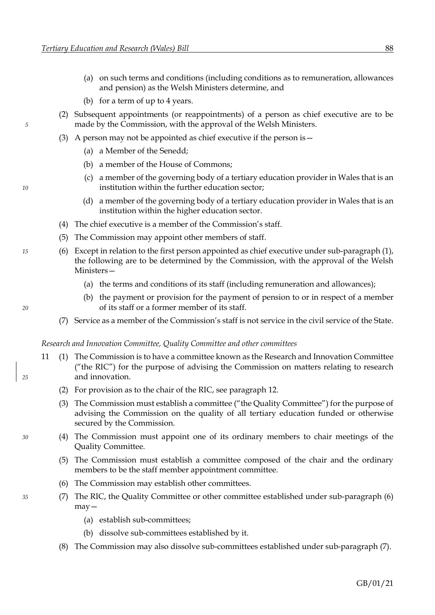- <span id="page-94-0"></span>(a) on such terms and conditions (including conditions as to remuneration, allowances and pension) as the Welsh Ministers determine, and
- (b) for a term of up to 4 years.
- (2) Subsequent appointments (or reappointments) of a person as chief executive are to be *5* made by the Commission, with the approval of the Welsh Ministers.
	- (3) A person may not be appointed as chief executive if the person is—
		- (a) a Member of the Senedd;
		- (b) a member of the House of Commons;
- (c) a member of the governing body of a tertiary education provider in Wales that is an *10* institution within the further education sector;
	- (d) a member of the governing body of a tertiary education provider in Wales that is an institution within the higher education sector.
	- (4) The chief executive is a member of the Commission's staff.
	- (5) The Commission may appoint other members of staff.
- *15* (6) Except in relation to the first person appointed as chief executive under sub-paragraph [\(1\),](#page-93-4) the following are to be determined by the Commission, with the approval of the Welsh Ministers—
	- (a) the terms and conditions of its staff (including remuneration and allowances);
- (b) the payment or provision for the payment of pension to or in respect of a member *20* of its staff or a former member of its staff.
	- (7) Service as a member of the Commission's staff is not service in the civil service of the State.

#### *Research and Innovation Committee, Quality Committee and other committees*

- 11 (1) The Commission is to have a committee known as the Research and Innovation Committee ("the RIC") for the purpose of advising the Commission on matters relating to research *25* and innovation.
	- (2) For provision as to the chair of the RIC, see paragraph [12.](#page-95-0)
	- (3) The Commission must establish a committee ("the Quality Committee") for the purpose of advising the Commission on the quality of all tertiary education funded or otherwise secured by the Commission.
- <span id="page-94-1"></span>*30* (4) The Commission must appoint one of its ordinary members to chair meetings of the Quality Committee.
	- (5) The Commission must establish a committee composed of the chair and the ordinary members to be the staff member appointment committee.
	- (6) The Commission may establish other committees.
- <span id="page-94-3"></span><span id="page-94-2"></span>*35* (7) The RIC, the Quality Committee or other committee established under sub-paragraph [\(6\)](#page-94-2) may—
	- (a) establish sub-committees;
	- (b) dissolve sub-committees established by it.
	- (8) The Commission may also dissolve sub-committees established under sub-paragraph [\(7\).](#page-94-3)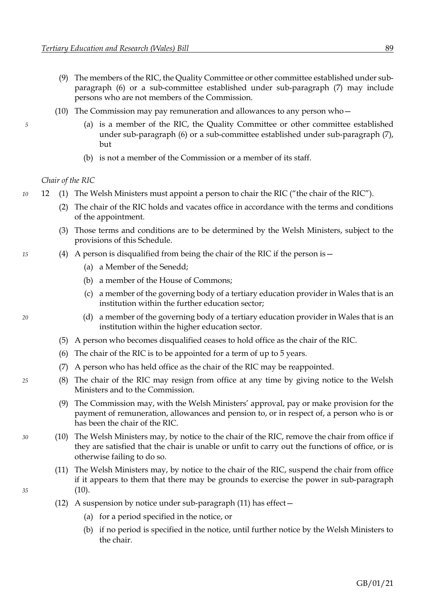- <span id="page-95-0"></span>(9) The members of the RIC, the Quality Committee or other committee established under subparagraph [\(6\)](#page-94-2) or a sub-committee established under sub-paragraph [\(7\)](#page-94-3) may include persons who are not members of the Commission.
- (10) The Commission may pay remuneration and allowances to any person who—
- *5* (a) is a member of the RIC, the Quality Committee or other committee established under sub-paragraph [\(6\)](#page-94-2) or a sub-committee established under sub-paragraph [\(7\),](#page-94-3) but
	- (b) is not a member of the Commission or a member of its staff.

### <span id="page-95-1"></span>*Chair of the RIC*

- *10* 12 (1) The Welsh Ministers must appoint a person to chair the RIC ("the chair of the RIC").
	- (2) The chair of the RIC holds and vacates office in accordance with the terms and conditions of the appointment.
	- (3) Those terms and conditions are to be determined by the Welsh Ministers, subject to the provisions of this Schedule.
- *15* (4) A person is disqualified from being the chair of the RIC if the person is—
	- (a) a Member of the Senedd;
	- (b) a member of the House of Commons;
	- (c) a member of the governing body of a tertiary education provider in Wales that is an institution within the further education sector;
- *20* (d) a member of the governing body of a tertiary education provider in Wales that is an institution within the higher education sector.
	- (5) A person who becomes disqualified ceases to hold office as the chair of the RIC.
	- (6) The chair of the RIC is to be appointed for a term of up to 5 years.
	- (7) A person who has held office as the chair of the RIC may be reappointed.
- *25* (8) The chair of the RIC may resign from office at any time by giving notice to the Welsh Ministers and to the Commission.
	- (9) The Commission may, with the Welsh Ministers' approval, pay or make provision for the payment of remuneration, allowances and pension to, or in respect of, a person who is or has been the chair of the RIC.
- <span id="page-95-2"></span>*30* (10) The Welsh Ministers may, by notice to the chair of the RIC, remove the chair from office if they are satisfied that the chair is unable or unfit to carry out the functions of office, or is otherwise failing to do so.
- <span id="page-95-3"></span>(11) The Welsh Ministers may, by notice to the chair of the RIC, suspend the chair from office if it appears to them that there may be grounds to exercise the power in sub-paragraph *35* [\(10\).](#page-95-2)
	- (12) A suspension by notice under sub-paragraph  $(11)$  has effect  $-$ 
		- (a) for a period specified in the notice, or
		- (b) if no period is specified in the notice, until further notice by the Welsh Ministers to the chair.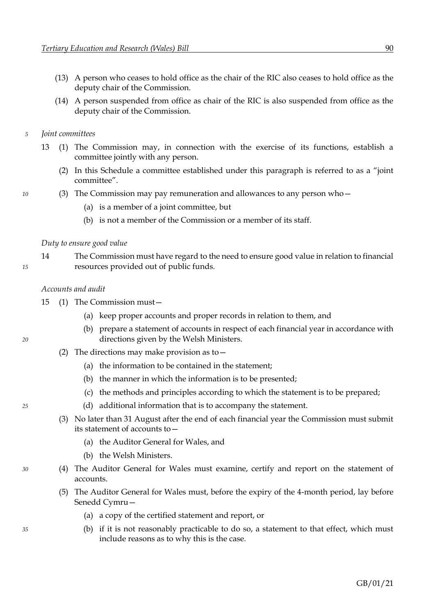- <span id="page-96-3"></span>(13) A person who ceases to hold office as the chair of the RIC also ceases to hold office as the deputy chair of the Commission.
- (14) A person suspended from office as chair of the RIC is also suspended from office as the deputy chair of the Commission.
- *5 Joint committees*
	- 13 (1) The Commission may, in connection with the exercise of its functions, establish a committee jointly with any person.
		- (2) In this Schedule a committee established under this paragraph is referred to as a "joint committee".
- *10* (3) The Commission may pay remuneration and allowances to any person who—
	- (a) is a member of a joint committee, but
	- (b) is not a member of the Commission or a member of its staff.

### *Duty to ensure good value*

14 The Commission must have regard to the need to ensure good value in relation to financial *15* resources provided out of public funds.

### *Accounts and audit*

15 (1) The Commission must—

- (a) keep proper accounts and proper records in relation to them, and
- (b) prepare a statement of accounts in respect of each financial year in accordance with *20* directions given by the Welsh Ministers.
	- (2) The directions may make provision as to—
		- (a) the information to be contained in the statement;
		- (b) the manner in which the information is to be presented;
		- (c) the methods and principles according to which the statement is to be prepared;
- <span id="page-96-2"></span>*25* (d) additional information that is to accompany the statement.
	- (3) No later than 31 August after the end of each financial year the Commission must submit its statement of accounts to—
		- (a) the Auditor General for Wales, and
		- (b) the Welsh Ministers.
- <span id="page-96-0"></span>*30* (4) The Auditor General for Wales must examine, certify and report on the statement of accounts.
	- (5) The Auditor General for Wales must, before the expiry of the 4-month period, lay before Senedd Cymru—
		- (a) a copy of the certified statement and report, or
- *35* (b) if it is not reasonably practicable to do so, a statement to that effect, which must include reasons as to why this is the case.

<span id="page-96-1"></span>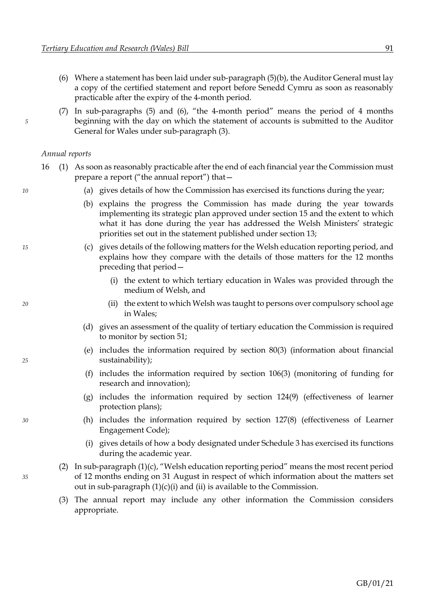- <span id="page-97-1"></span><span id="page-97-0"></span>(6) Where a statement has been laid under sub-paragraph  $(5)(b)$ , the Auditor General must lay a copy of the certified statement and report before Senedd Cymru as soon as reasonably practicable after the expiry of the 4-month period.
- (7) In sub-paragraphs [\(5\)](#page-96-0) and [\(6\),](#page-97-1) "the 4-month period" means the period of 4 months *5* beginning with the day on which the statement of accounts is submitted to the Auditor General for Wales under sub-paragraph [\(3\).](#page-96-2)

### *Annual reports*

- <span id="page-97-2"></span>16 (1) As soon as reasonably practicable after the end of each financial year the Commission must prepare a report ("the annual report") that—
- *10* (a) gives details of how the Commission has exercised its functions during the year;
	- (b) explains the progress the Commission has made during the year towards implementing its strategic plan approved under section [15](#page-11-0) and the extent to which what it has done during the year has addressed the Welsh Ministers' strategic priorities set out in the statement published under sectio[n 13;](#page-11-0)
- <span id="page-97-3"></span>*15* (c) gives details of the following matters for the Welsh education reporting period, and explains how they compare with the details of those matters for the 12 months preceding that period—
	- (i) the extent to which tertiary education in Wales was provided through the medium of Welsh, and
- <span id="page-97-5"></span><span id="page-97-4"></span>*20* (ii) the extent to which Welsh was taught to persons over compulsory school age in Wales;
	- (d) gives an assessment of the quality of tertiary education the Commission is required to monitor by section [51;](#page-31-0)
- (e) includes the information required by section [80](#page-46-0)[\(3\)](#page-46-4) (information about financial *25* sustainability);
	- (f) includes the information required by section [106](#page-64-1)[\(3\)](#page-65-0) (monitoring of funding for research and innovation);
	- (g) includes the information required by section [124](#page-72-1)[\(9\)](#page-72-3) (effectiveness of learner protection plans);
- *30* (h) includes the information required by section [127](#page-75-0)[\(8\)](#page-75-1) (effectiveness of Learner Engagement Code);
	- (i) gives details of how a body designated under Schedul[e 3](#page-102-0) has exercised its functions during the academic year.
- (2) In sub-paragraph [\(1\)](#page-97-2)[\(c\),](#page-97-3) "Welsh education reporting period" means the most recent period *35* of 12 months ending on 31 August in respect of which information about the matters set out in sub-paragraph [\(1\)](#page-97-2)[\(c\)](#page-97-3)[\(i\)](#page-97-4) and [\(ii\)](#page-97-5) is available to the Commission.
	- (3) The annual report may include any other information the Commission considers appropriate.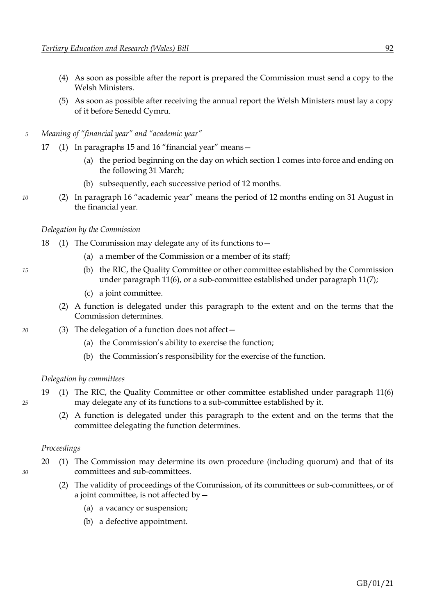- (4) As soon as possible after the report is prepared the Commission must send a copy to the Welsh Ministers.
- (5) As soon as possible after receiving the annual report the Welsh Ministers must lay a copy of it before Senedd Cymru.
- *5 Meaning of "financial year" and "academic year"*
	- 17 (1) In paragraphs [15](#page-96-3) and [16](#page-97-0) "financial year" means—
		- (a) the period beginning on the day on which section 1 comes into force and ending on the following 31 March;
		- (b) subsequently, each successive period of 12 months.
- *10* (2) In paragraph [16](#page-97-0) "academic year" means the period of 12 months ending on 31 August in the financial year.

### *Delegation by the Commission*

- 18 (1) The Commission may delegate any of its functions to—
	- (a) a member of the Commission or a member of its staff;
- *15* (b) the RIC, the Quality Committee or other committee established by the Commission under paragraph [11](#page-94-0)[\(6\),](#page-94-2) or a sub-committee established under paragrap[h 11](#page-94-0)[\(7\);](#page-94-3)
	- (c) a joint committee.
	- (2) A function is delegated under this paragraph to the extent and on the terms that the Commission determines.
- *20* (3) The delegation of a function does not affect—
	- (a) the Commission's ability to exercise the function;
	- (b) the Commission's responsibility for the exercise of the function.

#### *Delegation by committees*

- 19 (1) The RIC, the Quality Committee or other committee established under paragraph [11](#page-94-0)[\(6\)](#page-94-2) *25* may delegate any of its functions to a sub-committee established by it.
	- (2) A function is delegated under this paragraph to the extent and on the terms that the committee delegating the function determines.

### *Proceedings*

- 20 (1) The Commission may determine its own procedure (including quorum) and that of its *30* committees and sub-committees.
	- (2) The validity of proceedings of the Commission, of its committees or sub-committees, or of a joint committee, is not affected by—
		- (a) a vacancy or suspension;
		- (b) a defective appointment.
- 
-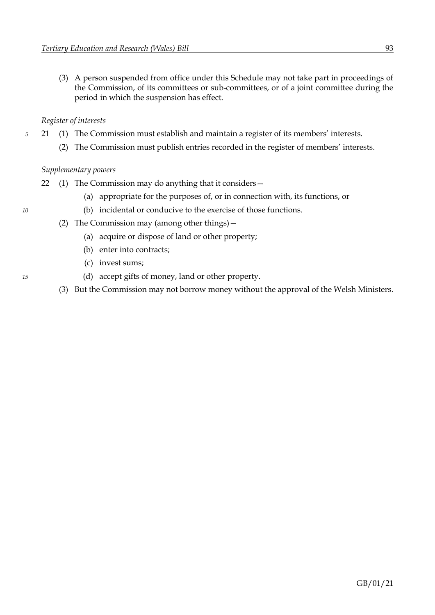(3) A person suspended from office under this Schedule may not take part in proceedings of the Commission, of its committees or sub-committees, or of a joint committee during the period in which the suspension has effect.

# *Register of interests*

- *5* 21 (1) The Commission must establish and maintain a register of its members' interests.
	- (2) The Commission must publish entries recorded in the register of members' interests.

# *Supplementary powers*

- 22 (1) The Commission may do anything that it considers—
	- (a) appropriate for the purposes of, or in connection with, its functions, or
- *10* (b) incidental or conducive to the exercise of those functions.
	- (2) The Commission may (among other things)—
		- (a) acquire or dispose of land or other property;
		- (b) enter into contracts;
		- (c) invest sums;
- *15* (d) accept gifts of money, land or other property.
	- (3) But the Commission may not borrow money without the approval of the Welsh Ministers.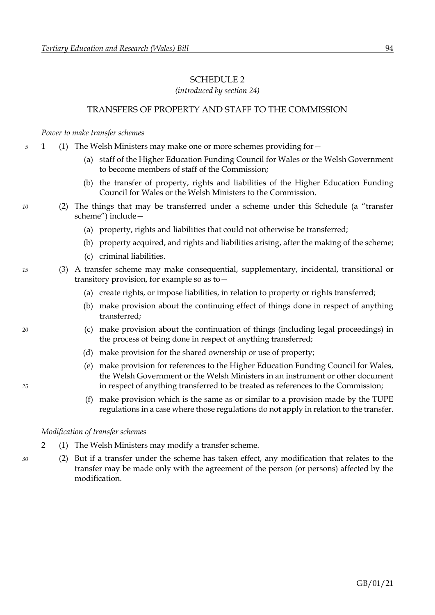## SCHEDULE 2

*(introduced by section [24\)](#page-16-0)*

# TRANSFERS OF PROPERTY AND STAFF TO THE COMMISSION

*Power to make transfer schemes*

- *5* 1 (1) The Welsh Ministers may make one or more schemes providing for—
	- (a) staff of the Higher Education Funding Council for Wales or the Welsh Government to become members of staff of the Commission;
	- (b) the transfer of property, rights and liabilities of the Higher Education Funding Council for Wales or the Welsh Ministers to the Commission.
- *10* (2) The things that may be transferred under a scheme under this Schedule (a "transfer scheme") include—
	- (a) property, rights and liabilities that could not otherwise be transferred;
	- (b) property acquired, and rights and liabilities arising, after the making of the scheme;
	- (c) criminal liabilities.
- *15* (3) A transfer scheme may make consequential, supplementary, incidental, transitional or transitory provision, for example so as to—
	- (a) create rights, or impose liabilities, in relation to property or rights transferred;
	- (b) make provision about the continuing effect of things done in respect of anything transferred;
- *20* (c) make provision about the continuation of things (including legal proceedings) in the process of being done in respect of anything transferred;
	- (d) make provision for the shared ownership or use of property;
- (e) make provision for references to the Higher Education Funding Council for Wales, the Welsh Government or the Welsh Ministers in an instrument or other document *25* in respect of anything transferred to be treated as references to the Commission;
	- (f) make provision which is the same as or similar to a provision made by the TUPE regulations in a case where those regulations do not apply in relation to the transfer.

#### *Modification of transfer schemes*

- 2 (1) The Welsh Ministers may modify a transfer scheme.
- *30* (2) But if a transfer under the scheme has taken effect, any modification that relates to the transfer may be made only with the agreement of the person (or persons) affected by the modification.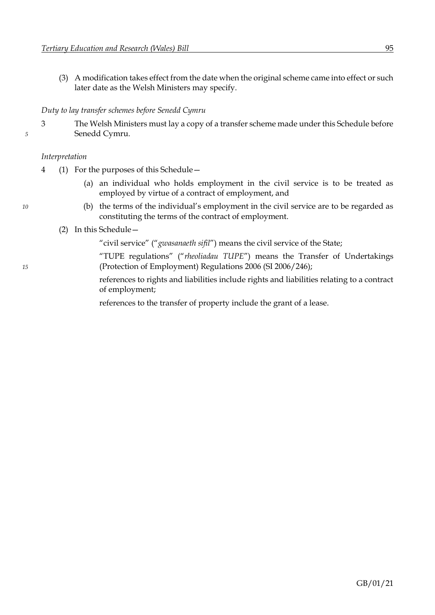(3) A modification takes effect from the date when the original scheme came into effect or such later date as the Welsh Ministers may specify.

# *Duty to lay transfer schemes before Senedd Cymru*

3 The Welsh Ministers must lay a copy of a transfer scheme made under this Schedule before *5* Senedd Cymru.

# *Interpretation*

- 4 (1) For the purposes of this Schedule—
	- (a) an individual who holds employment in the civil service is to be treated as employed by virtue of a contract of employment, and
- *10* (b) the terms of the individual's employment in the civil service are to be regarded as constituting the terms of the contract of employment.
	- (2) In this Schedule—

"civil service" ("*gwasanaeth sifil*") means the civil service of the State;

"TUPE regulations" ("*rheoliadau TUPE*") means the Transfer of Undertakings *15* (Protection of Employment) Regulations 2006 (SI 2006/246);

> references to rights and liabilities include rights and liabilities relating to a contract of employment;

references to the transfer of property include the grant of a lease.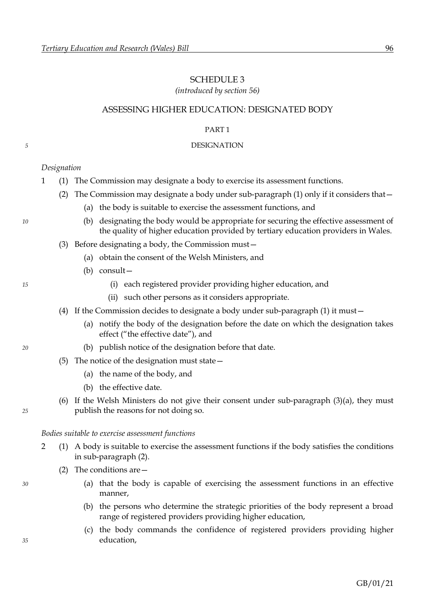# <span id="page-102-0"></span>SCHEDULE 3

*(introduced by section [56\)](#page-33-0)*

# ASSESSING HIGHER EDUCATION: DESIGNATED BODY

### PART 1

### <span id="page-102-5"></span>*5* DESIGNATION

# *Designation*

- <span id="page-102-1"></span>1 (1) The Commission may designate a body to exercise its assessment functions.
	- (2) The Commission may designate a body under sub-paragrap[h \(1\)](#page-102-1) only if it considers that—
		- (a) the body is suitable to exercise the assessment functions, and
- *10* (b) designating the body would be appropriate for securing the effective assessment of the quality of higher education provided by tertiary education providers in Wales.
	- (3) Before designating a body, the Commission must—
		- (a) obtain the consent of the Welsh Ministers, and
		- (b) consult—
- *15* (i) each registered provider providing higher education, and
	- (ii) such other persons as it considers appropriate.
	- (4) If the Commission decides to designate a body under sub-paragraph [\(1\)](#page-102-1) it must—
		- (a) notify the body of the designation before the date on which the designation takes effect ("the effective date"), and
- *20* (b) publish notice of the designation before that date.
	- (5) The notice of the designation must state—
		- (a) the name of the body, and
		- (b) the effective date.
- (6) If the Welsh Ministers do not give their consent under sub-paragraph [\(3\)](#page-102-2)[\(a\),](#page-102-3) they must *25* publish the reasons for not doing so.

### *Bodies suitable to exercise assessment functions*

- <span id="page-102-4"></span>2 (1) A body is suitable to exercise the assessment functions if the body satisfies the conditions in sub-paragraph [\(2\).](#page-102-4)
	- (2) The conditions are—
- *30* (a) that the body is capable of exercising the assessment functions in an effective manner,
	- (b) the persons who determine the strategic priorities of the body represent a broad range of registered providers providing higher education,
- (c) the body commands the confidence of registered providers providing higher *35* education,

<span id="page-102-3"></span><span id="page-102-2"></span>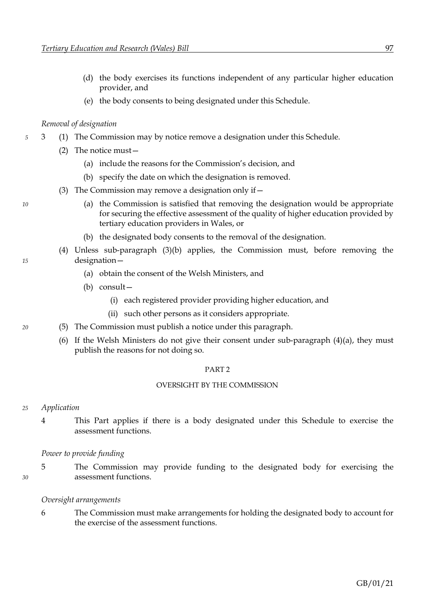- (d) the body exercises its functions independent of any particular higher education provider, and
- (e) the body consents to being designated under this Schedule.

# *Removal of designation*

- *5* 3 (1) The Commission may by notice remove a designation under this Schedule.
	- (2) The notice must—
		- (a) include the reasons for the Commission's decision, and
		- (b) specify the date on which the designation is removed.
	- (3) The Commission may remove a designation only if  $-$
- <span id="page-103-0"></span>*10* (a) the Commission is satisfied that removing the designation would be appropriate for securing the effective assessment of the quality of higher education provided by tertiary education providers in Wales, or
	- (b) the designated body consents to the removal of the designation.
- <span id="page-103-3"></span><span id="page-103-2"></span><span id="page-103-1"></span>(4) Unless sub-paragraph [\(3\)](#page-103-0)[\(b\)](#page-103-1) applies, the Commission must, before removing the *15* designation—
	- (a) obtain the consent of the Welsh Ministers, and
	- (b) consult—
		- (i) each registered provider providing higher education, and
		- (ii) such other persons as it considers appropriate.
- *20* (5) The Commission must publish a notice under this paragraph.
	- (6) If the Welsh Ministers do not give their consent under sub-paragraph [\(4\)](#page-103-2)[\(a\),](#page-103-3) they must publish the reasons for not doing so.

#### PART 2

### OVERSIGHT BY THE COMMISSION

- *25 Application*
	- 4 This Part applies if there is a body designated under this Schedule to exercise the assessment functions.

### *Power to provide funding*

5 The Commission may provide funding to the designated body for exercising the *30* assessment functions.

### *Oversight arrangements*

6 The Commission must make arrangements for holding the designated body to account for the exercise of the assessment functions.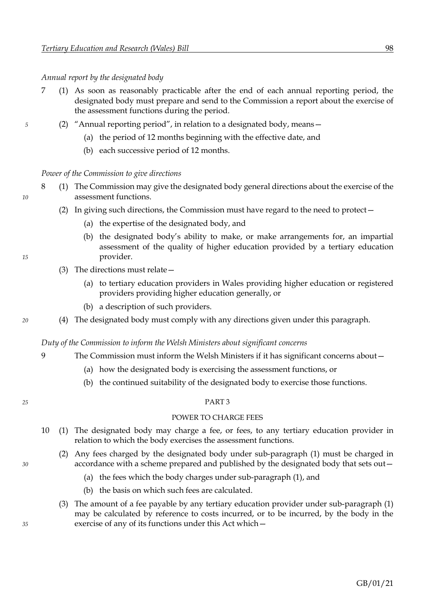*Annual report by the designated body*

- 7 (1) As soon as reasonably practicable after the end of each annual reporting period, the designated body must prepare and send to the Commission a report about the exercise of the assessment functions during the period.
- *5* (2) "Annual reporting period", in relation to a designated body, means—
	- (a) the period of 12 months beginning with the effective date, and
	- (b) each successive period of 12 months.

*Power of the Commission to give directions*

- 8 (1) The Commission may give the designated body general directions about the exercise of the *10* assessment functions.
	- (2) In giving such directions, the Commission must have regard to the need to protect—
		- (a) the expertise of the designated body, and
- (b) the designated body's ability to make, or make arrangements for, an impartial assessment of the quality of higher education provided by a tertiary education *15* provider.
	- (3) The directions must relate—
		- (a) to tertiary education providers in Wales providing higher education or registered providers providing higher education generally, or
		- (b) a description of such providers.
- *20* (4) The designated body must comply with any directions given under this paragraph.

*Duty of the Commission to inform the Welsh Ministers about significant concerns*

- 9 The Commission must inform the Welsh Ministers if it has significant concerns about—
	- (a) how the designated body is exercising the assessment functions, or
	- (b) the continued suitability of the designated body to exercise those functions.
- 

#### *25* PART 3

### POWER TO CHARGE FEES

- <span id="page-104-0"></span>10 (1) The designated body may charge a fee, or fees, to any tertiary education provider in relation to which the body exercises the assessment functions.
- (2) Any fees charged by the designated body under sub-paragraph [\(1\)](#page-104-0) must be charged in *30* accordance with a scheme prepared and published by the designated body that sets out—
	- (a) the fees which the body charges under sub-paragraph [\(1\),](#page-104-0) and
	- (b) the basis on which such fees are calculated.
- (3) The amount of a fee payable by any tertiary education provider under sub-paragraph [\(1\)](#page-104-0) may be calculated by reference to costs incurred, or to be incurred, by the body in the *35* exercise of any of its functions under this Act which—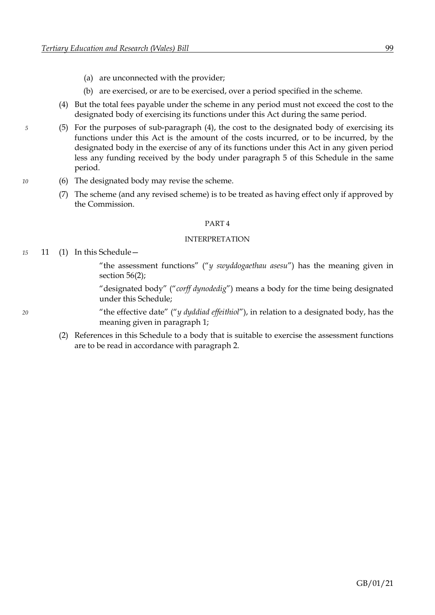- (a) are unconnected with the provider;
- (b) are exercised, or are to be exercised, over a period specified in the scheme.
- <span id="page-105-0"></span>(4) But the total fees payable under the scheme in any period must not exceed the cost to the designated body of exercising its functions under this Act during the same period.
- *5* (5) For the purposes of sub-paragraph [\(4\),](#page-105-0) the cost to the designated body of exercising its functions under this Act is the amount of the costs incurred, or to be incurred, by the designated body in the exercise of any of its functions under this Act in any given period less any funding received by the body under paragraph 5 of this Schedule in the same period.
- *10* (6) The designated body may revise the scheme.
	- (7) The scheme (and any revised scheme) is to be treated as having effect only if approved by the Commission.

#### PART 4

#### INTERPRETATION

*15* 11 (1) In this Schedule—

"the assessment functions" ("*y swyddogaethau asesu*") has the meaning given in section [56](#page-33-0)[\(2\);](#page-33-1)

"designated body" ("*corff dynodedig*") means a body for the time being designated under this Schedule;

*20* "the effective date" ("*y dyddiad effeithiol*"), in relation to a designated body, has the meaning given in paragraph [1;](#page-102-5)

(2) References in this Schedule to a body that is suitable to exercise the assessment functions are to be read in accordance with paragraph [2.](#page-102-5)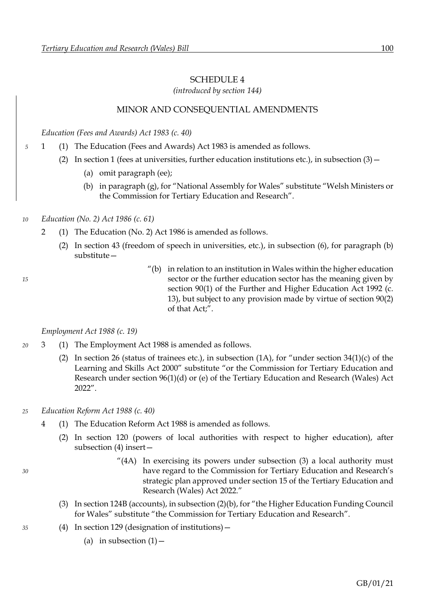# <span id="page-106-0"></span>SCHEDULE 4

*(introduced by section [144\)](#page-87-0)*

# MINOR AND CONSEQUENTIAL AMENDMENTS

*Education (Fees and Awards) Act 1983 (c. 40)*

- *5* 1 (1) The Education (Fees and Awards) Act 1983 is amended as follows.
	- (2) In section 1 (fees at universities, further education institutions etc.), in subsection  $(3)$ 
		- (a) omit paragraph (ee);
		- (b) in paragraph (g), for "National Assembly for Wales" substitute "Welsh Ministers or the Commission for Tertiary Education and Research".
- *10 Education (No. 2) Act 1986 (c. 61)*
	- 2 (1) The Education (No. 2) Act 1986 is amended as follows.
		- (2) In section 43 (freedom of speech in universities, etc.), in subsection (6), for paragraph (b) substitute—
- $'(b)$  in relation to an institution in Wales within the higher education *15* sector or the further education sector has the meaning given by section 90(1) of the Further and Higher Education Act 1992 (c. 13), but subject to any provision made by virtue of section 90(2) of that Act;".

### *Employment Act 1988 (c. 19)*

- *20* 3 (1) The Employment Act 1988 is amended as follows.
	- (2) In section 26 (status of trainees etc.), in subsection  $(1A)$ , for "under section  $34(1)(c)$  of the Learning and Skills Act 2000" substitute "or the Commission for Tertiary Education and Research under section [96](#page-56-0)[\(1\)](#page-56-1)[\(d\)](#page-57-0) or [\(e\)](#page-57-1) of the Tertiary Education and Research (Wales) Act 2022".
- *25 Education Reform Act 1988 (c. 40)*
	- 4 (1) The Education Reform Act 1988 is amended as follows.
		- (2) In section 120 (powers of local authorities with respect to higher education), after subsection (4) insert—
- $^{\prime\prime}(4A)$  In exercising its powers under subsection (3) a local authority must *30* have regard to the Commission for Tertiary Education and Research's strategic plan approved under section [15](#page-11-0) of the Tertiary Education and Research (Wales) Act 2022."
	- (3) In section 124B (accounts), in subsection (2)(b), for "the Higher Education Funding Council for Wales" substitute "the Commission for Tertiary Education and Research".
- *35* (4) In section 129 (designation of institutions)—
	- (a) in subsection  $(1)$  -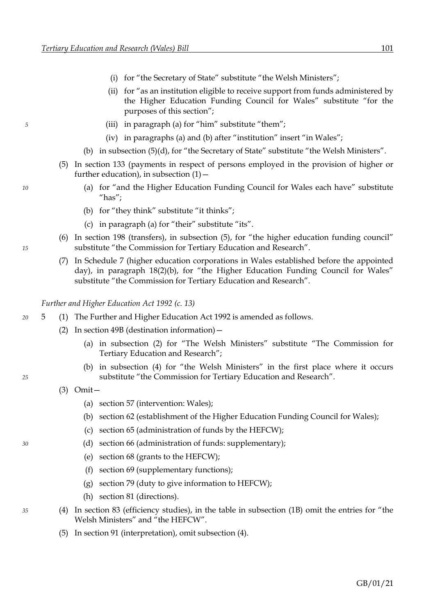- (i) for "the Secretary of State" substitute "the Welsh Ministers";
- (ii) for "as an institution eligible to receive support from funds administered by the Higher Education Funding Council for Wales" substitute "for the purposes of this section";
- *5* (iii) in paragraph (a) for "him" substitute "them";
	- (iv) in paragraphs (a) and (b) after "institution" insert "in Wales";
	- (b) in subsection (5)(d), for "the Secretary of State" substitute "the Welsh Ministers".
	- (5) In section 133 (payments in respect of persons employed in the provision of higher or further education), in subsection  $(1)$  –
- *10* (a) for "and the Higher Education Funding Council for Wales each have" substitute "has";
	- (b) for "they think" substitute "it thinks";
	- (c) in paragraph (a) for "their" substitute "its".
- (6) In section 198 (transfers), in subsection (5), for "the higher education funding council" *15* substitute "the Commission for Tertiary Education and Research".
	- (7) In Schedule 7 (higher education corporations in Wales established before the appointed day), in paragraph 18(2)(b), for "the Higher Education Funding Council for Wales" substitute "the Commission for Tertiary Education and Research".

*Further and Higher Education Act 1992 (c. 13)*

- *20* 5 (1) The Further and Higher Education Act 1992 is amended as follows.
	- (2) In section 49B (destination information)—
		- (a) in subsection (2) for "The Welsh Ministers" substitute "The Commission for Tertiary Education and Research";
- (b) in subsection (4) for "the Welsh Ministers" in the first place where it occurs *25* substitute "the Commission for Tertiary Education and Research".
	- (3) Omit—
		- (a) section 57 (intervention: Wales);
		- (b) section 62 (establishment of the Higher Education Funding Council for Wales);
		- (c) section 65 (administration of funds by the HEFCW);
- *30* (d) section 66 (administration of funds: supplementary);
	- (e) section 68 (grants to the HEFCW);
	- (f) section 69 (supplementary functions);
	- (g) section 79 (duty to give information to HEFCW);
	- (h) section 81 (directions).
- *35* (4) In section 83 (efficiency studies), in the table in subsection (1B) omit the entries for "the Welsh Ministers" and "the HEFCW".
	- (5) In section 91 (interpretation), omit subsection (4).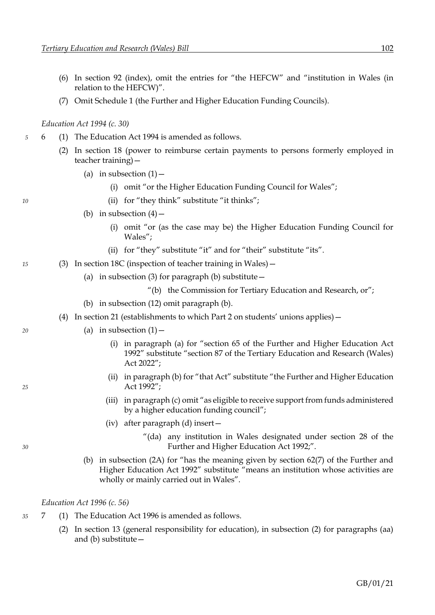- (6) In section 92 (index), omit the entries for "the HEFCW" and "institution in Wales (in relation to the HEFCW)".
- (7) Omit Schedule 1 (the Further and Higher Education Funding Councils).

# *Education Act 1994 (c. 30)*

- *5* 6 (1) The Education Act 1994 is amended as follows.
	- (2) In section 18 (power to reimburse certain payments to persons formerly employed in teacher training)—
		- (a) in subsection  $(1)$  -
			- (i) omit "or the Higher Education Funding Council for Wales";
- *10* (ii) for "they think" substitute "it thinks";
	- (b) in subsection  $(4)$ 
		- (i) omit "or (as the case may be) the Higher Education Funding Council for Wales";
		- (ii) for "they" substitute "it" and for "their" substitute "its".
- *15* (3) In section 18C (inspection of teacher training in Wales)—
	- (a) in subsection (3) for paragraph (b) substitute  $-$ 
		- "(b) the Commission for Tertiary Education and Research, or";
	- (b) in subsection (12) omit paragraph (b).
	- (4) In section 21 (establishments to which Part 2 on students' unions applies)—
- *20* (a) in subsection (1)—
	- (i) in paragraph (a) for "section 65 of the Further and Higher Education Act 1992" substitute "section [87](#page-51-0) of the Tertiary Education and Research (Wales) Act 2022";
- (ii) in paragraph (b) for "that Act" substitute "the Further and Higher Education *25* Act 1992";
	- (iii) in paragraph (c) omit "as eligible to receive support from funds administered by a higher education funding council";
	- (iv) after paragraph (d) insert—
- "(da) any institution in Wales designated under section 28 of the *30* Further and Higher Education Act 1992;".
	- (b) in subsection (2A) for "has the meaning given by section 62(7) of the Further and Higher Education Act 1992" substitute "means an institution whose activities are wholly or mainly carried out in Wales".

## *Education Act 1996 (c. 56)*

- *35* 7 (1) The Education Act 1996 is amended as follows.
	- (2) In section 13 (general responsibility for education), in subsection (2) for paragraphs (aa) and (b) substitute—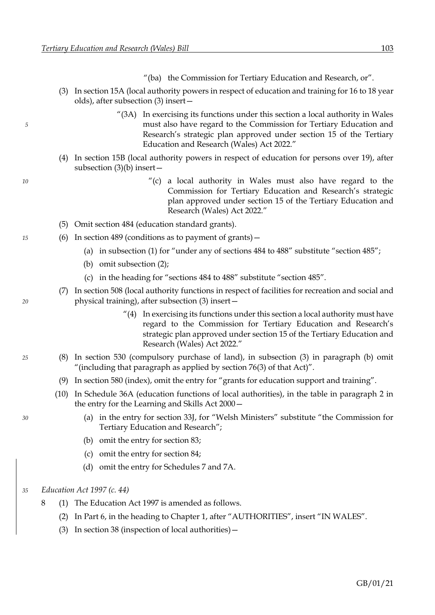- "(ba) the Commission for Tertiary Education and Research, or".
- (3) In section 15A (local authority powers in respect of education and training for 16 to 18 year olds), after subsection (3) insert—
- "(3A) In exercising its functions under this section a local authority in Wales *5* must also have regard to the Commission for Tertiary Education and Research's strategic plan approved under section [15](#page-11-0) of the Tertiary Education and Research (Wales) Act 2022."
	- (4) In section 15B (local authority powers in respect of education for persons over 19), after subsection (3)(b) insert—
- *10* "(c) a local authority in Wales must also have regard to the Commission for Tertiary Education and Research's strategic plan approved under section [15](#page-11-0) of the Tertiary Education and Research (Wales) Act 2022."
	- (5) Omit section 484 (education standard grants).
- *15* (6) In section 489 (conditions as to payment of grants)—
	- (a) in subsection (1) for "under any of sections 484 to 488" substitute "section 485";
	- (b) omit subsection (2);
	- (c) in the heading for "sections 484 to 488" substitute "section 485".
- (7) In section 508 (local authority functions in respect of facilities for recreation and social and *20* physical training), after subsection (3) insert—
	- $''(4)$  In exercising its functions under this section a local authority must have regard to the Commission for Tertiary Education and Research's strategic plan approved under section [15](#page-11-0) of the Tertiary Education and Research (Wales) Act 2022."
- *25* (8) In section 530 (compulsory purchase of land), in subsection (3) in paragraph (b) omit "(including that paragraph as applied by section 76(3) of that Act)".
	- (9) In section 580 (index), omit the entry for "grants for education support and training".
	- (10) In Schedule 36A (education functions of local authorities), in the table in paragraph 2 in the entry for the Learning and Skills Act 2000—
- *30* (a) in the entry for section 33J, for "Welsh Ministers" substitute "the Commission for Tertiary Education and Research";
	- (b) omit the entry for section 83;
	- (c) omit the entry for section 84;
	- (d) omit the entry for Schedules 7 and 7A.

#### *35 Education Act 1997 (c. 44)*

- 8 (1) The Education Act 1997 is amended as follows.
	- (2) In Part 6, in the heading to Chapter 1, after "AUTHORITIES", insert "IN WALES".
	- (3) In section 38 (inspection of local authorities)—
- 
-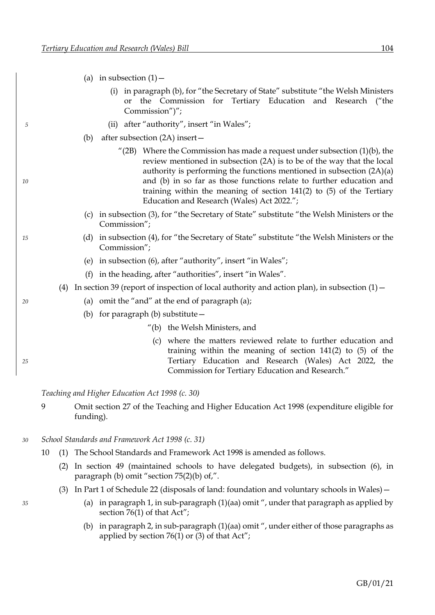- (a) in subsection  $(1)$  -
	- (i) in paragraph (b), for "the Secretary of State" substitute "the Welsh Ministers or the Commission for Tertiary Education and Research ("the Commission")";
- *5* (ii) after "authority", insert "in Wales";
	- (b) after subsection (2A) insert—
- $^{\prime\prime}$ (2B) Where the Commission has made a request under subsection (1)(b), the review mentioned in subsection (2A) is to be of the way that the local authority is performing the functions mentioned in subsection (2A)(a) *10* and (b) in so far as those functions relate to further education and training within the meaning of section [141](#page-85-0)[\(2\)](#page-86-0) to [\(5\)](#page-86-1) of the Tertiary Education and Research (Wales) Act 2022.";
	- (c) in subsection (3), for "the Secretary of State" substitute "the Welsh Ministers or the Commission";
- *15* (d) in subsection (4), for "the Secretary of State" substitute "the Welsh Ministers or the Commission";
	- (e) in subsection (6), after "authority", insert "in Wales";
	- (f) in the heading, after "authorities", insert "in Wales".
	- (4) In section 39 (report of inspection of local authority and action plan), in subsection  $(1)$  –
- *20* (a) omit the "and" at the end of paragraph (a);
	- (b) for paragraph (b) substitute—
		- "(b) the Welsh Ministers, and
- (c) where the matters reviewed relate to further education and training within the meaning of section [141](#page-85-0)[\(2\)](#page-86-0) to [\(5\)](#page-86-1) of the *25* Tertiary Education and Research (Wales) Act 2022, the Commission for Tertiary Education and Research."

## *Teaching and Higher Education Act 1998 (c. 30)*

- 9 Omit section 27 of the Teaching and Higher Education Act 1998 (expenditure eligible for funding).
- *30 School Standards and Framework Act 1998 (c. 31)*
	- 10 (1) The School Standards and Framework Act 1998 is amended as follows.
		- (2) In section 49 (maintained schools to have delegated budgets), in subsection (6), in paragraph (b) omit "section 75(2)(b) of,".
		- (3) In Part 1 of Schedule 22 (disposals of land: foundation and voluntary schools in Wales)—
- *35* (a) in paragraph 1, in sub-paragraph (1)(aa) omit ", under that paragraph as applied by section 76(1) of that Act";
	- (b) in paragraph 2, in sub-paragraph (1)(aa) omit ", under either of those paragraphs as applied by section 76(1) or (3) of that Act";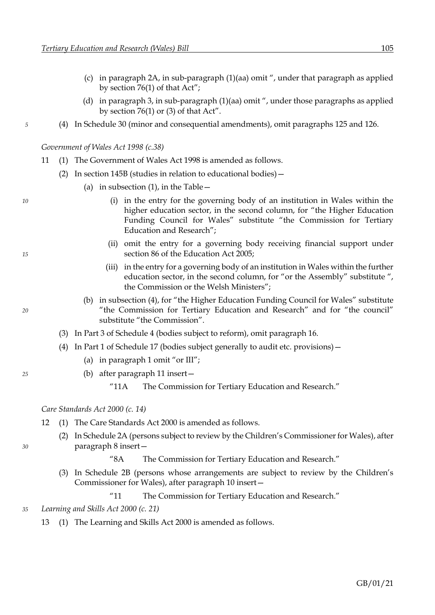- (c) in paragraph 2A, in sub-paragraph (1)(aa) omit ", under that paragraph as applied by section 76(1) of that Act";
- (d) in paragraph 3, in sub-paragraph (1)(aa) omit ", under those paragraphs as applied by section 76(1) or (3) of that Act".
- *5* (4) In Schedule 30 (minor and consequential amendments), omit paragraphs 125 and 126.

*Government of Wales Act 1998 (c.38)*

- 11 (1) The Government of Wales Act 1998 is amended as follows.
	- (2) In section 145B (studies in relation to educational bodies)—
		- (a) in subsection  $(1)$ , in the Table  $-$
- *10* (i) in the entry for the governing body of an institution in Wales within the higher education sector, in the second column, for "the Higher Education Funding Council for Wales" substitute "the Commission for Tertiary Education and Research";
- (ii) omit the entry for a governing body receiving financial support under *15* section 86 of the Education Act 2005;
	- (iii) in the entry for a governing body of an institution in Wales within the further education sector, in the second column, for "or the Assembly" substitute ", the Commission or the Welsh Ministers";
- (b) in subsection (4), for "the Higher Education Funding Council for Wales" substitute *20* "the Commission for Tertiary Education and Research" and for "the council" substitute "the Commission".
	- (3) In Part 3 of Schedule 4 (bodies subject to reform), omit paragraph 16.
	- (4) In Part 1 of Schedule 17 (bodies subject generally to audit etc. provisions)—
		- (a) in paragraph 1 omit "or III";
- *25* (b) after paragraph 11 insert—
	- "11A The Commission for Tertiary Education and Research."

*Care Standards Act 2000 (c. 14)*

- 12 (1) The Care Standards Act 2000 is amended as follows.
- (2) In Schedule 2A (persons subject to review by the Children's Commissioner for Wales), after *30* paragraph 8 insert—

"8A The Commission for Tertiary Education and Research."

(3) In Schedule 2B (persons whose arrangements are subject to review by the Children's Commissioner for Wales), after paragraph 10 insert—

"11 The Commission for Tertiary Education and Research."

*35 Learning and Skills Act 2000 (c. 21)*

13 (1) The Learning and Skills Act 2000 is amended as follows.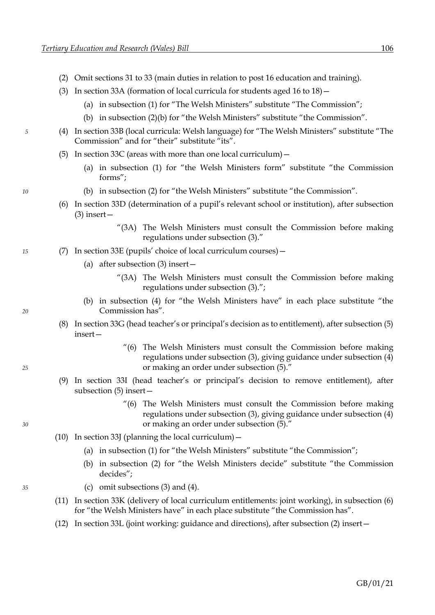- (2) Omit sections 31 to 33 (main duties in relation to post 16 education and training).
- (3) In section 33A (formation of local curricula for students aged 16 to 18)—
	- (a) in subsection (1) for "The Welsh Ministers" substitute "The Commission";
	- (b) in subsection (2)(b) for "the Welsh Ministers" substitute "the Commission".
- *5* (4) In section 33B (local curricula: Welsh language) for "The Welsh Ministers" substitute "The Commission" and for "their" substitute "its".
	- (5) In section 33C (areas with more than one local curriculum)—
		- (a) in subsection (1) for "the Welsh Ministers form" substitute "the Commission forms";
- *10* (b) in subsection (2) for "the Welsh Ministers" substitute "the Commission".
	- (6) In section 33D (determination of a pupil's relevant school or institution), after subsection  $(3)$  insert –
		- "(3A) The Welsh Ministers must consult the Commission before making regulations under subsection (3)."
- *15* (7) In section 33E (pupils' choice of local curriculum courses)—
	- (a) after subsection (3) insert—
		- "(3A) The Welsh Ministers must consult the Commission before making regulations under subsection (3).";
- (b) in subsection (4) for "the Welsh Ministers have" in each place substitute "the *20* Commission has".
	- (8) In section 33G (head teacher's or principal's decision as to entitlement), after subsection (5) insert—
- "(6) The Welsh Ministers must consult the Commission before making regulations under subsection (3), giving guidance under subsection (4) *25* or making an order under subsection (5)."
	- (9) In section 33I (head teacher's or principal's decision to remove entitlement), after subsection (5) insert—
- "(6) The Welsh Ministers must consult the Commission before making regulations under subsection (3), giving guidance under subsection (4) *30* or making an order under subsection (5)."
	- (10) In section 33J (planning the local curriculum)—
		- (a) in subsection (1) for "the Welsh Ministers" substitute "the Commission";
		- (b) in subsection (2) for "the Welsh Ministers decide" substitute "the Commission decides";
- *35* (c) omit subsections (3) and (4).
	- (11) In section 33K (delivery of local curriculum entitlements: joint working), in subsection (6) for "the Welsh Ministers have" in each place substitute "the Commission has".
	- (12) In section 33L (joint working: guidance and directions), after subsection (2) insert—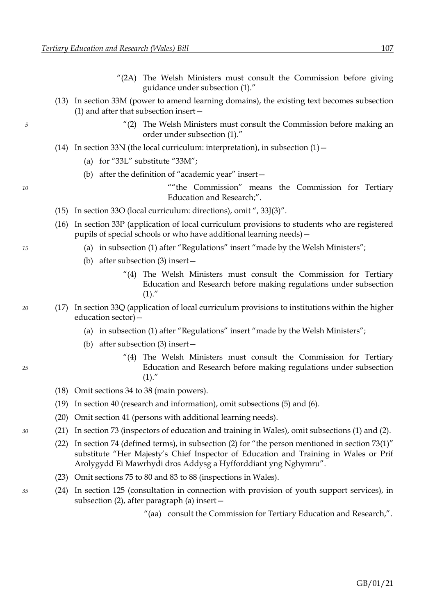- "(2A) The Welsh Ministers must consult the Commission before giving guidance under subsection (1)."
- (13) In section 33M (power to amend learning domains), the existing text becomes subsection (1) and after that subsection insert—
- *5* "(2) The Welsh Ministers must consult the Commission before making an order under subsection (1)."
	- (14) In section 33N (the local curriculum: interpretation), in subsection  $(1)$  -
		- (a) for "33L" substitute "33M";
		- (b) after the definition of "academic year" insert—

*10* ""the Commission" means the Commission for Tertiary Education and Research;".

- (15) In section 33O (local curriculum: directions), omit ", 33J(3)".
- (16) In section 33P (application of local curriculum provisions to students who are registered pupils of special schools or who have additional learning needs)—
- *15* (a) in subsection (1) after "Regulations" insert "made by the Welsh Ministers";
	- (b) after subsection (3) insert—
		- "(4) The Welsh Ministers must consult the Commission for Tertiary Education and Research before making regulations under subsection  $(1).''$
- *20* (17) In section 33Q (application of local curriculum provisions to institutions within the higher education sector)—
	- (a) in subsection (1) after "Regulations" insert "made by the Welsh Ministers";
	- (b) after subsection (3) insert—
- "(4) The Welsh Ministers must consult the Commission for Tertiary *25* Education and Research before making regulations under subsection  $(1).''$ 
	- (18) Omit sections 34 to 38 (main powers).
	- (19) In section 40 (research and information), omit subsections (5) and (6).
	- (20) Omit section 41 (persons with additional learning needs).
- *30* (21) In section 73 (inspectors of education and training in Wales), omit subsections (1) and (2).
	- (22) In section 74 (defined terms), in subsection (2) for "the person mentioned in section 73(1)" substitute "Her Majesty's Chief Inspector of Education and Training in Wales or Prif Arolygydd Ei Mawrhydi dros Addysg a Hyfforddiant yng Nghymru".
	- (23) Omit sections 75 to 80 and 83 to 88 (inspections in Wales).
- *35* (24) In section 125 (consultation in connection with provision of youth support services), in subsection (2), after paragraph (a) insert—
	- "(aa) consult the Commission for Tertiary Education and Research,".
- 
-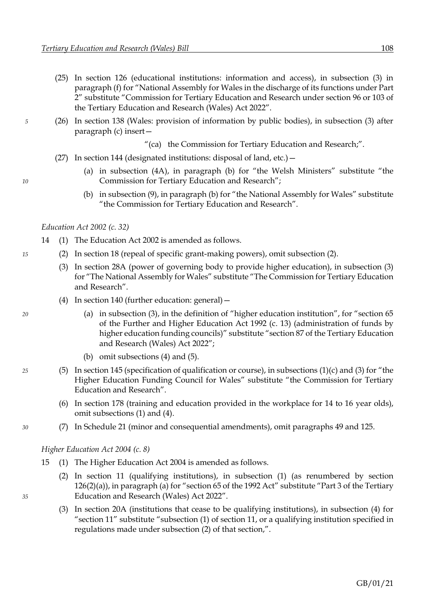- (25) In section 126 (educational institutions: information and access), in subsection (3) in paragraph (f) for "National Assembly for Wales in the discharge of its functions under Part 2" substitute "Commission for Tertiary Education and Research under section [96](#page-56-0) or [103](#page-62-0) of the Tertiary Education and Research (Wales) Act 2022".
- *5* (26) In section 138 (Wales: provision of information by public bodies), in subsection (3) after paragraph (c) insert—
	- "(ca) the Commission for Tertiary Education and Research;".
	- (27) In section 144 (designated institutions: disposal of land, etc.)—
- (a) in subsection (4A), in paragraph (b) for "the Welsh Ministers" substitute "the *10* Commission for Tertiary Education and Research";
	- (b) in subsection (9), in paragraph (b) for "the National Assembly for Wales" substitute "the Commission for Tertiary Education and Research".

### *Education Act 2002 (c. 32)*

- 14 (1) The Education Act 2002 is amended as follows.
- *15* (2) In section 18 (repeal of specific grant-making powers), omit subsection (2).
	- (3) In section 28A (power of governing body to provide higher education), in subsection (3) for "The National Assembly for Wales" substitute "The Commission for Tertiary Education and Research".
	- (4) In section 140 (further education: general)—
- *20* (a) in subsection (3), in the definition of "higher education institution", for "section 65 of the Further and Higher Education Act 1992 (c. 13) (administration of funds by higher education funding councils)" substitute "section [87](#page-51-0) of the Tertiary Education and Research (Wales) Act 2022";
	- (b) omit subsections (4) and (5).
- *25* (5) In section 145 (specification of qualification or course), in subsections (1)(c) and (3) for "the Higher Education Funding Council for Wales" substitute "the Commission for Tertiary Education and Research".
	- (6) In section 178 (training and education provided in the workplace for 14 to 16 year olds), omit subsections (1) and (4).
- *30* (7) In Schedule 21 (minor and consequential amendments), omit paragraphs 49 and 125.

## *Higher Education Act 2004 (c. 8)*

- 15 (1) The Higher Education Act 2004 is amended as follows.
- (2) In section 11 (qualifying institutions), in subsection (1) (as renumbered by section  $126(2)(a)$  $126(2)(a)$  $126(2)(a)$ ), in paragraph (a) for "section 65 of the 1992 Act" substitute "Part [3](#page-50-0) of the Tertiary *35* Education and Research (Wales) Act 2022".
	- (3) In section 20A (institutions that cease to be qualifying institutions), in subsection (4) for "section 11" substitute "subsection (1) of section 11, or a qualifying institution specified in regulations made under subsection (2) of that section,".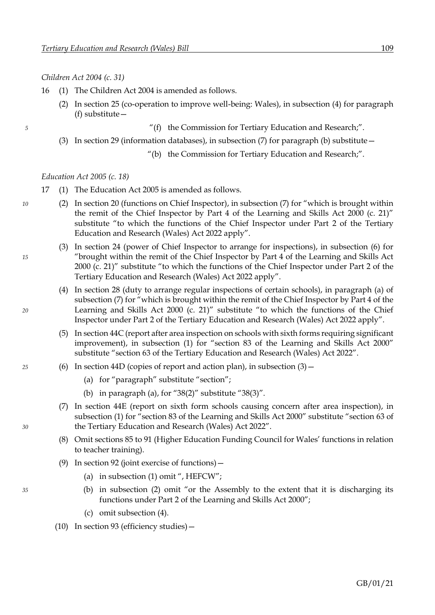*Children Act 2004 (c. 31)*

- 16 (1) The Children Act 2004 is amended as follows.
	- (2) In section 25 (co-operation to improve well-being: Wales), in subsection (4) for paragraph (f) substitute—

- *5* "(f) the Commission for Tertiary Education and Research;".
	- (3) In section 29 (information databases), in subsection (7) for paragraph (b) substitute—
		- "(b) the Commission for Tertiary Education and Research;".

*Education Act 2005 (c. 18)*

- 17 (1) The Education Act 2005 is amended as follows.
- *10* (2) In section 20 (functions on Chief Inspector), in subsection (7) for "which is brought within the remit of the Chief Inspector by Part 4 of the Learning and Skills Act 2000 (c. 21)" substitute "to which the functions of the Chief Inspector under Part [2](#page-16-0) of the Tertiary Education and Research (Wales) Act 2022 apply".
- (3) In section 24 (power of Chief Inspector to arrange for inspections), in subsection (6) for *15* "brought within the remit of the Chief Inspector by Part 4 of the Learning and Skills Act 2000 (c. 21)" substitute "to which the functions of the Chief Inspector under Part [2](#page-16-0) of the Tertiary Education and Research (Wales) Act 2022 apply".
- (4) In section 28 (duty to arrange regular inspections of certain schools), in paragraph (a) of subsection (7) for "which is brought within the remit of the Chief Inspector by Part 4 of the *20* Learning and Skills Act 2000 (c. 21)" substitute "to which the functions of the Chief Inspector under Part [2](#page-16-0) of the Tertiary Education and Research (Wales) Act 2022 apply".
	- (5) In section 44C (report after area inspection on schools with sixth forms requiring significant improvement), in subsection (1) for "section 83 of the Learning and Skills Act 2000" substitute "section [63](#page-36-0) of the Tertiary Education and Research (Wales) Act 2022".
- *25* (6) In section 44D (copies of report and action plan), in subsection (3)—
	- (a) for "paragraph" substitute "section";
	- (b) in paragraph (a), for "38(2)" substitute "38(3)".
- (7) In section 44E (report on sixth form schools causing concern after area inspection), in subsection (1) for "section 83 of the Learning and Skills Act 2000" substitute "section [63](#page-36-0) of *30* the Tertiary Education and Research (Wales) Act 2022".
	- (8) Omit sections 85 to 91 (Higher Education Funding Council for Wales' functions in relation to teacher training).
	- (9) In section 92 (joint exercise of functions)—
		- (a) in subsection (1) omit ", HEFCW";
- *35* (b) in subsection (2) omit "or the Assembly to the extent that it is discharging its functions under Part 2 of the Learning and Skills Act 2000";
	- (c) omit subsection (4).
	- (10) In section 93 (efficiency studies)—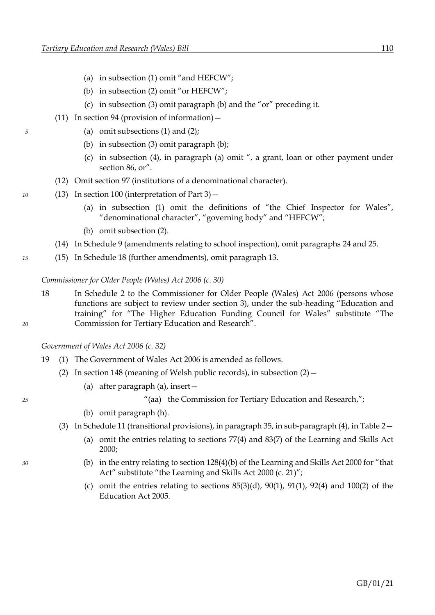- (a) in subsection (1) omit "and HEFCW";
- (b) in subsection (2) omit "or HEFCW";
- (c) in subsection (3) omit paragraph (b) and the "or" preceding it.
- (11) In section 94 (provision of information)—
- *5* (a) omit subsections (1) and (2);
	- (b) in subsection (3) omit paragraph (b);
	- (c) in subsection (4), in paragraph (a) omit ", a grant, loan or other payment under section 86, or".
	- (12) Omit section 97 (institutions of a denominational character).
- *10* (13) In section 100 (interpretation of Part 3)—
	- (a) in subsection (1) omit the definitions of "the Chief Inspector for Wales", "denominational character", "governing body" and "HEFCW";
	- (b) omit subsection (2).
	- (14) In Schedule 9 (amendments relating to school inspection), omit paragraphs 24 and 25.
- *15* (15) In Schedule 18 (further amendments), omit paragraph 13.

*Commissioner for Older People (Wales) Act 2006 (c. 30)*

18 In Schedule 2 to the Commissioner for Older People (Wales) Act 2006 (persons whose functions are subject to review under section 3), under the sub-heading "Education and training" for "The Higher Education Funding Council for Wales" substitute "The *20* Commission for Tertiary Education and Research".

*Government of Wales Act 2006 (c. 32)*

- 19 (1) The Government of Wales Act 2006 is amended as follows.
	- (2) In section 148 (meaning of Welsh public records), in subsection  $(2)$ 
		- (a) after paragraph (a), insert—

*25* "(aa) the Commission for Tertiary Education and Research,";

- (b) omit paragraph (h).
- (3) In Schedule 11 (transitional provisions), in paragraph 35, in sub-paragraph (4), in Table 2—
	- (a) omit the entries relating to sections 77(4) and 83(7) of the Learning and Skills Act 2000;
- *30* (b) in the entry relating to section 128(4)(b) of the Learning and Skills Act 2000 for "that Act" substitute "the Learning and Skills Act 2000 (c. 21)";
	- (c) omit the entries relating to sections  $85(3)(d)$ ,  $90(1)$ ,  $91(1)$ ,  $92(4)$  and  $100(2)$  of the Education Act 2005.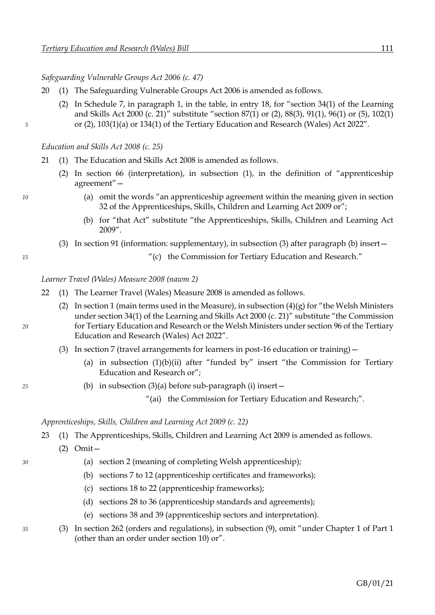*Safeguarding Vulnerable Groups Act 2006 (c. 47)*

- 20 (1) The Safeguarding Vulnerable Groups Act 2006 is amended as follows.
- (2) In Schedule 7, in paragraph 1, in the table, in entry 18, for "section 34(1) of the Learning and Skills Act 2000 (c. 21)" substitute "section [87](#page-51-0)[\(1\)](#page-51-1) or [\(2\),](#page-52-0) [88](#page-52-1)[\(3\),](#page-52-2) [91](#page-53-0)[\(1\),](#page-53-1) [96](#page-56-0)[\(1\)](#page-56-1) or [\(5\),](#page-57-0) [102](#page-61-0)[\(1\)](#page-61-1) *5* or [\(2\),](#page-61-2) [103](#page-62-0)[\(1\)](#page-62-1)[\(a\)](#page-62-2) or [134](#page-80-0)[\(1\)](#page-80-1) of the Tertiary Education and Research (Wales) Act 2022".

*Education and Skills Act 2008 (c. 25)*

- 21 (1) The Education and Skills Act 2008 is amended as follows.
	- (2) In section 66 (interpretation), in subsection (1), in the definition of "apprenticeship agreement"—
- *10* (a) omit the words "an apprenticeship agreement within the meaning given in section 32 of the Apprenticeships, Skills, Children and Learning Act 2009 or";
	- (b) for "that Act" substitute "the Apprenticeships, Skills, Children and Learning Act 2009".
	- (3) In section 91 (information: supplementary), in subsection (3) after paragraph (b) insert—

*15* "(c) the Commission for Tertiary Education and Research."

*Learner Travel (Wales) Measure 2008 (nawm 2)*

- 22 (1) The Learner Travel (Wales) Measure 2008 is amended as follows.
- (2) In section 1 (main terms used in the Measure), in subsection  $(4)(g)$  for "the Welsh Ministers" under section 34(1) of the Learning and Skills Act 2000 (c. 21)" substitute "the Commission *20* for Tertiary Education and Research or the Welsh Ministers under section [96](#page-56-0) of the Tertiary Education and Research (Wales) Act 2022".
	- (3) In section 7 (travel arrangements for learners in post-16 education or training)—
		- (a) in subsection  $(1)(b)(ii)$  after "funded by" insert "the Commission for Tertiary Education and Research or";
- *25* (b) in subsection (3)(a) before sub-paragraph (i) insert—
	- "(ai) the Commission for Tertiary Education and Research;".

*Apprenticeships, Skills, Children and Learning Act 2009 (c. 22)*

- 23 (1) The Apprenticeships, Skills, Children and Learning Act 2009 is amended as follows.
	- (2) Omit—
- *30* (a) section 2 (meaning of completing Welsh apprenticeship);
	- (b) sections 7 to 12 (apprenticeship certificates and frameworks);
	- (c) sections 18 to 22 (apprenticeship frameworks);
	- (d) sections 28 to 36 (apprenticeship standards and agreements);
	- (e) sections 38 and 39 (apprenticeship sectors and interpretation).
- *35* (3) In section 262 (orders and regulations), in subsection (9), omit "under Chapter 1 of Part 1 (other than an order under section 10) or".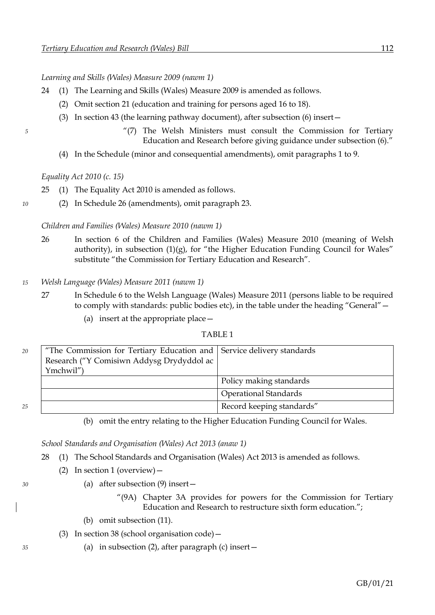*Learning and Skills (Wales) Measure 2009 (nawm 1)*

- 24 (1) The Learning and Skills (Wales) Measure 2009 is amended as follows.
	- (2) Omit section 21 (education and training for persons aged 16 to 18).
	- (3) In section 43 (the learning pathway document), after subsection (6) insert—
- *5* "(7) The Welsh Ministers must consult the Commission for Tertiary Education and Research before giving guidance under subsection (6)."
	- (4) In the Schedule (minor and consequential amendments), omit paragraphs 1 to 9.

*Equality Act 2010 (c. 15)*

- 25 (1) The Equality Act 2010 is amended as follows.
- *10* (2) In Schedule 26 (amendments), omit paragraph 23.

### *Children and Families (Wales) Measure 2010 (nawm 1)*

- 26 In section 6 of the Children and Families (Wales) Measure 2010 (meaning of Welsh authority), in subsection  $(1)(g)$ , for "the Higher Education Funding Council for Wales" substitute "the Commission for Tertiary Education and Research".
- *15 Welsh Language (Wales) Measure 2011 (nawm 1)*
	- 27 In Schedule 6 to the Welsh Language (Wales) Measure 2011 (persons liable to be required to comply with standards: public bodies etc), in the table under the heading "General"—
		- (a) insert at the appropriate place—

## TABLE 1

| 20 | "The Commission for Tertiary Education and Service delivery standards |                              |
|----|-----------------------------------------------------------------------|------------------------------|
|    | Research ("Y Comisiwn Addysg Drydyddol ac                             |                              |
|    | Ymchwil")                                                             |                              |
|    |                                                                       | Policy making standards      |
|    |                                                                       | <b>Operational Standards</b> |
| 25 |                                                                       | Record keeping standards"    |

(b) omit the entry relating to the Higher Education Funding Council for Wales.

*School Standards and Organisation (Wales) Act 2013 (anaw 1)*

28 (1) The School Standards and Organisation (Wales) Act 2013 is amended as follows.

- (2) In section 1 (overview)—
- *30* (a) after subsection (9) insert—
	- "(9A) Chapter 3A provides for powers for the Commission for Tertiary Education and Research to restructure sixth form education.";
	- (b) omit subsection (11).
	- (3) In section 38 (school organisation code)—
- *35* (a) in subsection (2), after paragraph (c) insert—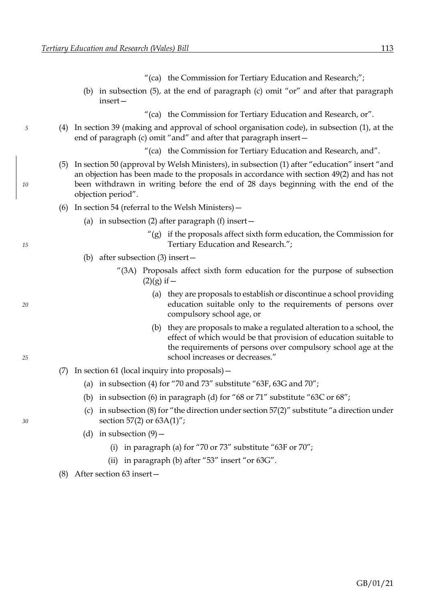- "(ca) the Commission for Tertiary Education and Research;";
- (b) in subsection (5), at the end of paragraph (c) omit "or" and after that paragraph insert—
	- "(ca) the Commission for Tertiary Education and Research, or".
- *5* (4) In section 39 (making and approval of school organisation code), in subsection (1), at the end of paragraph (c) omit "and" and after that paragraph insert—
	- "(ca) the Commission for Tertiary Education and Research, and".
- (5) In section 50 (approval by Welsh Ministers), in subsection (1) after "education" insert "and an objection has been made to the proposals in accordance with section 49(2) and has not *10* been withdrawn in writing before the end of 28 days beginning with the end of the objection period".
	- (6) In section 54 (referral to the Welsh Ministers)—
		- (a) in subsection (2) after paragraph (f) insert  $-$
- $''(g)$  if the proposals affect sixth form education, the Commission for *15* Tertiary Education and Research.";
	- (b) after subsection (3) insert—
		- "(3A) Proposals affect sixth form education for the purpose of subsection  $(2)(g)$  if  $-$
- (a) they are proposals to establish or discontinue a school providing *20* education suitable only to the requirements of persons over compulsory school age, or
- (b) they are proposals to make a regulated alteration to a school, the effect of which would be that provision of education suitable to the requirements of persons over compulsory school age at the *25* school increases or decreases."
	- (7) In section 61 (local inquiry into proposals)—
		- (a) in subsection (4) for "70 and 73" substitute "63F, 63G and 70";
		- (b) in subsection (6) in paragraph (d) for "68 or 71" substitute "63C or 68";
- (c) in subsection (8) for "the direction under section 57(2)" substitute "a direction under *30* section 57(2) or 63A(1)";
	- (d) in subsection  $(9)$ 
		- (i) in paragraph (a) for "70 or 73" substitute "63F or 70";
		- (ii) in paragraph (b) after "53" insert "or 63G".
	- (8) After section 63 insert—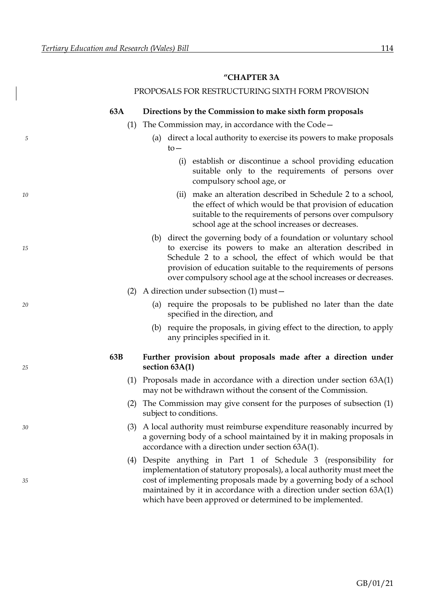### **"CHAPTER 3A**

## PROPOSALS FOR RESTRUCTURING SIXTH FORM PROVISION

### **63A Directions by the Commission to make sixth form proposals**

- (1) The Commission may, in accordance with the Code—
- *5* (a) direct a local authority to exercise its powers to make proposals to—
	- (i) establish or discontinue a school providing education suitable only to the requirements of persons over compulsory school age, or
- *10* (ii) make an alteration described in Schedule 2 to a school, the effect of which would be that provision of education suitable to the requirements of persons over compulsory school age at the school increases or decreases.
- (b) direct the governing body of a foundation or voluntary school *15* to exercise its powers to make an alteration described in Schedule 2 to a school, the effect of which would be that provision of education suitable to the requirements of persons over compulsory school age at the school increases or decreases.
	- (2) A direction under subsection (1) must—
- *20* (a) require the proposals to be published no later than the date specified in the direction, and
	- (b) require the proposals, in giving effect to the direction, to apply any principles specified in it.

# **63B Further provision about proposals made after a direction under**  *25* **section 63A(1)**

- (1) Proposals made in accordance with a direction under section 63A(1) may not be withdrawn without the consent of the Commission.
- (2) The Commission may give consent for the purposes of subsection (1) subject to conditions.
- *30* (3) A local authority must reimburse expenditure reasonably incurred by a governing body of a school maintained by it in making proposals in accordance with a direction under section 63A(1).
- (4) Despite anything in Part 1 of Schedule 3 (responsibility for implementation of statutory proposals), a local authority must meet the *35* cost of implementing proposals made by a governing body of a school maintained by it in accordance with a direction under section 63A(1) which have been approved or determined to be implemented.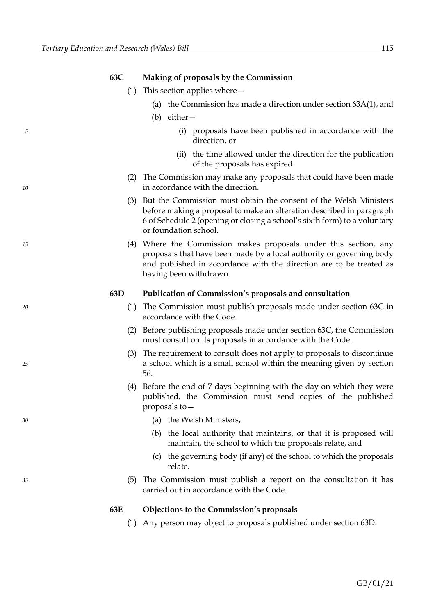| Making of proposals by the Commission<br>63C |
|----------------------------------------------|
|----------------------------------------------|

- (1) This section applies where—
	- (a) the Commission has made a direction under section 63A(1), and
	- (b) either—
- *5* (i) proposals have been published in accordance with the direction, or
	- (ii) the time allowed under the direction for the publication of the proposals has expired.
- (2) The Commission may make any proposals that could have been made *10* in accordance with the direction.
	- (3) But the Commission must obtain the consent of the Welsh Ministers before making a proposal to make an alteration described in paragraph 6 of Schedule 2 (opening or closing a school's sixth form) to a voluntary or foundation school.
- *15* (4) Where the Commission makes proposals under this section, any proposals that have been made by a local authority or governing body and published in accordance with the direction are to be treated as having been withdrawn.

## **63D Publication of Commission's proposals and consultation**

- *20* (1) The Commission must publish proposals made under section 63C in accordance with the Code.
	- (2) Before publishing proposals made under section 63C, the Commission must consult on its proposals in accordance with the Code.
- (3) The requirement to consult does not apply to proposals to discontinue *25* a school which is a small school within the meaning given by section 56.
	- (4) Before the end of 7 days beginning with the day on which they were published, the Commission must send copies of the published proposals to—
- *30* (a) the Welsh Ministers,
	- (b) the local authority that maintains, or that it is proposed will maintain, the school to which the proposals relate, and
	- (c) the governing body (if any) of the school to which the proposals relate.
- *35* (5) The Commission must publish a report on the consultation it has carried out in accordance with the Code.

### **63E Objections to the Commission's proposals**

(1) Any person may object to proposals published under section 63D.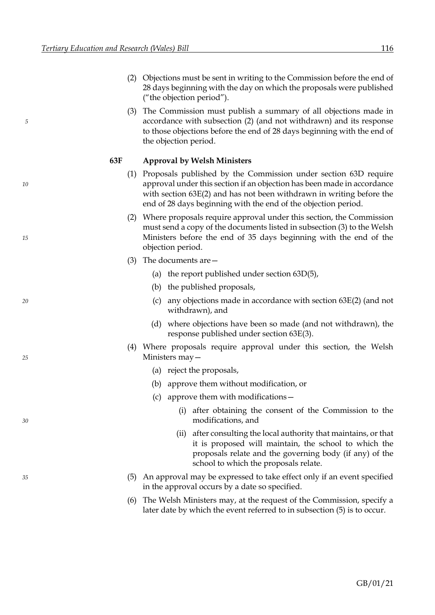- (2) Objections must be sent in writing to the Commission before the end of 28 days beginning with the day on which the proposals were published ("the objection period").
- (3) The Commission must publish a summary of all objections made in *5* accordance with subsection (2) (and not withdrawn) and its response to those objections before the end of 28 days beginning with the end of the objection period.

## **63F Approval by Welsh Ministers**

- (1) Proposals published by the Commission under section 63D require *10* approval under this section if an objection has been made in accordance with section 63E(2) and has not been withdrawn in writing before the end of 28 days beginning with the end of the objection period.
- (2) Where proposals require approval under this section, the Commission must send a copy of the documents listed in subsection (3) to the Welsh *15* Ministers before the end of 35 days beginning with the end of the objection period.
	- (3) The documents are—
		- (a) the report published under section 63D(5),
		- (b) the published proposals,
- *20* (c) any objections made in accordance with section 63E(2) (and not withdrawn), and
	- (d) where objections have been so made (and not withdrawn), the response published under section 63E(3).
- (4) Where proposals require approval under this section, the Welsh *25* Ministers may—
	- (a) reject the proposals,
	- (b) approve them without modification, or
	- (c) approve them with modifications—
- (i) after obtaining the consent of the Commission to the *30* modifications, and
	- (ii) after consulting the local authority that maintains, or that it is proposed will maintain, the school to which the proposals relate and the governing body (if any) of the school to which the proposals relate.
- *35* (5) An approval may be expressed to take effect only if an event specified in the approval occurs by a date so specified.
	- (6) The Welsh Ministers may, at the request of the Commission, specify a later date by which the event referred to in subsection (5) is to occur.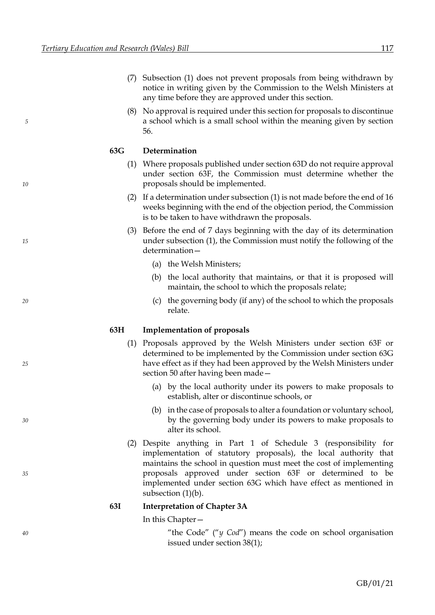- (7) Subsection (1) does not prevent proposals from being withdrawn by notice in writing given by the Commission to the Welsh Ministers at any time before they are approved under this section.
- (8) No approval is required under this section for proposals to discontinue *5* a school which is a small school within the meaning given by section 56.

## **63G Determination**

- (1) Where proposals published under section 63D do not require approval under section 63F, the Commission must determine whether the *10* proposals should be implemented.
	- (2) If a determination under subsection (1) is not made before the end of 16 weeks beginning with the end of the objection period, the Commission is to be taken to have withdrawn the proposals.
- (3) Before the end of 7 days beginning with the day of its determination *15* under subsection (1), the Commission must notify the following of the determination—
	- (a) the Welsh Ministers;
	- (b) the local authority that maintains, or that it is proposed will maintain, the school to which the proposals relate;
- *20* (c) the governing body (if any) of the school to which the proposals relate.

## **63H Implementation of proposals**

- (1) Proposals approved by the Welsh Ministers under section 63F or determined to be implemented by the Commission under section 63G *25* have effect as if they had been approved by the Welsh Ministers under section 50 after having been made—
	- (a) by the local authority under its powers to make proposals to establish, alter or discontinue schools, or
- (b) in the case of proposals to alter a foundation or voluntary school, *30* by the governing body under its powers to make proposals to alter its school.
- (2) Despite anything in Part 1 of Schedule 3 (responsibility for implementation of statutory proposals), the local authority that maintains the school in question must meet the cost of implementing *35* proposals approved under section 63F or determined to be implemented under section 63G which have effect as mentioned in subsection (1)(b).

### **63I Interpretation of Chapter 3A**

### In this Chapter—

*40* "the Code" ("*y Cod*") means the code on school organisation issued under section 38(1);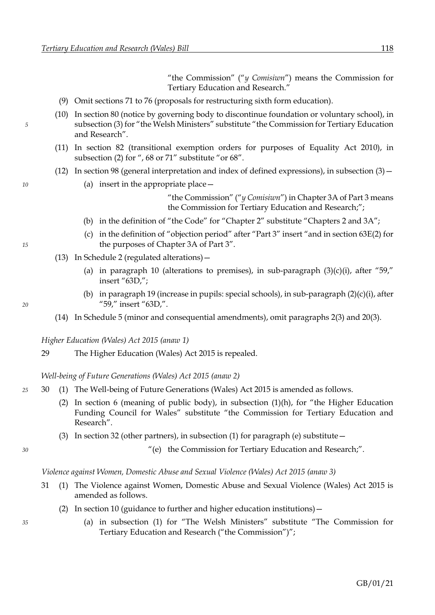"the Commission" ("*y Comisiwn*") means the Commission for Tertiary Education and Research."

- (9) Omit sections 71 to 76 (proposals for restructuring sixth form education).
- (10) In section 80 (notice by governing body to discontinue foundation or voluntary school), in *5* subsection (3) for "the Welsh Ministers" substitute "the Commission for Tertiary Education and Research".
	- (11) In section 82 (transitional exemption orders for purposes of Equality Act 2010), in subsection (2) for ", 68 or 71" substitute "or 68".
	- (12) In section 98 (general interpretation and index of defined expressions), in subsection (3)—
- *10* (a) insert in the appropriate place—

"the Commission" ("*y Comisiwn*") in Chapter 3A of Part 3 means the Commission for Tertiary Education and Research;";

- (b) in the definition of "the Code" for "Chapter 2" substitute "Chapters 2 and 3A";
- (c) in the definition of "objection period" after "Part 3" insert "and in section 63E(2) for *15* the purposes of Chapter 3A of Part 3".
	- (13) In Schedule 2 (regulated alterations)—
		- (a) in paragraph 10 (alterations to premises), in sub-paragraph  $(3)(c)(i)$ , after "59," insert "63D,";
- (b) in paragraph 19 (increase in pupils: special schools), in sub-paragraph  $(2)(c)(i)$ , after *20* "59," insert "63D,".
	- (14) In Schedule 5 (minor and consequential amendments), omit paragraphs 2(3) and 20(3).

*Higher Education (Wales) Act 2015 (anaw 1)*

29 The Higher Education (Wales) Act 2015 is repealed.

*Well-being of Future Generations (Wales) Act 2015 (anaw 2)*

- *25* 30 (1) The Well-being of Future Generations (Wales) Act 2015 is amended as follows.
	- (2) In section 6 (meaning of public body), in subsection (1)(h), for "the Higher Education Funding Council for Wales" substitute "the Commission for Tertiary Education and Research".
	- (3) In section 32 (other partners), in subsection (1) for paragraph (e) substitute—

*30* "(e) the Commission for Tertiary Education and Research;".

*Violence against Women, Domestic Abuse and Sexual Violence (Wales) Act 2015 (anaw 3)*

- 31 (1) The Violence against Women, Domestic Abuse and Sexual Violence (Wales) Act 2015 is amended as follows.
	- (2) In section 10 (guidance to further and higher education institutions)—
- *35* (a) in subsection (1) for "The Welsh Ministers" substitute "The Commission for Tertiary Education and Research ("the Commission")";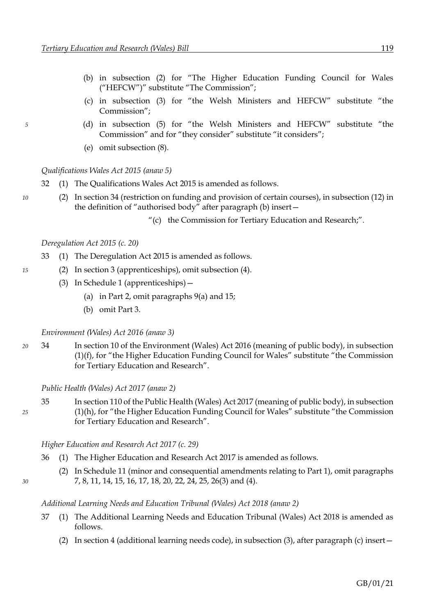- (b) in subsection (2) for "The Higher Education Funding Council for Wales ("HEFCW")" substitute "The Commission";
- (c) in subsection (3) for "the Welsh Ministers and HEFCW" substitute "the Commission";
- *5* (d) in subsection (5) for "the Welsh Ministers and HEFCW" substitute "the Commission" and for "they consider" substitute "it considers";
	- (e) omit subsection (8).

*Qualifications Wales Act 2015 (anaw 5)*

- 32 (1) The Qualifications Wales Act 2015 is amended as follows.
- *10* (2) In section 34 (restriction on funding and provision of certain courses), in subsection (12) in the definition of "authorised body" after paragraph (b) insert—
	- "(c) the Commission for Tertiary Education and Research;".

## *Deregulation Act 2015 (c. 20)*

- 33 (1) The Deregulation Act 2015 is amended as follows.
- *15* (2) In section 3 (apprenticeships), omit subsection (4).
	- (3) In Schedule 1 (apprenticeships)—
		- (a) in Part 2, omit paragraphs 9(a) and 15;
		- (b) omit Part 3.

*Environment (Wales) Act 2016 (anaw 3)*

*20* 34 In section 10 of the Environment (Wales) Act 2016 (meaning of public body), in subsection (1)(f), for "the Higher Education Funding Council for Wales" substitute "the Commission for Tertiary Education and Research".

*Public Health (Wales) Act 2017 (anaw 2)*

35 In section 110 of the Public Health (Wales) Act 2017 (meaning of public body), in subsection *25* (1)(h), for "the Higher Education Funding Council for Wales" substitute "the Commission for Tertiary Education and Research".

*Higher Education and Research Act 2017 (c. 29)*

- 36 (1) The Higher Education and Research Act 2017 is amended as follows.
- (2) In Schedule 11 (minor and consequential amendments relating to Part 1), omit paragraphs *30* 7, 8, 11, 14, 15, 16, 17, 18, 20, 22, 24, 25, 26(3) and (4).

## *Additional Learning Needs and Education Tribunal (Wales) Act 2018 (anaw 2)*

- 37 (1) The Additional Learning Needs and Education Tribunal (Wales) Act 2018 is amended as follows.
	- (2) In section 4 (additional learning needs code), in subsection (3), after paragraph (c) insert—

- - -
		-